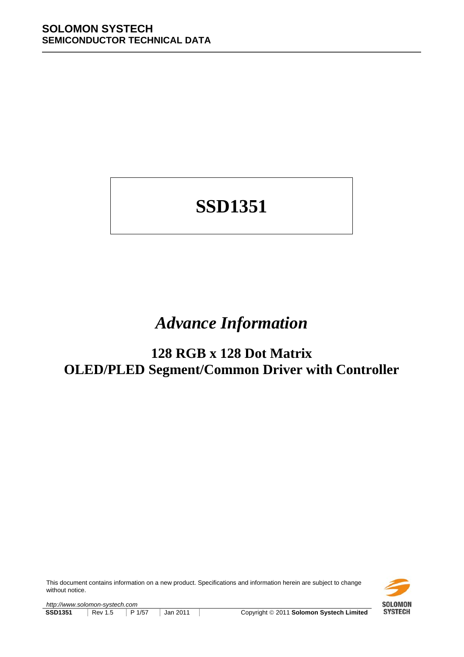# **SSD1351**

## *Advance Information*

## **128 RGB x 128 Dot Matrix OLED/PLED Segment/Common Driver with Controller**

This document contains information on a new product. Specifications and information herein are subject to change without notice.

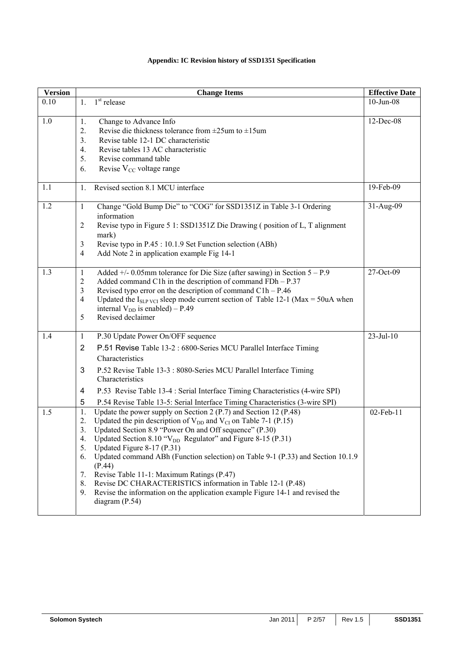## **Appendix: IC Revision history of SSD1351 Specification**

| <b>Version</b> | <b>Change Items</b>                                                                                                                                                                                                                                                                                                                                                                                                                                                                                                                                                                                                                                                          | <b>Effective Date</b> |
|----------------|------------------------------------------------------------------------------------------------------------------------------------------------------------------------------------------------------------------------------------------------------------------------------------------------------------------------------------------------------------------------------------------------------------------------------------------------------------------------------------------------------------------------------------------------------------------------------------------------------------------------------------------------------------------------------|-----------------------|
| 0.10           | $1st$ release<br>$1_{-}$                                                                                                                                                                                                                                                                                                                                                                                                                                                                                                                                                                                                                                                     | $10$ -Jun-08          |
| 1.0            | Change to Advance Info<br>1.<br>Revise die thickness tolerance from $\pm 25$ um to $\pm 15$ um<br>2.<br>Revise table 12-1 DC characteristic<br>3.<br>Revise tables 13 AC characteristic<br>4.<br>5.<br>Revise command table<br>Revise $V_{CC}$ voltage range<br>6.                                                                                                                                                                                                                                                                                                                                                                                                           | 12-Dec-08             |
| 1.1            | Revised section 8.1 MCU interface<br>$\mathbf{1}$ .                                                                                                                                                                                                                                                                                                                                                                                                                                                                                                                                                                                                                          | 19-Feb-09             |
| 1.2            | Change "Gold Bump Die" to "COG" for SSD1351Z in Table 3-1 Ordering<br>$\mathbf{1}$<br>information<br>Revise typo in Figure 5 1: SSD1351Z Die Drawing (position of L, T alignment<br>$\overline{2}$<br>mark)<br>Revise typo in P.45 : 10.1.9 Set Function selection (ABh)<br>3<br>$\overline{4}$<br>Add Note 2 in application example Fig 14-1                                                                                                                                                                                                                                                                                                                                | 31-Aug-09             |
| 1.3            | Added $+/- 0.05$ mm tolerance for Die Size (after sawing) in Section $5 - P.9$<br>1<br>$\overline{2}$<br>Added command C1h in the description of command $FDh - P.37$<br>Revised typo error on the description of command $C1h - P.46$<br>3<br>Updated the $I_{SLP\,VCI}$ sleep mode current section of Table 12-1 (Max = 50uA when<br>$\overline{4}$<br>internal $V_{DD}$ is enabled) – P.49<br>Revised declaimer<br>5                                                                                                                                                                                                                                                      | 27-Oct-09             |
| 1.4            | P.30 Update Power On/OFF sequence<br>1<br>$\overline{2}$<br>P.51 Revise Table 13-2 : 6800-Series MCU Parallel Interface Timing<br>Characteristics<br>3<br>P.52 Revise Table 13-3 : 8080-Series MCU Parallel Interface Timing<br>Characteristics<br>P.53 Revise Table 13-4 : Serial Interface Timing Characteristics (4-wire SPI)<br>4<br>5<br>P.54 Revise Table 13-5: Serial Interface Timing Characteristics (3-wire SPI)                                                                                                                                                                                                                                                   | $23$ -Jul-10          |
| 1.5            | Update the power supply on Section 2 (P.7) and Section 12 (P.48)<br>1.<br>Updated the pin description of $V_{DD}$ and $V_{CI}$ on Table 7-1 (P.15)<br>2.<br>3.<br>Updated Section 8.9 "Power On and Off sequence" (P.30)<br>Updated Section 8.10 " $V_{DD}$ Regulator" and Figure 8-15 (P.31)<br>4.<br>Updated Figure 8-17 (P.31)<br>5.<br>Updated command ABh (Function selection) on Table 9-1 (P.33) and Section 10.1.9<br>6.<br>(P.44)<br>Revise Table 11-1: Maximum Ratings (P.47)<br>7.<br>Revise DC CHARACTERISTICS information in Table 12-1 (P.48)<br>8.<br>Revise the information on the application example Figure 14-1 and revised the<br>9.<br>diagram $(P.54)$ | 02-Feb-11             |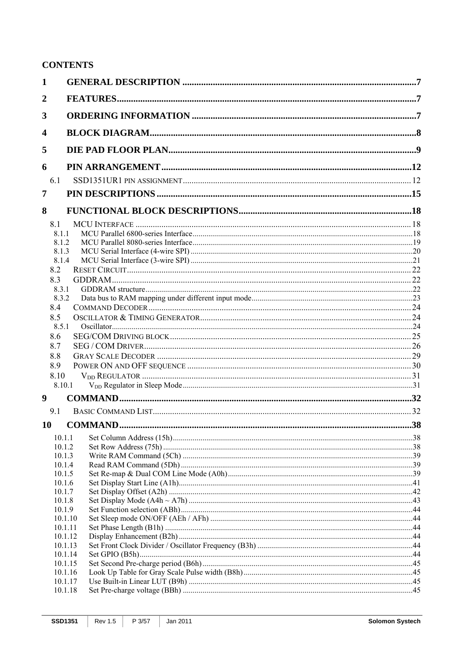## **CONTENTS**

| 2<br>3<br>4<br>5<br>6<br>6.1<br>7<br>8<br>8.1<br>8.1.1<br>8.1.2<br>8.1.3<br>8.1.4<br>8.2<br>8.3<br>8.3.1<br>8.3.2<br>8.4<br>8.5<br>8.5.1<br>8.6<br>8.7<br>8.8<br>8.9<br>8.10<br>8.10.1<br>9<br>9.1<br>10<br>10.1.1<br>10.1.2<br>10.1.3<br>10.1.4<br>10.1.5<br>10.1.6<br>10.1.7<br>10.1.8<br>10.1.9<br>10.1.10<br>10.1.11<br>10.1.12<br>10.1.13<br>10.1.14<br>10.1.15<br>10.1.16<br>10.1.17<br>10.1.18 | 1 |  |
|-------------------------------------------------------------------------------------------------------------------------------------------------------------------------------------------------------------------------------------------------------------------------------------------------------------------------------------------------------------------------------------------------------|---|--|
|                                                                                                                                                                                                                                                                                                                                                                                                       |   |  |
|                                                                                                                                                                                                                                                                                                                                                                                                       |   |  |
|                                                                                                                                                                                                                                                                                                                                                                                                       |   |  |
|                                                                                                                                                                                                                                                                                                                                                                                                       |   |  |
|                                                                                                                                                                                                                                                                                                                                                                                                       |   |  |
|                                                                                                                                                                                                                                                                                                                                                                                                       |   |  |
|                                                                                                                                                                                                                                                                                                                                                                                                       |   |  |
|                                                                                                                                                                                                                                                                                                                                                                                                       |   |  |
|                                                                                                                                                                                                                                                                                                                                                                                                       |   |  |
|                                                                                                                                                                                                                                                                                                                                                                                                       |   |  |
|                                                                                                                                                                                                                                                                                                                                                                                                       |   |  |
|                                                                                                                                                                                                                                                                                                                                                                                                       |   |  |
|                                                                                                                                                                                                                                                                                                                                                                                                       |   |  |
|                                                                                                                                                                                                                                                                                                                                                                                                       |   |  |
|                                                                                                                                                                                                                                                                                                                                                                                                       |   |  |
|                                                                                                                                                                                                                                                                                                                                                                                                       |   |  |
|                                                                                                                                                                                                                                                                                                                                                                                                       |   |  |
|                                                                                                                                                                                                                                                                                                                                                                                                       |   |  |
|                                                                                                                                                                                                                                                                                                                                                                                                       |   |  |
|                                                                                                                                                                                                                                                                                                                                                                                                       |   |  |
|                                                                                                                                                                                                                                                                                                                                                                                                       |   |  |
|                                                                                                                                                                                                                                                                                                                                                                                                       |   |  |
|                                                                                                                                                                                                                                                                                                                                                                                                       |   |  |
|                                                                                                                                                                                                                                                                                                                                                                                                       |   |  |
|                                                                                                                                                                                                                                                                                                                                                                                                       |   |  |
|                                                                                                                                                                                                                                                                                                                                                                                                       |   |  |
|                                                                                                                                                                                                                                                                                                                                                                                                       |   |  |
|                                                                                                                                                                                                                                                                                                                                                                                                       |   |  |
|                                                                                                                                                                                                                                                                                                                                                                                                       |   |  |
|                                                                                                                                                                                                                                                                                                                                                                                                       |   |  |
|                                                                                                                                                                                                                                                                                                                                                                                                       |   |  |
|                                                                                                                                                                                                                                                                                                                                                                                                       |   |  |
|                                                                                                                                                                                                                                                                                                                                                                                                       |   |  |
|                                                                                                                                                                                                                                                                                                                                                                                                       |   |  |
|                                                                                                                                                                                                                                                                                                                                                                                                       |   |  |
|                                                                                                                                                                                                                                                                                                                                                                                                       |   |  |
|                                                                                                                                                                                                                                                                                                                                                                                                       |   |  |
|                                                                                                                                                                                                                                                                                                                                                                                                       |   |  |
|                                                                                                                                                                                                                                                                                                                                                                                                       |   |  |
|                                                                                                                                                                                                                                                                                                                                                                                                       |   |  |
|                                                                                                                                                                                                                                                                                                                                                                                                       |   |  |
|                                                                                                                                                                                                                                                                                                                                                                                                       |   |  |
|                                                                                                                                                                                                                                                                                                                                                                                                       |   |  |
|                                                                                                                                                                                                                                                                                                                                                                                                       |   |  |
|                                                                                                                                                                                                                                                                                                                                                                                                       |   |  |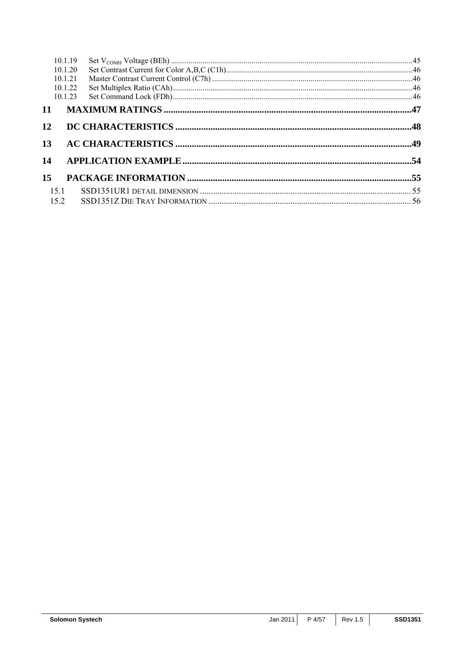| 10.1.19<br>10.1.20<br>10.1.21<br>10.1.22<br>10.1.23 |  |
|-----------------------------------------------------|--|
| 11                                                  |  |
| 12                                                  |  |
| 13                                                  |  |
| 14                                                  |  |
| 15                                                  |  |
| 15.1                                                |  |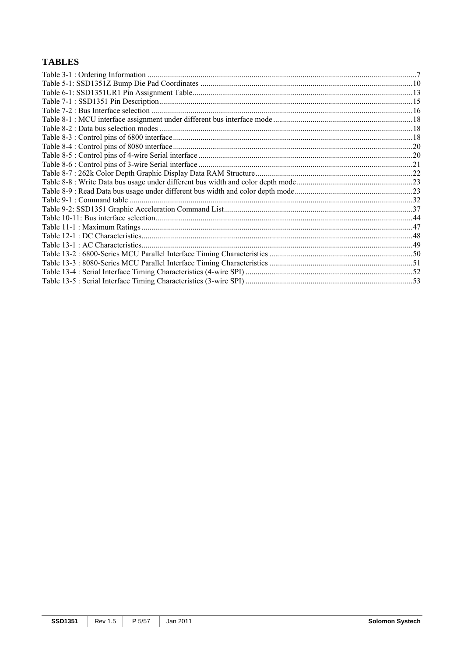## **TABLES**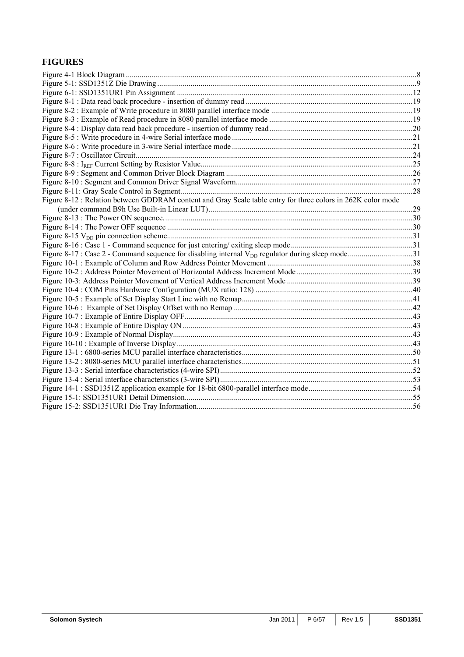## **FIGURES**

| Figure 8-12 : Relation between GDDRAM content and Gray Scale table entry for three colors in 262K color mode |  |
|--------------------------------------------------------------------------------------------------------------|--|
|                                                                                                              |  |
|                                                                                                              |  |
|                                                                                                              |  |
|                                                                                                              |  |
|                                                                                                              |  |
|                                                                                                              |  |
|                                                                                                              |  |
|                                                                                                              |  |
|                                                                                                              |  |
|                                                                                                              |  |
|                                                                                                              |  |
|                                                                                                              |  |
|                                                                                                              |  |
|                                                                                                              |  |
|                                                                                                              |  |
|                                                                                                              |  |
|                                                                                                              |  |
|                                                                                                              |  |
|                                                                                                              |  |
|                                                                                                              |  |
|                                                                                                              |  |
|                                                                                                              |  |
|                                                                                                              |  |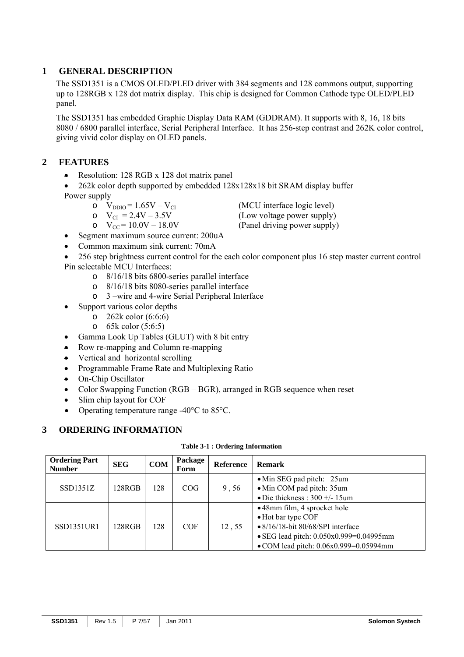## **1 GENERAL DESCRIPTION**

The SSD1351 is a CMOS OLED/PLED driver with 384 segments and 128 commons output, supporting up to 128RGB x 128 dot matrix display. This chip is designed for Common Cathode type OLED/PLED panel.

The SSD1351 has embedded Graphic Display Data RAM (GDDRAM). It supports with 8, 16, 18 bits 8080 / 6800 parallel interface, Serial Peripheral Interface. It has 256-step contrast and 262K color control, giving vivid color display on OLED panels.

## **2 FEATURES**

• Resolution: 128 RGB x 128 dot matrix panel

• 262k color depth supported by embedded 128x128x18 bit SRAM display buffer Power supply

- -
- $\text{o}$  V<sub>CC</sub> = 10.0V 18.0V (Panel driving power supply)

 $V_{\text{DDIO}} = 1.65V - V_{\text{CI}}$  (MCU interface logic level)<br>  $V_{\text{CI}} = 2.4V - 3.5V$  (Low voltage power supply)

 $V_{\text{CI}} = 2.4V - 3.5V$  (Low voltage power supply)<br>  $V_{\text{CC}} = 10.0V - 18.0V$  (Panel driving power supply)

- Segment maximum source current: 200uA
- Common maximum sink current: 70mA
- 256 step brightness current control for the each color component plus 16 step master current control Pin selectable MCU Interfaces:
	- o 8/16/18 bits 6800-series parallel interface
	- o 8/16/18 bits 8080-series parallel interface
	- o 3 –wire and 4-wire Serial Peripheral Interface
- Support various color depths
	- $\degree$  262k color (6:6:6)
	- o 65k color (5:6:5)
- Gamma Look Up Tables (GLUT) with 8 bit entry
- Row re-mapping and Column re-mapping
- Vertical and horizontal scrolling
- Programmable Frame Rate and Multiplexing Ratio
- On-Chip Oscillator
- Color Swapping Function (RGB BGR), arranged in RGB sequence when reset
- Slim chip layout for COF
- Operating temperature range -40°C to 85°C.

## **3 ORDERING INFORMATION**

|  |  |  | Table 3-1 : Ordering Information |
|--|--|--|----------------------------------|
|--|--|--|----------------------------------|

| <b>Ordering Part</b><br><b>Number</b> | <b>SEG</b> | <b>COM</b> | Package<br>Form | <b>Reference</b> | <b>Remark</b>                                                                                                                                                                             |
|---------------------------------------|------------|------------|-----------------|------------------|-------------------------------------------------------------------------------------------------------------------------------------------------------------------------------------------|
| SSD1351Z                              | 128RGB     | 128        | COG             | 9,56             | • Min SEG pad pitch: 25um<br>• Min COM pad pitch: 35um<br>• Die thickness: $300 +/- 15$ um                                                                                                |
| <b>SSD1351UR1</b>                     | 128RGB     | 128        | <b>COF</b>      | 12,55            | • 48mm film, 4 sprocket hole<br>• Hot bar type COF<br>$\bullet$ 8/16/18-bit 80/68/SPI interface<br>• SEG lead pitch: $0.050x0.999=0.04995mm$<br>• COM lead pitch: $0.06x0.999=0.05994$ mm |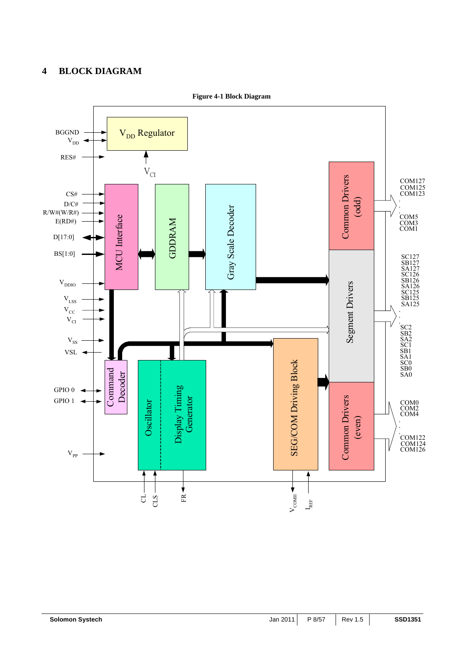## **4 BLOCK DIAGRAM**



**Figure 4-1 Block Diagram**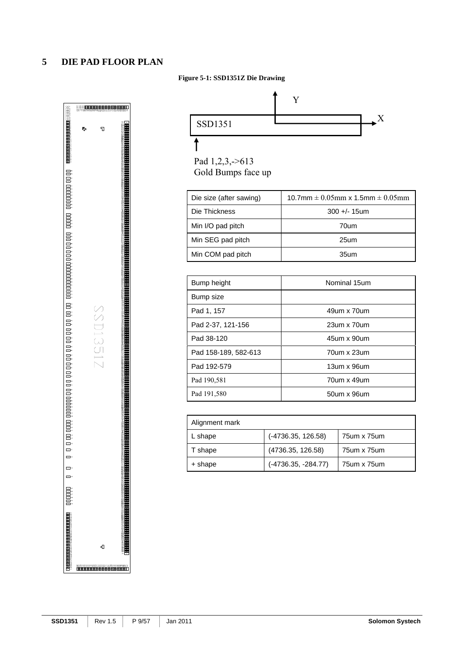## **5 DIE PAD FLOOR PLAN**

#### **Figure 5-1: SSD1351Z Die Drawing**





| Min I/O pad pitch | 70um |
|-------------------|------|
| Min SEG pad pitch | 25um |
| Min COM pad pitch | 35um |
|                   |      |

| Bump height          | Nominal 15um |
|----------------------|--------------|
| Bump size            |              |
| Pad 1, 157           | 49um x 70um  |
| Pad 2-37, 121-156    | 23um x 70um  |
| Pad 38-120           | 45um x 90um  |
| Pad 158-189, 582-613 | 70um x 23um  |
| Pad 192-579          | 13um x 96um  |
| Pad 190,581          | 70um x 49um  |
| Pad 191,580          | 50um x 96um  |

| Alignment mark |                     |               |
|----------------|---------------------|---------------|
| L shape        | (-4736.35, 126.58)  | 75um x 75um   |
| T shape        | (4736.35, 126.58)   | 75um x 75um   |
| + shape        | (-4736.35, -284.77) | 75 um x 75 um |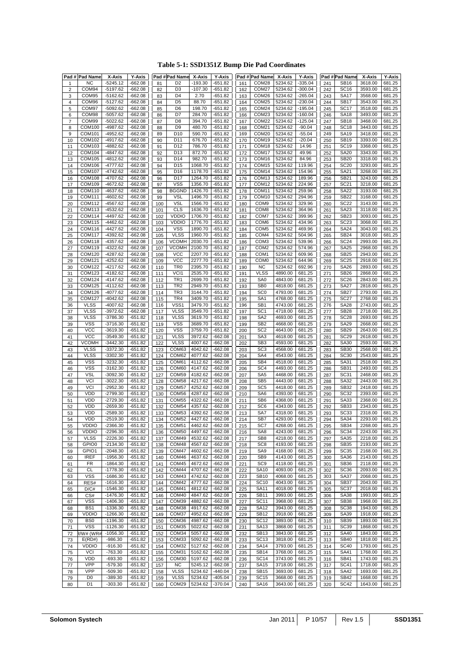## **Table 5-1: SSD1351Z Bump Die Pad Coordinates**

| Pad#           | <b>Pad Name</b>          | X-Axis                   | Y-Axis                 |            | Pad #Pad Name              | X-Axis             | <b>Y-Axis</b>        |            | Pad # Pad Name                         | X-Axis             | <b>Y-Axis</b>    |            | Pad #Pad Name              | X-Axis             | <b>Y-Axis</b>    |
|----------------|--------------------------|--------------------------|------------------------|------------|----------------------------|--------------------|----------------------|------------|----------------------------------------|--------------------|------------------|------------|----------------------------|--------------------|------------------|
| 1              | <b>NC</b>                | $-5245.12$               | $-662.08$              | 81         | D <sub>2</sub>             | $-193.30$          | -651.82              | 161        | COM28                                  | 5234.62            | $-335.04$        | 241        | <b>SB16</b>                | 3618.00            | 681.25           |
| 2              | COM94                    | $-5197.62$               | $-662.08$              | 82         | D <sub>3</sub>             | $-107.30$          | $-651.82$            | 162        | COM27                                  | 5234.62            | $-300.04$        | 242        | <b>SC16</b>                | 3593.00            | 681.25           |
| 3              | COM95                    | -5162.62                 | $-662.08$              | 83         | D <sub>4</sub>             | 2.70               | $-651.82$            | 163        | COM26                                  | 5234.62            | $-265.04$        | 243        | <b>SA17</b>                | 3568.00            | 681.25           |
| $\overline{4}$ | COM96                    | -5127.62                 | $-662.08$              | 84         | D <sub>5</sub>             | 88.70              | -651.82              | 164        | COM <sub>25</sub>                      | 5234.62            | -230.04          | 244        | <b>SB17</b>                | 3543.00            | 681.25           |
| 5              | COM97                    | $-5092.62$               | $-662.08$              | 85         | D <sub>6</sub>             | 198.70             | $-651.82$            | 165        | COM24                                  | 5234.62            | $-195.04$        | 245        | <b>SC17</b>                | 3518.00            | 681.25           |
| 6              | COM98                    | $-5057.62$               | $-662.08$              | 86         | D7                         | 284.70             | $-651.82$            | 166        | COM <sub>23</sub>                      | 5234.62            | $-160.04$        | 246        | <b>SA18</b>                | 3493.00            | 681.25           |
| $\overline{7}$ | COM99                    | -5022.62                 | -662.08                | 87         | D <sub>8</sub>             | 394.70             | $-651.82$            | 167        | COM <sub>22</sub>                      | 5234.62            | $-125.04$        | 247        | SB <sub>18</sub>           | 3468.00            | 681.25           |
| 8              | COM100                   | -4987.62                 | $-662.08$              | 88         | D <sub>9</sub>             | 480.70             | -651.82              | 168        | COM <sub>21</sub>                      | 5234.62            | $-90.04$         | 248        | SC <sub>18</sub>           | 3443.00            | 681.25           |
| 9              | <b>COM101</b>            | -4952.62                 | $-662.08$              | 89         | D <sub>10</sub>            | 590.70             | $-651.82$            | 169        | COM20                                  | 5234.62            | $-55.04$         | 249        | <b>SA19</b>                | 3418.00            | 681.25           |
| 10             | COM102                   | -4917.62                 | $-662.08$              | 90         | D <sub>11</sub>            | 676.70             | -651.82              | 170        | COM <sub>19</sub>                      | 5234.62            | $-20.04$         | 250        | <b>SB19</b>                | 3393.00            | 681.25           |
| 11             | COM103                   | -4882.62                 | $-662.08$              | 91         | D <sub>12</sub>            | 786.70             | -651.82              | 171        | COM <sub>18</sub>                      | 5234.62            | 14.96            | 251        | <b>SC19</b>                | 3368.00            | 681.25           |
| 12             | COM104                   | -4847.62                 | $-662.08$              | 92         | D <sub>13</sub>            | 872.70             | $-651.82$            | 172        | COM <sub>17</sub>                      | 5234.62            | 49.96            | 252        | <b>SA20</b>                | 3343.00            | 681.25           |
| 13             | COM105                   | -4812.62                 | $-662.08$              | 93         | D14                        | 982.70             | -651.82              | 173        | COM <sub>16</sub>                      | 5234.62            | 84.96            | 253        | <b>SB20</b>                | 3318.00            | 681.25           |
| 14             | COM106                   | -4777.62                 | $-662.08$              | 94         | D <sub>15</sub>            | 1068.70            | -651.82              | 174        | COM <sub>15</sub>                      | 5234.62            | 119.96           | 254        | <b>SC20</b>                | 3293.00            | 681.25           |
| 15             | <b>COM107</b>            | -4742.62                 | $-662.08$              | 95         | D <sub>16</sub>            | 1178.70            | -651.82              | 175        | COM14                                  | 5234.62            | 154.96           | 255        | SA21                       | 3268.00            | 681.25           |
| 16             | <b>COM108</b>            | -4707.62                 | $-662.08$              | 96         | D17                        | 1264.70            | $-651.82$            | 176        | COM <sub>13</sub>                      | 5234.62            | 189.96           | 256        | <b>SB21</b>                | 3243.00            | 681.25           |
| 17             | COM109                   | $-4672.62$               | -662.08                | 97         | <b>VSS</b><br><b>BGGND</b> | 1356.70            | -651.82              | 177        | COM <sub>12</sub>                      | 5234.62            | 224.96           | 257        | SC21                       | 3218.00            | 681.25           |
| 18             | COM110<br>COM111         | -4637.62<br>-4602.62     | $-662.08$<br>$-662.08$ | 98         | <b>VSL</b>                 | 1426.70<br>1496.70 | -651.82<br>$-651.82$ | 178        | COM <sub>11</sub><br>COM <sub>10</sub> | 5234.62<br>5234.62 | 259.96<br>294.96 | 258        | <b>SA22</b><br><b>SB22</b> | 3193.00<br>3168.00 | 681.25<br>681.25 |
| 19<br>20       | COM112                   | $-4567.62$               | $-662.08$              | 99<br>100  | <b>VSL</b>                 | 1566.70            | -651.82              | 179<br>180 | COM <sub>9</sub>                       | 5234.62            | 329.96           | 259<br>260 | <b>SC22</b>                | 3143.00            | 681.25           |
| 21             | COM113                   | -4532.62                 | $-662.08$              | 101        | <b>CLS</b>                 | 1636.70            | -651.82              | 181        | COM <sub>8</sub>                       | 5234.62            | 364.96           | 261        | <b>SA23</b>                | 3118.00            | 681.25           |
| 22             | <b>COM114</b>            | -4497.62                 | $-662.08$              | 102        | <b>VDDIO</b>               | 1706.70            | -651.82              | 182        | COM7                                   | 5234.62            | 399.96           | 262        | SB23                       | 3093.00            | 681.25           |
| 23             | <b>COM115</b>            | $-4462.62$               | $-662.08$              | 103        | <b>VDDIO</b>               | 1776.70            | -651.82              | 183        | COM <sub>6</sub>                       | 5234.62            | 434.96           | 263        | <b>SC23</b>                | 3068.00            | 681.25           |
| 24             | COM116                   | -4427.62                 | $-662.08$              | 104        | <b>VSS</b>                 | 1890.70            | -651.82              | 184        | COM <sub>5</sub>                       | 5234.62            | 469.96           | 264        | <b>SA24</b>                | 3043.00            | 681.25           |
| 25             | <b>COM117</b>            | -4392.62                 | $-662.08$              | 105        | <b>VLSS</b>                | 1960.70            | $-651.82$            | 185        | COM4                                   | 5234.62            | 504.96           | 265        | <b>SB24</b>                | 3018.00            | 681.25           |
| 26             | COM118                   | -4357.62                 | -662.08                | 106        | <b>VCOMH</b>               | 2030.70            | $-651.82$            | 186        | COM3                                   | 5234.62            | 539.96           | 266        | SC <sub>24</sub>           | 2993.00            | 681.25           |
| 27             | COM119                   | -4322.62                 | $-662.08$              | 107        | <b>VCOMH</b>               | 2100.70            | -651.82              | 187        | COM <sub>2</sub>                       | 5234.62            | 574.96           | 267        | <b>SA25</b>                | 2968.00            | 681.25           |
| 28             | <b>COM120</b>            | -4287.62                 | $-662.08$              | 108        | <b>VCC</b>                 | 2207.70            | $-651.82$            | 188        | COM <sub>1</sub>                       | 5234.62            | 609.96           | 268        | <b>SB25</b>                | 2943.00            | 681.25           |
| 29             | <b>COM121</b>            | -4252.62                 | $-662.08$              | 109        | <b>VCC</b>                 | 2277.70            | $-651.82$            | 189        | COM <sub>0</sub>                       | 5234.62            | 644.96           | 269        | <b>SC25</b>                | 2918.00            | 681.25           |
| 30             | <b>COM122</b>            | -4217.62                 | $-662.08$              | 110        | TR <sub>0</sub>            | 2395.70            | $-651.82$            | 190        | <b>NC</b>                              | 5234.62            | 692.96           | 270        | <b>SA26</b>                | 2893.00            | 681.25           |
| 31             | COM123                   | -4182.62                 | $-662.08$              | 111        | VCI <sub>1</sub>           | 2535.70            | $-651.82$            | 191        | <b>VLSS</b>                            | 4890.00            | 681.25           | 271        | <b>SB26</b>                | 2868.00            | 681.25           |
| 32             | <b>COM124</b>            | $-4147.62$               | $-662.08$              | 112        | TR1                        | 2699.70            | -651.82              | 192        | SA <sub>0</sub>                        | 4843.00            | 681.25           | 272        | SC <sub>26</sub>           | 2843.00            | 681.25           |
| 33             | <b>COM125</b>            | $-4112.62$               | $-662.08$              | 113        | TR <sub>2</sub>            | 2949.70            | $-651.82$            | 193        | SB <sub>0</sub>                        | 4818.00            | 681.25           | 273        | <b>SA27</b>                | 2818.00            | 681.25           |
| 34             | <b>COM126</b>            | -4077.62                 | $-662.08$              | 114        | TR <sub>3</sub>            | 3144.70            | -651.82              | 194        | SC <sub>0</sub>                        | 4793.00            | 681.25           | 274        | <b>SB27</b>                | 2793.00            | 681.25           |
| 35             | <b>COM127</b>            | -4042.62                 | $-662.08$              | 115        | TR4                        | 3409.70            | -651.82              | 195        | SA <sub>1</sub>                        | 4768.00            | 681.25           | 275        | <b>SC27</b>                | 2768.00            | 681.25           |
| 36             | <b>VLSS</b>              | -4007.62                 | $-662.08$              | 116        | VSS1                       | 3479.70            | $-651.82$            | 196        | SB <sub>1</sub>                        | 4743.00            | 681.25           | 276        | <b>SA28</b>                | 2743.00            | 681.25           |
| 37             | <b>VLSS</b>              | -3972.62                 | $-662.08$              | 117        | <b>VLSS</b>                | 3549.70            | $-651.82$            | 197        | SC <sub>1</sub>                        | 4718.00            | 681.25           | 277        | <b>SB28</b>                | 2718.00            | 681.25           |
| 38             | <b>VLSS</b>              | -3786.30                 | -651.82                | 118        | <b>VLSS</b>                | 3619.70            | -651.82              | 198        | SA <sub>2</sub>                        | 4693.00            | 681.25           | 278        | <b>SC28</b>                | 2693.00            | 681.25           |
| 39             | VSS                      | -3716.30                 | -651.82                | 119        | <b>VSS</b>                 | 3689.70            | -651.82              | 199        | SB <sub>2</sub>                        | 4668.00            | 681.25           | 279        | <b>SA29</b>                | 2668.00            | 681.25           |
| 40             | <b>VCC</b>               | $-3619.30$               | -651.82                | 120        | <b>VSS</b>                 | 3759.70            | $-651.82$            | 200        | SC <sub>2</sub>                        | 4643.00            | 681.25           | 280        | <b>SB29</b>                | 2643.00            | 681.25           |
| 41             | <b>VCC</b>               | $-3549.30$               | -651.82                | 121        | <b>VLSS</b>                | 3972.62            | -662.08              | 201        | SA <sub>3</sub>                        | 4618.00            | 681.25           | 281        | <b>SC29</b>                | 2618.00            | 681.25           |
| 42             | VCOMH                    | $-3442.30$               | -651.82                | 122        | <b>VLSS</b>                | 4007.62            | -662.08              | 202        | SB <sub>3</sub>                        | 4593.00            | 681.25           | 282        | SA30                       | 2593.00            | 681.25           |
| 43             | <b>VLSS</b>              | $-3372.30$               | $-651.82$              | 123        | COM63                      | 4042.62            | $-662.08$            | 203        | SC <sub>3</sub>                        | 4568.00            | 681.25           | 283        | <b>SB30</b>                | 2568.00            | 681.25           |
| 44             | <b>VLSS</b>              | $-3302.30$               | $-651.82$              | 124        | COM62                      | 4077.62            | $-662.08$            | 204        | SA4                                    | 4543.00            | 681.25           | 284        | <b>SC30</b>                | 2543.00            | 681.25           |
| 45             | <b>VSS</b>               | -3232.30                 | -651.82<br>$-651.82$   | 125        | COM61<br>COM60             | 4112.62<br>4147.62 | -662.08              | 205        | SB4<br>SC <sub>4</sub>                 | 4518.00<br>4493.00 | 681.25<br>681.25 | 285        | SA31                       | 2518.00<br>2493.00 | 681.25           |
| 46<br>47       | <b>VSS</b><br><b>VSL</b> | $-3162.30$<br>$-3092.30$ |                        | 126        | COM59                      | 4182.62            | -662.08<br>$-662.08$ | 206        | SA <sub>5</sub>                        | 4468.00            | 681.25           | 286        | SB31<br><b>SC31</b>        | 2468.00            | 681.25<br>681.25 |
| 48             | VCI                      | $-3022.30$               | -651.82<br>-651.82     | 127<br>128 | COM58                      | 4217.62            | $-662.08$            | 207<br>208 | SB <sub>5</sub>                        | 4443.00            | 681.25           | 287<br>288 | SA32                       | 2443.00            | 681.25           |
| 49             | <b>VCI</b>               | -2952.30                 | $-651.82$              | 129        | COM <sub>57</sub>          | 4252.62            | $-662.08$            | 209        | SC <sub>5</sub>                        | 4418.00            | 681.25           | 289        | <b>SB32</b>                | 2418.00            | 681.25           |
| 50             | <b>VDD</b>               | -2799.30                 | -651.82                | 130        | COM56                      | 4287.62            | $-662.08$            | 210        | SA6                                    | 4393.00            | 681.25           | 290        | <b>SC32</b>                | 2393.00            | 681.25           |
| 51             | <b>VDD</b>               | -2729.30                 | -651.82                | 131        | COM <sub>55</sub>          | 4322.62            | -662.08              | 211        | SB <sub>6</sub>                        | 4368.00            | 681.25           | 291        | SA33                       | 2368.00            | 681.25           |
| 52             | <b>VDD</b>               | -2659.30                 | $-651.82$              | 132        | COM54                      | 4357.62            | $-662.08$            | 212        | SC <sub>6</sub>                        | 4343.00            | 681.25           | 292        | <b>SB33</b>                | 2343.00            | 681.25           |
| 53             | <b>VDD</b>               | -2589.30                 | $-651.82$              | 133        | COM53                      | 4392.62            | -662.08              | 213        | SA7                                    | 4318.00            | 681.25           | 293        | <b>SC33</b>                | 2318.00            | 681.25           |
| 54             | <b>VDD</b>               | $-2519.30$               | -651.82                | 134        | COM52                      | 4427.62            | $-662.08$            | 214        | SB7                                    | 4293.00            | 681.25           | 294        | SA34                       | 2293.00            | 681.25           |
| 55             | VDDIO                    | $-2366.30$               | -651.82                | 135        | COM51                      | 4462.62            | $-662.08$            | 215        | SC7                                    | 4268.00            | 681.25           | 295        | SB34                       | 2268.00            | 681.25           |
| 56             | <b>VDDIO</b>             | -2296.30                 | -651.82                | 136        | COM50                      | 4497.62            | -662.08              | 216        | SA <sub>8</sub>                        | 4243.00            | 681.25           | 296        | <b>SC34</b>                | 2243.00            | 681.25           |
| 57             | <b>VLSS</b>              | $-2226.30$               | -651.82                | 137        | COM49                      | 4532.62            | -662.08              | 217        | SB <sub>8</sub>                        | 4218.00            | 681.25           | 297        | SA35                       | 2218.00            | 681.25           |
| 58             | GPIO0                    | $-2134.30$               | -651.82                | 138        | COM48                      | 4567.62            | $-662.08$            | 218        | SC <sub>8</sub>                        | 4193.00            | 681.25           | 298        | <b>SB35</b>                | 2193.00            | 681.25           |
| 59             | GPIO1                    | $-2048.30$               | -651.82                | 139        | COM <sub>47</sub>          | 4602.62            | $-662.08$            | 219        | SA <sub>9</sub>                        | 4168.00            | 681.25           | 299        | <b>SC35</b>                | 2168.00            | 681.25           |
| 60             | <b>IREF</b>              | -1956.30                 | -651.82                | 140        | COM46                      | 4637.62            | -662.08              | 220        | SB <sub>9</sub>                        | 4143.00            | 681.25           | 300        | SA36                       | 2143.00            | 681.25           |
| 61             | <b>FR</b>                | $-1864.30$               | $-651.82$              | 141        | COM <sub>45</sub>          | 4672.62            | -662.08              | 221        | SC <sub>9</sub>                        | 4118.00            | 681.25           | 301        | <b>SB36</b>                | 2118.00            | 681.25           |
| 62             | CL                       | -1778.30                 | -651.82                | 142        | COM44                      | 4707.62            | -662.08              | 222        | <b>SA10</b>                            | 4093.00            | 681.25           | 302        | SC <sub>36</sub>           | 2093.00            | 681.25           |
| 63             | <b>VSS</b>               | -1686.30                 | $-651.82$              | 143        | COM43                      | 4742.62            | -662.08              | 223        | <b>SB10</b>                            | 4068.00            | 681.25           | 303        | <b>SA37</b>                | 2068.00            | 681.25           |
| 64             | RES#                     | $-1616.30$               | $-651.82$              | 144        | COM42                      | 4777.62            | -662.08              | 224        | <b>SC10</b>                            | 4043.00            | 681.25           | 304        | SB <sub>37</sub>           | 2043.00            | 681.25           |
| 65             | D/C#                     | $-1546.30$               | -651.82                | 145        | COM41                      | 4812.62            | -662.08              | 225        | <b>SA11</b>                            | 4018.00            | 681.25           | 305        | SC <sub>37</sub>           | 2018.00            | 681.25           |
| 66             | CS#                      | -1476.30                 | -651.82                | 146        | COM40                      | 4847.62            | $-662.08$            | 226        | <b>SB11</b>                            | 3993.00            | 681.25           | 306        | <b>SA38</b>                | 1993.00            | 681.25           |
| 67             | <b>VSS</b>               | $-1406.30$               | -651.82                | 147        | COM39                      | 4882.62            | -662.08              | 227        | <b>SC11</b>                            | 3968.00            | 681.25           | 307        | <b>SB38</b>                | 1968.00            | 681.25           |
| 68             | BS <sub>1</sub>          | -1336.30                 | $-651.82$              | 148        | COM38                      | 4917.62            | -662.08              | 228        | <b>SA12</b>                            | 3943.00            | 681.25           | 308        | SC <sub>38</sub>           | 1943.00            | 681.25           |
| 69             | <b>VDDIO</b>             | $-1266.30$               | $-651.82$              | 149        | COM37                      | 4952.62            | $-662.08$            | 229        | <b>SB12</b>                            | 3918.00            | 681.25           | 309        | SA39                       | 1918.00            | 681.25           |
| 70             | BS <sub>0</sub>          | $-1196.30$               | -651.82                | 150        | COM36                      | 4987.62            | -662.08              | 230        | <b>SC12</b>                            | 3893.00            | 681.25           | 310        | <b>SB39</b>                | 1893.00            | 681.25           |
| 71             | <b>VSS</b>               | $-1126.30$               | $-651.82$              | 151        | COM35                      | 5022.62            | $-662.08$            | 231        | SA13                                   | 3868.00            | 681.25           | 311        | <b>SC39</b>                | 1868.00            | 681.25           |
| 72             | <b>R/W# (WR#</b>         | $-1056.30$<br>$-986.30$  | -651.82                | 152        | COM34                      | 5057.62            | $-662.08$            | 232        | SB <sub>13</sub>                       | 3843.00            | 681.25<br>681.25 | 312        | <b>SA40</b><br><b>SB40</b> | 1843.00            | 681.25<br>681.25 |
| 73             | E(RD#)<br><b>VDDIO</b>   | $-916.30$                | -651.82<br>-651.82     | 153        | COM33<br>COM32             | 5092.62<br>5127.62 | -662.08<br>-662.08   | 233        | SC <sub>13</sub><br><b>SA14</b>        | 3818.00<br>3793.00 | 681.25           | 313        | <b>SC40</b>                | 1818.00<br>1793.00 | 681.25           |
| 74             | VCI                      | $-763.30$                | -651.82                | 154        | COM31                      | 5162.62            | $-662.08$            | 234        | <b>SB14</b>                            | 3768.00            | 681.25           | 314<br>315 | SA41                       | 1768.00            | 681.25           |
| 75<br>76       | <b>VDD</b>               | $-693.30$                | -651.82                | 155<br>156 | COM30                      | 5197.62            | -662.08              | 235<br>236 | SC <sub>14</sub>                       | 3743.00            | 681.25           | 316        | SB41                       | 1743.00            | 681.25           |
| 77             | <b>VPP</b>               | $-579.30$                | -651.82                | 157        | NC                         | 5245.12            | -662.08              | 237        | <b>SA15</b>                            | 3718.00            | 681.25           | 317        | <b>SC41</b>                | 1718.00            | 681.25           |
| 78             | VPP                      | $-509.30$                | $-651.82$              | 158        | <b>VLSS</b>                | 5234.62            | $-440.04$            | 238        | <b>SB15</b>                            | 3693.00            | 681.25           | 318        | <b>SA42</b>                | 1693.00            | 681.25           |
| 79             | D <sub>0</sub>           | $-389.30$                | -651.82                | 159        | <b>VLSS</b>                | 5234.62            | -405.04              | 239        | <b>SC15</b>                            | 3668.00            | 681.25           | 319        | <b>SB42</b>                | 1668.00            | 681.25           |
| 80             | D <sub>1</sub>           | $-303.30$                | -651.82                | 160        | COM29                      | 5234.62            | -370.04              | 240        | <b>SA16</b>                            | 3643.00            | 681.25           | 320        | <b>SC42</b>                | 1643.00            | 681.25           |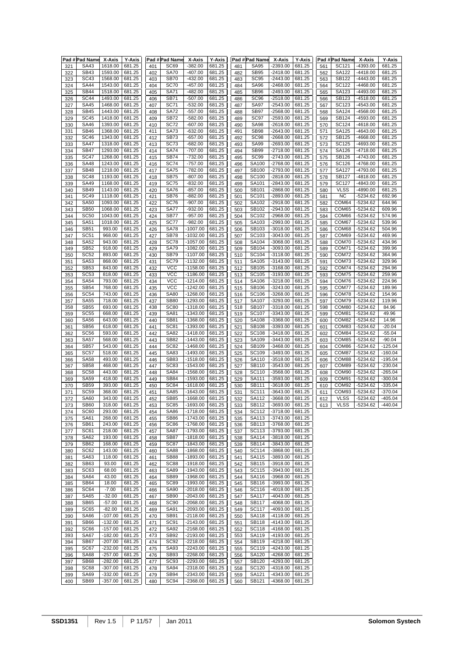|     | Pad #Pad Name X-Axis |           | <b>Y-Axis</b> |     | Pad # Pad Name   | X-Axis     | <b>Y-Axis</b> |     | Pad #Pad Name    | X-Axis     | <b>Y-Axis</b> |     | Pad #Pad Name | X-Axis     | Y-Axis    |
|-----|----------------------|-----------|---------------|-----|------------------|------------|---------------|-----|------------------|------------|---------------|-----|---------------|------------|-----------|
| 321 | SA43                 | 1618.00   | 681.25        | 401 | <b>SC69</b>      | $-382.00$  | 681.25        | 481 | <b>SA95</b>      | $-2393.00$ | 681.25        | 561 | SC121         | -4393.00   | 681.25    |
| 322 | <b>SB43</b>          | 1593.00   | 681.25        | 402 | <b>SA70</b>      | $-407.00$  | 681.25        | 482 | <b>SB95</b>      | $-2418.00$ | 681.25        | 562 | SA122         | -4418.00   | 681.25    |
|     |                      |           |               |     |                  |            |               |     |                  |            |               |     |               |            |           |
| 323 | <b>SC43</b>          | 1568.00   | 681.25        | 403 | <b>SB70</b>      | $-432.00$  | 681.25        | 483 | <b>SC95</b>      | $-2443.00$ | 681.25        | 563 | <b>SB122</b>  | -4443.00   | 681.25    |
| 324 | <b>SA44</b>          | 1543.00   | 681.25        | 404 | <b>SC70</b>      | $-457.00$  | 681.25        | 484 | <b>SA96</b>      | $-2468.00$ | 681.25        | 564 | SC122         | -4468.00   | 681.25    |
| 325 | <b>SB44</b>          | 1518.00   | 681.25        | 405 | <b>SA71</b>      | $-482.00$  | 681.25        | 485 | <b>SB96</b>      | -2493.00   | 681.25        | 565 | SA123         | -4493.00   | 681.25    |
|     | <b>SC44</b>          |           |               |     |                  |            |               |     | SC <sub>96</sub> |            |               |     | SB123         | -4518.00   |           |
| 326 |                      | 1493.00   | 681.25        | 406 | <b>SB71</b>      | $-507.00$  | 681.25        | 486 |                  | -2518.00   | 681.25        | 566 |               |            | 681.25    |
| 327 | <b>SA45</b>          | 1468.00   | 681.25        | 407 | <b>SC71</b>      | $-532.00$  | 681.25        | 487 | <b>SA97</b>      | $-2543.00$ | 681.25        | 567 | SC123         | -4543.00   | 681.25    |
| 328 | <b>SB45</b>          | 1443.00   | 681.25        | 408 | <b>SA72</b>      | $-557.00$  | 681.25        | 488 | <b>SB97</b>      | $-2568.00$ | 681.25        | 568 | SA124         | -4568.00   | 681.25    |
| 329 | <b>SC45</b>          | 1418.00   | 681.25        | 409 | <b>SB72</b>      | $-582.00$  | 681.25        | 489 | SC97             | $-2593.00$ | 681.25        | 569 | SB124         | -4593.00   | 681.25    |
|     |                      |           |               |     |                  |            |               |     |                  |            |               |     |               |            |           |
| 330 | <b>SA46</b>          | 1393.00   | 681.25        | 410 | <b>SC72</b>      | $-607.00$  | 681.25        | 490 | <b>SA98</b>      | $-2618.00$ | 681.25        | 570 | SC124         | $-4618.00$ | 681.25    |
| 331 | <b>SB46</b>          | 1368.00   | 681.25        | 411 | <b>SA73</b>      | $-632.00$  | 681.25        | 491 | <b>SB98</b>      | $-2643.00$ | 681.25        | 571 | SA125         | -4643.00   | 681.25    |
| 332 | <b>SC46</b>          | 1343.00   | 681.25        | 412 | SB73             | $-657.00$  | 681.25        | 492 | SC <sub>98</sub> | -2668.00   | 681.25        | 572 | SB125         | -4668.00   | 681.25    |
| 333 | <b>SA47</b>          | 1318.00   | 681.25        | 413 | SC73             | $-682.00$  | 681.25        | 493 | <b>SA99</b>      | -2693.00   | 681.25        | 573 | SC125         | -4693.00   | 681.25    |
|     |                      |           |               |     |                  |            |               |     |                  | $-2718.00$ |               |     | SA126         |            |           |
| 334 | <b>SB47</b>          | 1293.00   | 681.25        | 414 | <b>SA74</b>      | $-707.00$  | 681.25        | 494 | <b>SB99</b>      |            | 681.25        | 574 |               | -4718.00   | 681.25    |
| 335 | $\overline{SC}$ 47   | 1268.00   | 681.25        | 415 | <b>SB74</b>      | $-732.00$  | 681.25        | 495 | <b>SC99</b>      | $-2743.00$ | 681.25        | 575 | SB126         | $-4743.00$ | 681.25    |
| 336 | <b>SA48</b>          | 1243.00   | 681.25        | 416 | <b>SC74</b>      | $-757.00$  | 681.25        | 496 | SA100            | -2768.00   | 681.25        | 576 | SC126         | -4768.00   | 681.25    |
| 337 | <b>SB48</b>          | 1218.00   | 681.25        | 417 | <b>SA75</b>      | $-782.00$  | 681.25        | 497 | SB100            | -2793.00   | 681.25        | 577 | SA127         | -4793.00   | 681.25    |
| 338 | <b>SC48</b>          | 1193.00   | 681.25        | 418 | <b>SB75</b>      | $-807.00$  | 681.25        | 498 | SC100            | $-2818.00$ | 681.25        | 578 | SB127         | -4818.00   | 681.25    |
|     |                      |           |               |     |                  |            |               |     |                  |            |               |     |               |            |           |
| 339 | <b>SA49</b>          | 1168.00   | 681.25        | 419 | <b>SC75</b>      | $-832.00$  | 681.25        | 499 | SA101            | -2843.00   | 681.25        | 579 | SC127         | -4843.00   | 681.25    |
| 340 | <b>SB49</b>          | 1143.00   | 681.25        | 420 | <b>SA76</b>      | $-857.00$  | 681.25        | 500 | SB101            | $-2868.00$ | 681.25        | 580 | <b>VLSS</b>   | -4890.00   | 681.25    |
| 341 | <b>SC49</b>          | 1118.00   | 681.25        | 421 | <b>SB76</b>      | $-882.00$  | 681.25        | 501 | SC101            | -2893.00   | 681.25        | 581 | <b>NC</b>     | -5234.62   | 692.96    |
| 342 | <b>SA50</b>          | 1093.00   | 681.25        | 422 | <b>SC76</b>      | $-907.00$  | 681.25        | 502 | SA102            | $-2918.00$ | 681.25        | 582 | COM64         | $-5234.62$ | 644.96    |
|     |                      |           |               |     |                  |            |               |     |                  |            |               |     |               |            |           |
| 343 | <b>SB50</b>          | 1068.00   | 681.25        | 423 | <b>SA77</b>      | $-932.00$  | 681.25        | 503 | SB102            | $-2943.00$ | 681.25        | 583 | COM65         | $-5234.62$ | 609.96    |
| 344 | <b>SC50</b>          | 1043.00   | 681.25        | 424 | <b>SB77</b>      | $-957.00$  | 681.25        | 504 | SC102            | -2968.00   | 681.25        | 584 | COM66         | -5234.62   | 574.96    |
| 345 | <b>SA51</b>          | 1018.00   | 681.25        | 425 | <b>SC77</b>      | $-982.00$  | 681.25        | 505 | SA103            | -2993.00   | 681.25        | 585 | COM67         | -5234.62   | 539.96    |
| 346 | <b>SB51</b>          | 993.00    | 681.25        | 426 | <b>SA78</b>      | $-1007.00$ | 681.25        | 506 | SB103            | -3018.00   | 681.25        | 586 | COM68         | -5234.62   | 504.96    |
|     |                      |           |               |     |                  |            |               |     |                  |            |               |     |               |            |           |
| 347 | SC51                 | 968.00    | 681.25        | 427 | SB78             | $-1032.00$ | 681.25        | 507 | SC103            | -3043.00   | 681.25        | 587 | COM69         | $-5234.62$ | 469.96    |
| 348 | <b>SA52</b>          | 943.00    | 681.25        | 428 | <b>SC78</b>      | $-1057.00$ | 681.25        | 508 | <b>SA104</b>     | -3068.00   | 681.25        | 588 | COM70         | $-5234.62$ | 434.96    |
| 349 | <b>SB52</b>          | 918.00    | 681.25        | 429 | <b>SA79</b>      | $-1082.00$ | 681.25        | 509 | SB104            | $-3093.00$ | 681.25        | 589 | COM71         | $-5234.62$ | 399.96    |
| 350 | <b>SC52</b>          | 893.00    | 681.25        | 430 | <b>SB79</b>      | $-1107.00$ | 681.25        | 510 | SC104            | -3118.00   | 681.25        | 590 | COM72         | $-5234.62$ | 364.96    |
|     |                      |           |               |     |                  |            | 681.25        |     |                  |            |               |     |               |            |           |
| 351 | SA53                 | 868.00    | 681.25        | 431 | <b>SC79</b>      | $-1132.00$ |               | 511 | SA105            | $-3143.00$ | 681.25        | 591 | COM73         | $-5234.62$ | 329.96    |
| 352 | <b>SB53</b>          | 843.00    | 681.25        | 432 | <b>VCC</b>       | $-1158.00$ | 681.25        | 512 | SB105            | $-3168.00$ | 681.25        | 592 | COM74         | $-5234.62$ | 294.96    |
| 353 | SC <sub>53</sub>     | 818.00    | 681.25        | 433 | <b>VCC</b>       | $-1186.00$ | 681.25        | 513 | SC105            | -3193.00   | 681.25        | 593 | COM75         | -5234.62   | 259.96    |
| 354 | <b>SA54</b>          | 793.00    | 681.25        | 434 | $\overline{VCC}$ | $-1214.00$ | 681.25        | 514 | SA106            | $-3218.00$ | 681.25        | 594 | COM76         | $-5234.62$ | 224.96    |
|     |                      |           |               |     | <b>VCC</b>       |            |               |     |                  |            |               |     | COM77         |            |           |
| 355 | <b>SB54</b>          | 768.00    | 681.25        | 435 |                  | $-1242.00$ | 681.25        | 515 | SB106            | $-3243.00$ | 681.25        | 595 |               | $-5234.62$ | 189.96    |
| 356 | <b>SC54</b>          | 743.00    | 681.25        | 436 | <b>SA80</b>      | $-1268.00$ | 681.25        | 516 | SC106            | -3268.00   | 681.25        | 596 | COM78         | $-5234.62$ | 154.96    |
| 357 | <b>SA55</b>          | 718.00    | 681.25        | 437 | <b>SB80</b>      | $-1293.00$ | 681.25        | 517 | SA107            | -3293.00   | 681.25        | 597 | COM79         | $-5234.62$ | 119.96    |
| 358 | <b>SB55</b>          | 693.00    | 681.25        | 438 | <b>SC80</b>      | $-1318.00$ | 681.25        | 518 | SB107            | -3318.00   | 681.25        | 598 | COM80         | $-5234.62$ | 84.96     |
|     | <b>SC55</b>          | 668.00    | 681.25        |     | <b>SA81</b>      | $-1343.00$ | 681.25        |     | SC107            | $-3343.00$ | 681.25        |     | COM81         | -5234.62   | 49.96     |
| 359 |                      |           |               | 439 |                  |            |               | 519 |                  |            |               | 599 |               |            |           |
| 360 | <b>SA56</b>          | 643.00    | 681.25        | 440 | <b>SB81</b>      | $-1368.00$ | 681.25        | 520 | SA108            | -3368.00   | 681.25        | 600 | COM82         | $-5234.62$ | 14.96     |
| 361 | <b>SB56</b>          | 618.00    | 681.25        | 441 | SC81             | -1393.00   | 681.25        | 521 | SB108            | -3393.00   | 681.25        | 601 | COM83         | $-5234.62$ | $-20.04$  |
| 362 | <b>SC56</b>          | 593.00    | 681.25        | 442 | <b>SA82</b>      | $-1418.00$ | 681.25        | 522 | SC108            | $-3418.00$ | 681.25        | 602 | COM84         | $-5234.62$ | $-55.04$  |
| 363 | <b>SA57</b>          | 568.00    | 681.25        | 443 | <b>SB82</b>      | $-1443.00$ | 681.25        | 523 | SA109            | $-3443.00$ | 681.25        | 603 | COM85         | -5234.62   | $-90.04$  |
|     |                      |           |               |     |                  |            |               |     |                  |            |               |     |               |            |           |
| 364 | <b>SB57</b>          | 543.00    | 681.25        | 444 | <b>SC82</b>      | $-1468.00$ | 681.25        | 524 | SB109            | -3468.00   | 681.25        | 604 | COM86         | $-5234.62$ | $-125.04$ |
| 365 | <b>SC57</b>          | 518.00    | 681.25        | 445 | SA83             | -1493.00   | 681.25        | 525 | SC109            | -3493.00   | 681.25        | 605 | COM87         | $-5234.62$ | $-160.04$ |
| 366 | <b>SA58</b>          | 493.00    | 681.25        | 446 | <b>SB83</b>      | $-1518.00$ | 681.25        | 526 | SA110            | -3518.00   | 681.25        | 606 | COM88         | -5234.62   | $-195.04$ |
| 367 | <b>SB58</b>          | 468.00    | 681.25        | 447 | <b>SC83</b>      | $-1543.00$ | 681.25        | 527 | SB110            | 3543.00    | 681.25        | 607 | COM89         | -5234.62   | $-230.04$ |
|     |                      |           |               |     |                  |            |               |     |                  |            |               |     |               |            |           |
| 368 | SC58                 | 443.00    | 681.25        | 448 | <b>SA84</b>      | $-1568.00$ | 681.25        | 528 | SC110            | $-3568.00$ | 681.25        | 608 | COM90         | $-5234.62$ | $-265.04$ |
| 369 | <b>SA59</b>          | 418.00    | 681.25        | 449 | <b>SB84</b>      | $-1593.00$ | 681.25        | 529 | SA111            | -3593.00   | 681.25        | 609 | COM91         | -5234.62   | $-300.04$ |
| 370 | <b>SB59</b>          | 393.00    | 681.25        | 450 | <b>SC84</b>      | $-1618.00$ | 681.25        | 530 | SB111            | -3618.00   | 681.25        | 610 | COM92         | $-5234.62$ | $-335.04$ |
| 371 | <b>SC59</b>          | 368.00    | 681.25        | 451 | <b>SA85</b>      | $-1643.00$ | 681.25        | 531 | SC111            | $-3643.00$ | 681.25        | 611 | COM93         | -5234.62   | $-370.04$ |
|     |                      |           |               |     |                  |            |               |     |                  |            |               |     |               |            |           |
| 372 | <b>SA60</b>          | 343.00    | 681.25        | 452 | <b>SB85</b>      | $-1668.00$ | 681.25        | 532 | SA112            | -3668.00   | 681.25        | 612 | <b>VLSS</b>   | -5234.62   | $-405.04$ |
| 373 | <b>SB60</b>          | 318.00    | 681.25        | 453 | SC85             | -1693.00   | 681.25        | 533 | SB112            | -3693.00   | 681.25        | 613 | <b>VLSS</b>   | -5234.62   | $-440.04$ |
| 374 | SC60                 | 293.00    | 681.25        | 454 | SA86             | -1718.00   | 681.25        | 534 | SC112            | -3718.00   | 681.25        |     |               |            |           |
| 375 | SA61                 | 268.00    | 681.25        | 455 | <b>SB86</b>      | $-1743.00$ | 681.25        | 535 | SA113            | $-3743.00$ | 681.25        |     |               |            |           |
| 376 | SB61                 | 243.00    | 681.25        | 456 | <b>SC86</b>      | $-1768.00$ | 681.25        | 536 | SB113            | -3768.00   | 681.25        |     |               |            |           |
|     |                      |           |               |     |                  |            |               |     |                  |            |               |     |               |            |           |
| 377 | SC61                 | 218.00    | 681.25        | 457 | <b>SA87</b>      | $-1793.00$ | 681.25        | 537 | SC113            | -3793.00   | 681.25        |     |               |            |           |
| 378 | SA62                 | 193.00    | 681.25        | 458 | <b>SB87</b>      | -1818.00   | 681.25        | 538 | SA114            | -3818.00   | 681.25        |     |               |            |           |
| 379 | <b>SB62</b>          | 168.00    | 681.25        | 459 | SC87             | -1843.00   | 681.25        | 539 | SB114            | -3843.00   | 681.25        |     |               |            |           |
| 380 | SC62                 | 143.00    | 681.25        | 460 | <b>SA88</b>      | $-1868.00$ | 681.25        | 540 | SC114            | -3868.00   | 681.25        |     |               |            |           |
|     | SA63                 | 118.00    | 681.25        |     | <b>SB88</b>      | -1893.00   | 681.25        |     | SA115            | -3893.00   | 681.25        |     |               |            |           |
| 381 |                      |           |               | 461 |                  |            |               | 541 |                  |            |               |     |               |            |           |
| 382 | SB63                 | 93.00     | 681.25        | 462 | <b>SC88</b>      | $-1918.00$ | 681.25        | 542 | SB115            | -3918.00   | 681.25        |     |               |            |           |
| 383 | SC63                 | 68.00     | 681.25        | 463 | <b>SA89</b>      | -1943.00   | 681.25        | 543 | SC115            | -3943.00   | 681.25        |     |               |            |           |
| 384 | <b>SA64</b>          | 43.00     | 681.25        | 464 | <b>SB89</b>      | $-1968.00$ | 681.25        | 544 | SA116            | -3968.00   | 681.25        |     |               |            |           |
| 385 | <b>SB64</b>          | 18.00     | 681.25        | 465 | <b>SC89</b>      | -1993.00   | 681.25        | 545 | SB116            | -3993.00   | 681.25        |     |               |            |           |
|     |                      |           |               |     |                  |            |               |     |                  |            |               |     |               |            |           |
| 386 | SC64                 | $-7.00$   | 681.25        | 466 | <b>SA90</b>      | -2018.00   | 681.25        | 546 | SC116            | -4018.00   | 681.25        |     |               |            |           |
| 387 | <b>SA65</b>          | $-32.00$  | 681.25        | 467 | <b>SB90</b>      | -2043.00   | 681.25        | 547 | SA117            | -4043.00   | 681.25        |     |               |            |           |
| 388 | <b>SB65</b>          | $-57.00$  | 681.25        | 468 | <b>SC90</b>      | -2068.00   | 681.25        | 548 | SB117            | -4068.00   | 681.25        |     |               |            |           |
| 389 | SC65                 | $-82.00$  | 681.25        | 469 | <b>SA91</b>      | -2093.00   | 681.25        | 549 | SC117            | -4093.00   | 681.25        |     |               |            |           |
|     |                      |           |               |     |                  |            |               |     |                  |            |               |     |               |            |           |
| 390 | <b>SA66</b>          | $-107.00$ | 681.25        | 470 | <b>SB91</b>      | $-2118.00$ | 681.25        | 550 | SA118            | $-4118.00$ | 681.25        |     |               |            |           |
| 391 | SB66                 | $-132.00$ | 681.25        | 471 | SC <sub>91</sub> | -2143.00   | 681.25        | 551 | <b>SB118</b>     | $-4143.00$ | 681.25        |     |               |            |           |
| 392 | SC66                 | $-157.00$ | 681.25        | 472 | SA92             | -2168.00   | 681.25        | 552 | SC118            | -4168.00   | 681.25        |     |               |            |           |
| 393 | <b>SA67</b>          | $-182.00$ | 681.25        | 473 | <b>SB92</b>      | -2193.00   | 681.25        | 553 | SA119            | -4193.00   | 681.25        |     |               |            |           |
|     |                      |           |               |     |                  |            |               |     |                  |            |               |     |               |            |           |
| 394 | <b>SB67</b>          | $-207.00$ | 681.25        | 474 | SC <sub>92</sub> | -2218.00   | 681.25        | 554 | SB119            | -4218.00   | 681.25        |     |               |            |           |
| 395 | SC67                 | $-232.00$ | 681.25        | 475 | SA93             | $-2243.00$ | 681.25        | 555 | SC119            | -4243.00   | 681.25        |     |               |            |           |
| 396 | SA68                 | $-257.00$ | 681.25        | 476 | SB93             | $-2268.00$ | 681.25        | 556 | SA120            | $-4268.00$ | 681.25        |     |               |            |           |
| 397 | <b>SB68</b>          | $-282.00$ | 681.25        | 477 | <b>SC93</b>      | -2293.00   | 681.25        | 557 | SB120            | -4293.00   | 681.25        |     |               |            |           |
|     |                      |           |               |     |                  |            |               |     |                  |            |               |     |               |            |           |
| 398 | SC68                 | $-307.00$ | 681.25        | 478 | <b>SA94</b>      | -2318.00   | 681.25        | 558 | SC120            | -4318.00   | 681.25        |     |               |            |           |
| 399 | <b>SA69</b>          | $-332.00$ | 681.25        | 479 | <b>SB94</b>      | -2343.00   | 681.25        | 559 | SA121            | -4343.00   | 681.25        |     |               |            |           |
| 400 | SB69                 | $-357.00$ | 681.25        | 480 | SC <sub>94</sub> | $-2368.00$ | 681.25        | 560 | SB121            | -4368.00   | 681.25        |     |               |            |           |
|     |                      |           |               |     |                  |            |               |     |                  |            |               |     |               |            |           |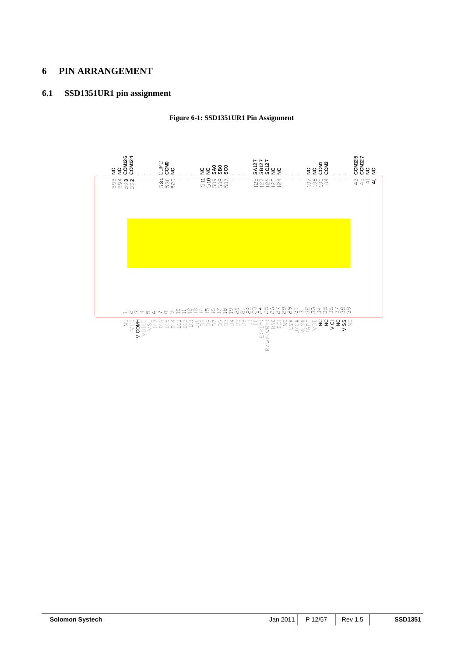## **6 PIN ARRANGEMENT**

## **6.1 SSD1351UR1 pin assignment**

**Figure 6-1: SSD1351UR1 Pin Assignment** 

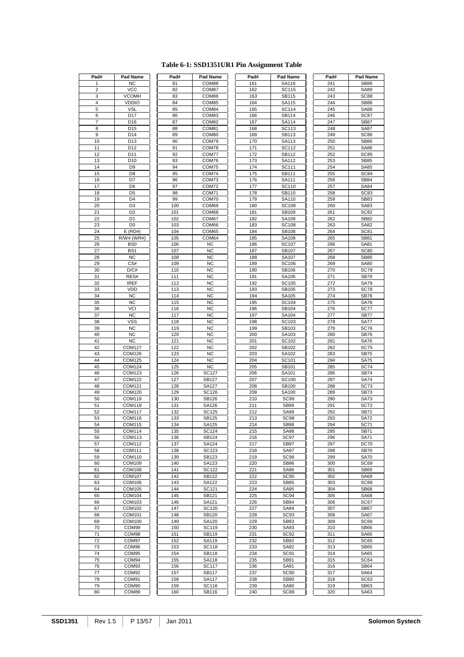| Pad#           | Pad Name        | Pad# | Pad Name     | Pad# | Pad Name         | Pad# | Pad Name    |
|----------------|-----------------|------|--------------|------|------------------|------|-------------|
| 1              | <b>NC</b>       | 81   | COM88        | 161  | SA116            | 241  | <b>SB89</b> |
| $\overline{2}$ | $\bar{v}$ cc    | 82   | COM87        | 162  | SC115            | 242  | <b>SA89</b> |
| 3              | <b>VCOMH</b>    | 83   | COM86        | 163  | SB115            | 243  | <b>SC88</b> |
| 4              | <b>VDDIO</b>    | 84   | COM85        | 164  | SA115            | 244  | <b>SB88</b> |
| 5              | <b>VSL</b>      | 85   | COM84        | 165  | SC114            | 245  | <b>SA88</b> |
| 6              | D17             | 86   | COM83        | 166  | SB114            | 246  | SC87        |
| 7              | D <sub>16</sub> | 87   | COM82        | 167  | SA114            | 247  | <b>SB87</b> |
| 8              | D <sub>15</sub> | 88   | COM81        | 168  | SC113            | 248  | <b>SA87</b> |
|                |                 |      |              |      |                  |      |             |
| 9              | D14             | 89   | COM80        | 169  | SB113            | 249  | <b>SC86</b> |
| 10             | D <sub>13</sub> | 90   | COM79        | 170  | SA113            | 250  | <b>SB86</b> |
| 11             | D <sub>12</sub> | 91   | COM78        | 171  | SC112            | 251  | <b>SA86</b> |
| 12             | D11             | 92   | COM77        | 172  | SB112            | 252  | SC85        |
| 13             | D <sub>10</sub> | 93   | COM76        | 173  | SA112            | 253  | <b>SB85</b> |
| 14             | D <sub>9</sub>  | 94   | COM75        | 174  | SC111            | 254  | <b>SA85</b> |
| 15             | D <sub>8</sub>  | 95   | COM74        | 175  | SB111            | 255  | <b>SC84</b> |
| 16             | D7              | 96   | COM73        | 176  | SA111            | 256  | <b>SB84</b> |
| 17             | D <sub>6</sub>  | 97   | COM72        | 177  | SC110            | 257  | <b>SA84</b> |
| 18             | D <sub>5</sub>  | 98   | COM71        | 178  | SB110            | 258  | <b>SC83</b> |
| 19             | D <sub>4</sub>  | 99   | COM70        | 179  | SA110            | 259  | <b>SB83</b> |
|                | D <sub>3</sub>  |      |              | 180  | SC109            | 260  |             |
| 20             |                 | 100  | COM69        |      |                  |      | SA83        |
| 21             | D <sub>2</sub>  | 101  | COM68        | 181  | SB109            | 261  | <b>SC82</b> |
| 22             | D <sub>1</sub>  | 102  | COM67        | 182  | SA109            | 262  | <b>SB82</b> |
| 23             | D <sub>0</sub>  | 103  | COM66        | 183  | SC108            | 263  | SA82        |
| 24             | $E$ (RD#)       | 104  | COM65        | 184  | SB108            | 264  | <b>SC81</b> |
| 25             | $R/W#$ (WR#)    | 105  | COM64        | 185  | SA108            | 265  | <b>SB81</b> |
| 26             | B <sub>S0</sub> | 106  | <b>NC</b>    | 186  | SC107            | 266  | SA81        |
| 27             | BS <sub>1</sub> | 107  | <b>NC</b>    | 187  | SB107            | 267  | <b>SC80</b> |
| 28             | <b>NC</b>       | 108  | <b>NC</b>    | 188  | SA107            | 268  | <b>SB80</b> |
| 29             | CS#             | 109  | <b>NC</b>    | 189  | SC106            | 269  | <b>SA80</b> |
| 30             | D/C#            | 110  | <b>NC</b>    | 190  | SB106            | 270  | <b>SC79</b> |
| 31             | RES#            | 111  | <b>NC</b>    | 191  | SA106            | 271  | <b>SB79</b> |
| 32             | <b>IREF</b>     | 112  | <b>NC</b>    | 192  | SC105            | 272  | <b>SA79</b> |
|                | VDD             |      | <b>NC</b>    | 193  |                  |      |             |
| 33             |                 | 113  |              |      | SB105            | 273  | <b>SC78</b> |
| 34             | <b>NC</b>       | 114  | <b>NC</b>    | 194  | SA105            | 274  | <b>SB78</b> |
| 35             | <b>NC</b>       | 115  | <b>NC</b>    | 195  | SC104            | 275  | <b>SA78</b> |
| 36             | VCI             | 116  | <b>NC</b>    | 196  | SB104            | 276  | <b>SC77</b> |
| 37             | <b>NC</b>       | 117  | <b>NC</b>    | 197  | SA104            | 277  | <b>SB77</b> |
| 38             | <b>VSS</b>      | 118  | <b>NC</b>    | 198  | SC103            | 278  | <b>SA77</b> |
| 39             | <b>NC</b>       | 119  | <b>NC</b>    | 199  | SB103            | 279  | SC76        |
| 40             | <b>NC</b>       | 120  | <b>NC</b>    | 200  | SA103            | 280  | <b>SB76</b> |
| 41             | <b>NC</b>       | 121  | <b>NC</b>    | 201  | SC102            | 281  | <b>SA76</b> |
| 42             | COM127          | 122  | <b>NC</b>    | 202  | SB102            | 282  | <b>SC75</b> |
| 43             | COM126          | 123  | <b>NC</b>    | 203  | SA102            | 283  | <b>SB75</b> |
| 44             | <b>COM125</b>   | 124  | <b>NC</b>    | 204  | SC101            | 284  | <b>SA75</b> |
| 45             | COM124          | 125  | <b>NC</b>    | 205  | SB101            | 285  | <b>SC74</b> |
| 46             | COM123          | 126  | <b>SC127</b> | 206  | SA101            | 286  | <b>SB74</b> |
| 47             | <b>COM122</b>   | 127  | SB127        | 207  | SC100            | 287  | <b>SA74</b> |
|                |                 |      |              |      |                  |      |             |
| 48             | COM121          | 128  | SA127        | 208  | SB100            | 288  | <b>SC73</b> |
| 49             | COM120          | 129  | SC126        | 209  | SA100            | 289  | <b>SB73</b> |
| 50             | COM119          | 130  | SB126        | 210  | <b>SC99</b>      | 290  | <b>SA73</b> |
| 51             | COM118          | 131  | SA126        | 211  | <b>SB99</b>      | 291  | <b>SC72</b> |
| 52             | COM117          | 132  | SC125        | 212  | SA99             | 292  | <b>SB72</b> |
| 53             | <b>COM116</b>   | 133  | SB125        | 213  | SC <sub>98</sub> | 293  | <b>SA72</b> |
| 54             | COM115          | 134  | SA125        | 214  | <b>SB98</b>      | 294  | <b>SC71</b> |
| 55             | COM114          | 135  | SC124        | 215  | <b>SA98</b>      | 295  | <b>SB71</b> |
| 56             | COM113          | 136  | SB124        | 216  | <b>SC97</b>      | 296  | <b>SA71</b> |
| 57             | COM112          | 137  | SA124        | 217  | <b>SB97</b>      | 297  | <b>SC70</b> |
| 58             | COM111          | 138  | SC123        | 218  | <b>SA97</b>      | 298  | <b>SB70</b> |
| 59             | COM110          | 139  | SB123        | 219  | <b>SC96</b>      | 299  | <b>SA70</b> |
| 60             | COM109          | 140  | SA123        | 220  | <b>SB96</b>      | 300  | SC69        |
| 61             | <b>COM108</b>   | 141  | SC122        | 221  | SA96             | 301  | <b>SB69</b> |
| 62             | COM107          | 142  | SB122        | 222  | <b>SC95</b>      | 302  | SA69        |
|                |                 |      |              |      |                  |      |             |
| 63             | COM106          | 143  | SA122        | 223  | <b>SB95</b>      | 303  | SC68        |
| 64             | COM105          | 144  | SC121        | 224  | SA95             | 304  | <b>SB68</b> |
| 65             | <b>COM104</b>   | 145  | SB121        | 225  | <b>SC94</b>      | 305  | <b>SA68</b> |
| 66             | COM103          | 146  | SA121        | 226  | SB94             | 306  | SC67        |
| 67             | COM102          | 147  | SC120        | 227  | <b>SA94</b>      | 307  | <b>SB67</b> |
| 68             | COM101          | 148  | SB120        | 228  | <b>SC93</b>      | 308  | <b>SA67</b> |
| 69             | COM100          | 149  | SA120        | 229  | SB93             | 309  | SC66        |
| 70             | COM99           | 150  | SC119        | 230  | SA93             | 310  | <b>SB66</b> |
| 71             | COM98           | 151  | SB119        | 231  | SC <sub>92</sub> | 311  | <b>SA66</b> |
| 72             | COM97           | 152  | SA119        | 232  | SB92             | 312  | SC65        |
| 73             | COM96           | 153  | SC118        | 233  | SA92             | 313  | <b>SB65</b> |
| 74             | COM95           | 154  | SB118        | 234  | <b>SC91</b>      | 314  | <b>SA65</b> |
| 75             | COM94           | 155  | SA118        | 235  | SB91             | 315  | SC64        |
| 76             | COM93           | 156  | <b>SC117</b> | 236  | SA91             | 316  | <b>SB64</b> |
| 77             | COM92           | 157  | SB117        | 237  | <b>SC90</b>      | 317  | <b>SA64</b> |
|                |                 |      |              |      |                  |      |             |
| 78             | COM91           | 158  | SA117        | 238  | SB90             | 318  | SC63        |
| 79             | COM90           | 159  | SC116        | 239  | <b>SA90</b>      | 319  | SB63        |
| 80             | COM89           | 160  | SB116        | 240  | <b>SC89</b>      | 320  | SA63        |

## **Table 6-1: SSD1351UR1 Pin Assignment Table**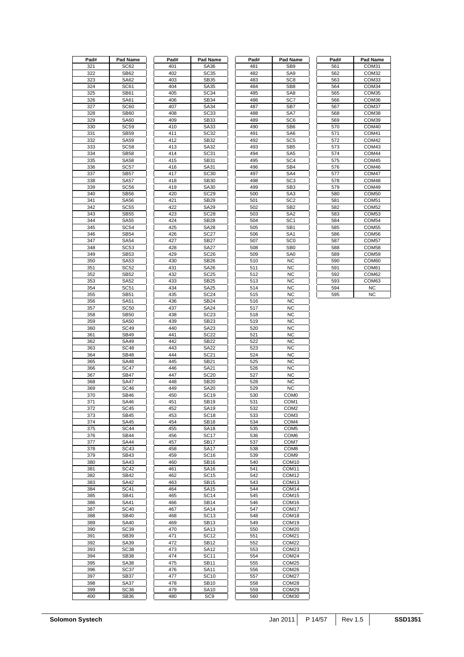| Pad# | Pad Name         | Pad# | Pad Name         | Pad# | Pad Name          | Pad# | Pad Name          |
|------|------------------|------|------------------|------|-------------------|------|-------------------|
| 321  | SC62             | 401  | SA36             | 481  | SB <sub>9</sub>   | 561  | COM31             |
| 322  | <b>SB62</b>      | 402  | <b>SC35</b>      | 482  | SA <sub>9</sub>   | 562  | COM32             |
| 323  | <b>SA62</b>      | 403  | SB35             | 483  | SC <sub>8</sub>   | 563  | COM33             |
| 324  | SC61             | 404  | SA35             | 484  | SB <sub>8</sub>   | 564  | COM34             |
| 325  | <b>SB61</b>      | 405  | <b>SC34</b>      | 485  | SA <sub>8</sub>   | 565  | COM35             |
|      |                  |      |                  |      |                   |      |                   |
| 326  | SA61             | 406  | SB34             | 486  | SC7               | 566  | COM36             |
| 327  | <b>SC60</b>      | 407  | SA34             | 487  | SB7               | 567  | COM37             |
| 328  | <b>SB60</b>      | 408  | SC <sub>33</sub> | 488  | SA7               | 568  | COM38             |
| 329  | <b>SA60</b>      | 409  | <b>SB33</b>      | 489  | SC <sub>6</sub>   | 569  | COM39             |
| 330  | <b>SC59</b>      | 410  | SA33             | 490  | SB <sub>6</sub>   | 570  | COM40             |
| 331  | <b>SB59</b>      | 411  | <b>SC32</b>      | 491  | SA6               | 571  | COM41             |
| 332  | <b>SA59</b>      | 412  | SB32             | 492  | SC <sub>5</sub>   | 572  | COM42             |
|      |                  |      |                  |      |                   |      |                   |
| 333  | <b>SC58</b>      | 413  | SA32             | 493  | SB <sub>5</sub>   | 573  | COM43             |
| 334  | <b>SB58</b>      | 414  | <b>SC31</b>      | 494  | SA <sub>5</sub>   | 574  | COM44             |
| 335  | <b>SA58</b>      | 415  | SB31             | 495  | SC <sub>4</sub>   | 575  | COM45             |
| 336  | <b>SC57</b>      | 416  | SA31             | 496  | SB <sub>4</sub>   | 576  | COM46             |
| 337  | <b>SB57</b>      | 417  | <b>SC30</b>      | 497  | SA4               | 577  | COM47             |
| 338  | <b>SA57</b>      | 418  | <b>SB30</b>      | 498  | SC <sub>3</sub>   | 578  | COM48             |
| 339  | <b>SC56</b>      | 419  | <b>SA30</b>      | 499  | SB <sub>3</sub>   | 579  | COM49             |
|      |                  |      |                  |      |                   |      |                   |
| 340  | <b>SB56</b>      | 420  | <b>SC29</b>      | 500  | SA <sub>3</sub>   | 580  | COM50             |
| 341  | <b>SA56</b>      | 421  | <b>SB29</b>      | 501  | SC <sub>2</sub>   | 581  | COM51             |
| 342  | <b>SC55</b>      | 422  | <b>SA29</b>      | 502  | SB <sub>2</sub>   | 582  | COM <sub>52</sub> |
| 343  | <b>SB55</b>      | 423  | <b>SC28</b>      | 503  | SA <sub>2</sub>   | 583  | COM <sub>53</sub> |
| 344  | <b>SA55</b>      | 424  | <b>SB28</b>      | 504  | SC <sub>1</sub>   | 584  | COM54             |
| 345  | <b>SC54</b>      | 425  | <b>SA28</b>      | 505  | SB <sub>1</sub>   | 585  | COM <sub>55</sub> |
| 346  | <b>SB54</b>      | 426  | <b>SC27</b>      | 506  | SA <sub>1</sub>   | 586  | COM56             |
|      |                  |      |                  |      |                   |      |                   |
| 347  | <b>SA54</b>      | 427  | <b>SB27</b>      | 507  | SC <sub>0</sub>   | 587  | COM57             |
| 348  | <b>SC53</b>      | 428  | <b>SA27</b>      | 508  | SB <sub>0</sub>   | 588  | COM58             |
| 349  | <b>SB53</b>      | 429  | <b>SC26</b>      | 509  | SA <sub>0</sub>   | 589  | COM59             |
| 350  | <b>SA53</b>      | 430  | <b>SB26</b>      | 510  | <b>NC</b>         | 590  | COM60             |
| 351  | <b>SC52</b>      | 431  | SA26             | 511  | <b>NC</b>         | 591  | COM61             |
| 352  | <b>SB52</b>      | 432  | <b>SC25</b>      | 512  | <b>NC</b>         | 592  | COM62             |
|      |                  |      |                  |      | <b>NC</b>         |      |                   |
| 353  | <b>SA52</b>      | 433  | <b>SB25</b>      | 513  |                   | 593  | COM63             |
| 354  | <b>SC51</b>      | 434  | <b>SA25</b>      | 514  | <b>NC</b>         | 594  | <b>NC</b>         |
| 355  | <b>SB51</b>      | 435  | <b>SC24</b>      | 515  | <b>NC</b>         | 595  | <b>NC</b>         |
| 356  | SA51             | 436  | <b>SB24</b>      | 516  | <b>NC</b>         |      |                   |
| 357  | <b>SC50</b>      | 437  | <b>SA24</b>      | 517  | <b>NC</b>         |      |                   |
| 358  | <b>SB50</b>      | 438  | SC <sub>23</sub> | 518  | <b>NC</b>         |      |                   |
| 359  | <b>SA50</b>      | 439  | <b>SB23</b>      | 519  | <b>NC</b>         |      |                   |
| 360  | <b>SC49</b>      | 440  | SA23             | 520  | <b>NC</b>         |      |                   |
| 361  | <b>SB49</b>      | 441  | <b>SC22</b>      | 521  | <b>NC</b>         |      |                   |
|      |                  |      |                  |      |                   |      |                   |
| 362  | <b>SA49</b>      | 442  | SB22             | 522  | <b>NC</b>         |      |                   |
| 363  | <b>SC48</b>      | 443  | <b>SA22</b>      | 523  | <b>NC</b>         |      |                   |
| 364  | <b>SB48</b>      | 444  | <b>SC21</b>      | 524  | <b>NC</b>         |      |                   |
| 365  | <b>SA48</b>      | 445  | SB21             | 525  | <b>NC</b>         |      |                   |
| 366  | <b>SC47</b>      | 446  | SA21             | 526  | <b>NC</b>         |      |                   |
| 367  | <b>SB47</b>      | 447  | <b>SC20</b>      | 527  | <b>NC</b>         |      |                   |
| 368  | <b>SA47</b>      | 448  | <b>SB20</b>      | 528  | <b>NC</b>         |      |                   |
|      |                  |      |                  |      |                   |      |                   |
| 369  | <b>SC46</b>      | 449  | <b>SA20</b>      | 529  | <b>NC</b>         |      |                   |
| 370  | <b>SB46</b>      | 450  | <b>SC19</b>      | 530  | COM <sub>0</sub>  |      |                   |
| 371  | <b>SA46</b>      | 451  | <b>SB19</b>      | 531  | COM <sub>1</sub>  |      |                   |
| 372  | SC45             | 452  | SA <sub>19</sub> | 532  | COM <sub>2</sub>  |      |                   |
| 373  | <b>SB45</b>      | 453  | SC <sub>18</sub> | 533  | COM <sub>3</sub>  |      |                   |
| 374  | <b>SA45</b>      | 454  | <b>SB18</b>      | 534  | COM4              |      |                   |
| 375  | <b>SC44</b>      | 455  | <b>SA18</b>      | 535  | COM <sub>5</sub>  |      |                   |
| 376  | <b>SB44</b>      | 456  | <b>SC17</b>      | 536  | COM <sub>6</sub>  |      |                   |
|      |                  |      | <b>SB17</b>      |      |                   |      |                   |
| 377  | <b>SA44</b>      | 457  |                  | 537  | COM7              |      |                   |
| 378  | <b>SC43</b>      | 458  | <b>SA17</b>      | 538  | COM8              |      |                   |
| 379  | <b>SB43</b>      | 459  | <b>SC16</b>      | 539  | COM <sub>9</sub>  |      |                   |
| 380  | <b>SA43</b>      | 460  | <b>SB16</b>      | 540  | COM <sub>10</sub> |      |                   |
| 381  | <b>SC42</b>      | 461  | SA16             | 541  | COM11             |      |                   |
| 382  | <b>SB42</b>      | 462  | <b>SC15</b>      | 542  | COM12             |      |                   |
| 383  | <b>SA42</b>      | 463  | <b>SB15</b>      | 543  | COM <sub>13</sub> |      |                   |
| 384  | <b>SC41</b>      | 464  | <b>SA15</b>      | 544  | COM14             |      |                   |
|      |                  |      |                  |      |                   |      |                   |
| 385  | SB41             | 465  | <b>SC14</b>      | 545  | COM15             |      |                   |
| 386  | SA41             | 466  | <b>SB14</b>      | 546  | COM16             |      |                   |
| 387  | <b>SC40</b>      | 467  | <b>SA14</b>      | 547  | COM <sub>17</sub> |      |                   |
| 388  | <b>SB40</b>      | 468  | <b>SC13</b>      | 548  | COM <sub>18</sub> |      |                   |
| 389  | <b>SA40</b>      | 469  | <b>SB13</b>      | 549  | COM19             |      |                   |
| 390  | <b>SC39</b>      | 470  | SA13             | 550  | COM20             |      |                   |
| 391  | SB39             | 471  | <b>SC12</b>      | 551  | COM21             |      |                   |
|      |                  |      |                  |      |                   |      |                   |
| 392  | SA39             | 472  | <b>SB12</b>      | 552  | COM22             |      |                   |
| 393  | SC <sub>38</sub> | 473  | <b>SA12</b>      | 553  | COM23             |      |                   |
| 394  | <b>SB38</b>      | 474  | <b>SC11</b>      | 554  | COM24             |      |                   |
| 395  | SA38             | 475  | <b>SB11</b>      | 555  | COM25             |      |                   |
| 396  | <b>SC37</b>      | 476  | <b>SA11</b>      | 556  | COM26             |      |                   |
| 397  | <b>SB37</b>      | 477  | <b>SC10</b>      | 557  | COM27             |      |                   |
| 398  | <b>SA37</b>      | 478  | <b>SB10</b>      | 558  | COM28             |      |                   |
| 399  | SC <sub>36</sub> | 479  | <b>SA10</b>      | 559  | COM29             |      |                   |
|      |                  |      |                  |      |                   |      |                   |
| 400  | <b>SB36</b>      | 480  | SC <sub>9</sub>  | 560  | COM30             |      |                   |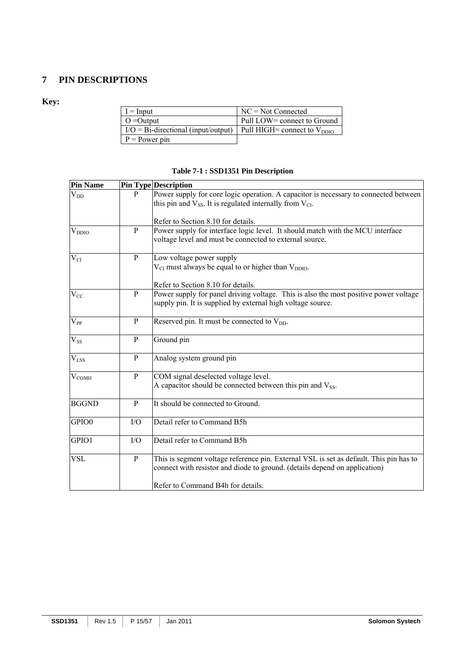## **7 PIN DESCRIPTIONS**

## **Key:**

| $I = Input$                                  | $NC = Not Connected$             |
|----------------------------------------------|----------------------------------|
| $O =$ Output                                 | Pull LOW= connect to Ground      |
| $I/O = Bi\text{-directional}$ (input/output) | Pull HIGH= connect to $V_{DDIO}$ |
| $P = Power pin$                              |                                  |

## **Table 7-1 : SSD1351 Pin Description**

| <b>Pin Name</b> |              | <b>Pin Type Description</b>                                                                                                                                                                               |
|-----------------|--------------|-----------------------------------------------------------------------------------------------------------------------------------------------------------------------------------------------------------|
| $V_{DD}$        | P            | Power supply for core logic operation. A capacitor is necessary to connected between<br>this pin and $V_{SS}$ . It is regulated internally from $V_{CI}$ .                                                |
|                 |              | Refer to Section 8.10 for details.                                                                                                                                                                        |
| $\rm V_{DDIO}$  | $\mathbf{P}$ | Power supply for interface logic level. It should match with the MCU interface<br>voltage level and must be connected to external source.                                                                 |
| $\rm V_{CI}$    | $\, {\bf P}$ | Low voltage power supply<br>$V_{CI}$ must always be equal to or higher than $V_{DDIO}$ .                                                                                                                  |
|                 |              | Refer to Section 8.10 for details.                                                                                                                                                                        |
| $V_{CC}$        | $\mathbf{P}$ | Power supply for panel driving voltage. This is also the most positive power voltage<br>supply pin. It is supplied by external high voltage source.                                                       |
| $V_{PP}$        | $\mathbf{P}$ | Reserved pin. It must be connected to $V_{DD}$ .                                                                                                                                                          |
| $V_{SS}$        | $\mathbf{P}$ | Ground pin                                                                                                                                                                                                |
| $V_{LSS}$       | $\mathbf{P}$ | Analog system ground pin                                                                                                                                                                                  |
| $V_{COMH}$      | $\mathbf{P}$ | COM signal deselected voltage level.<br>A capacitor should be connected between this pin and $V_{SS}$ .                                                                                                   |
| <b>BGGND</b>    | P            | It should be connected to Ground.                                                                                                                                                                         |
| GPIO0           | I/O          | Detail refer to Command B5h                                                                                                                                                                               |
| GPIO1           | I/O          | Detail refer to Command B5h                                                                                                                                                                               |
| <b>VSL</b>      | $\mathbf{P}$ | This is segment voltage reference pin. External VSL is set as default. This pin has to<br>connect with resistor and diode to ground. (details depend on application)<br>Refer to Command B4h for details. |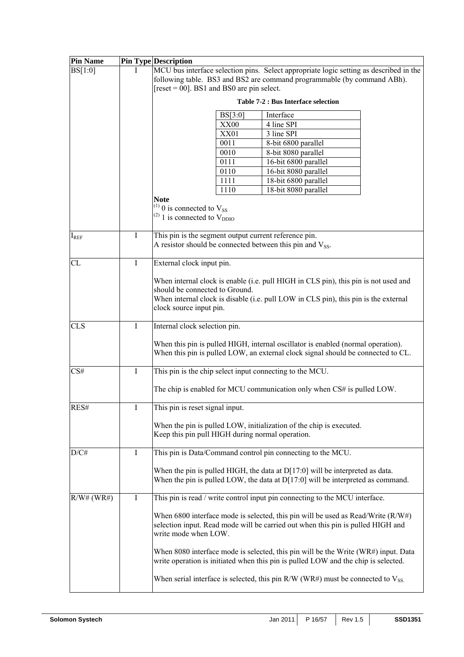| <b>Pin Name</b> |             | <b>Pin Type Description</b>                                                                                                                                                                                                             |  |  |  |  |  |  |
|-----------------|-------------|-----------------------------------------------------------------------------------------------------------------------------------------------------------------------------------------------------------------------------------------|--|--|--|--|--|--|
| BS[1:0]         |             | MCU bus interface selection pins. Select appropriate logic setting as described in the<br>following table. BS3 and BS2 are command programmable (by command ABh).<br>$[reset = 00]$ . BS1 and BS0 are pin select.                       |  |  |  |  |  |  |
|                 |             | <b>Table 7-2 : Bus Interface selection</b>                                                                                                                                                                                              |  |  |  |  |  |  |
|                 |             | BS[3:0]<br>Interface                                                                                                                                                                                                                    |  |  |  |  |  |  |
|                 |             | 4 line SPI<br>XX00                                                                                                                                                                                                                      |  |  |  |  |  |  |
|                 |             | <b>XX01</b><br>3 line SPI                                                                                                                                                                                                               |  |  |  |  |  |  |
|                 |             | 0011<br>8-bit 6800 parallel                                                                                                                                                                                                             |  |  |  |  |  |  |
|                 |             | 0010<br>8-bit 8080 parallel                                                                                                                                                                                                             |  |  |  |  |  |  |
|                 |             | 0111<br>16-bit 6800 parallel                                                                                                                                                                                                            |  |  |  |  |  |  |
|                 |             | 0110<br>16-bit 8080 parallel                                                                                                                                                                                                            |  |  |  |  |  |  |
|                 |             | 1111<br>18-bit 6800 parallel                                                                                                                                                                                                            |  |  |  |  |  |  |
|                 |             | 1110<br>18-bit 8080 parallel<br><b>Note</b>                                                                                                                                                                                             |  |  |  |  |  |  |
|                 |             | $^{(1)}$ 0 is connected to $V_{SS}$<br>$^{(2)}$ 1 is connected to $V_{DDIO}$                                                                                                                                                            |  |  |  |  |  |  |
| $\rm I_{REF}$   | $\bf{I}$    | This pin is the segment output current reference pin.<br>A resistor should be connected between this pin and $V_{SS}$ .                                                                                                                 |  |  |  |  |  |  |
| <b>CL</b>       | $\bf{I}$    | External clock input pin.                                                                                                                                                                                                               |  |  |  |  |  |  |
|                 |             | When internal clock is enable (i.e. pull HIGH in CLS pin), this pin is not used and<br>should be connected to Ground.<br>When internal clock is disable (i.e. pull LOW in CLS pin), this pin is the external<br>clock source input pin. |  |  |  |  |  |  |
| <b>CLS</b>      | $\rm I$     | Internal clock selection pin.                                                                                                                                                                                                           |  |  |  |  |  |  |
|                 |             | When this pin is pulled HIGH, internal oscillator is enabled (normal operation).<br>When this pin is pulled LOW, an external clock signal should be connected to CL.                                                                    |  |  |  |  |  |  |
| CS#             | $\bf{I}$    | This pin is the chip select input connecting to the MCU.                                                                                                                                                                                |  |  |  |  |  |  |
|                 |             | The chip is enabled for MCU communication only when CS# is pulled LOW.                                                                                                                                                                  |  |  |  |  |  |  |
| RES#            | $\perp$     | This pin is reset signal input.                                                                                                                                                                                                         |  |  |  |  |  |  |
|                 |             | When the pin is pulled LOW, initialization of the chip is executed.<br>Keep this pin pull HIGH during normal operation.                                                                                                                 |  |  |  |  |  |  |
| D/C#            | $\mathbf I$ | This pin is Data/Command control pin connecting to the MCU.                                                                                                                                                                             |  |  |  |  |  |  |
|                 |             | When the pin is pulled HIGH, the data at $D[17:0]$ will be interpreted as data.<br>When the pin is pulled LOW, the data at $D[17:0]$ will be interpreted as command.                                                                    |  |  |  |  |  |  |
| $R/W#$ (WR#)    | Ι           | This pin is read / write control input pin connecting to the MCU interface.                                                                                                                                                             |  |  |  |  |  |  |
|                 |             | When 6800 interface mode is selected, this pin will be used as Read/Write $(R/W#)$<br>selection input. Read mode will be carried out when this pin is pulled HIGH and<br>write mode when LOW.                                           |  |  |  |  |  |  |
|                 |             | When 8080 interface mode is selected, this pin will be the Write (WR#) input. Data<br>write operation is initiated when this pin is pulled LOW and the chip is selected.                                                                |  |  |  |  |  |  |
|                 |             | When serial interface is selected, this pin R/W (WR#) must be connected to $V_{SS}$ .                                                                                                                                                   |  |  |  |  |  |  |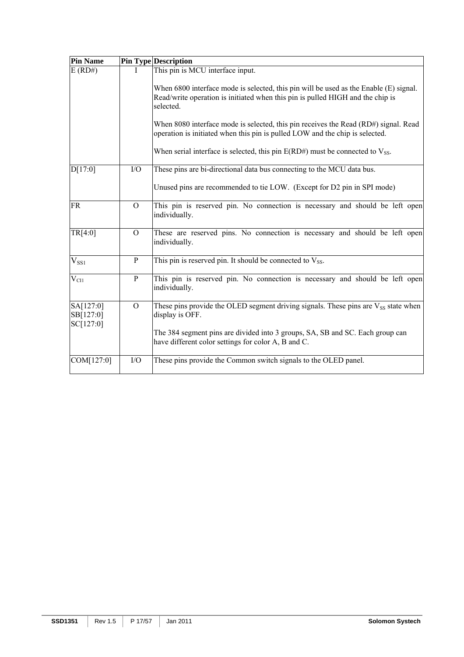| <b>Pin Name</b>                     |                | <b>Pin Type Description</b>                                                                                                                                                          |
|-------------------------------------|----------------|--------------------------------------------------------------------------------------------------------------------------------------------------------------------------------------|
| $E$ (RD#)                           |                | This pin is MCU interface input.                                                                                                                                                     |
|                                     |                | When 6800 interface mode is selected, this pin will be used as the Enable (E) signal.<br>Read/write operation is initiated when this pin is pulled HIGH and the chip is<br>selected. |
|                                     |                | When 8080 interface mode is selected, this pin receives the Read (RD#) signal. Read<br>operation is initiated when this pin is pulled LOW and the chip is selected.                  |
|                                     |                | When serial interface is selected, this pin $E(RD\#)$ must be connected to $V_{SS}$ .                                                                                                |
| D[17:0]                             | I/O            | These pins are bi-directional data bus connecting to the MCU data bus.                                                                                                               |
|                                     |                | Unused pins are recommended to tie LOW. (Except for D2 pin in SPI mode)                                                                                                              |
| <b>FR</b>                           | $\overline{O}$ | This pin is reserved pin. No connection is necessary and should be left open<br>individually.                                                                                        |
| TR[4:0]                             | $\overline{O}$ | These are reserved pins. No connection is necessary and should be left open<br>individually.                                                                                         |
| $V_{SS1}$                           | $\mathbf{P}$   | This pin is reserved pin. It should be connected to $V_{SS}$ .                                                                                                                       |
| $V_{\rm CII}$                       | $\mathbf{P}$   | This pin is reserved pin. No connection is necessary and should be left open<br>individually.                                                                                        |
| SA[127:0]<br>SB[127:0]<br>SC[127:0] | $\overline{O}$ | These pins provide the OLED segment driving signals. These pins are $V_{SS}$ state when<br>display is OFF.                                                                           |
|                                     |                | The 384 segment pins are divided into 3 groups, SA, SB and SC. Each group can<br>have different color settings for color A, B and C.                                                 |
| COM[127:0]                          | I/O            | These pins provide the Common switch signals to the OLED panel.                                                                                                                      |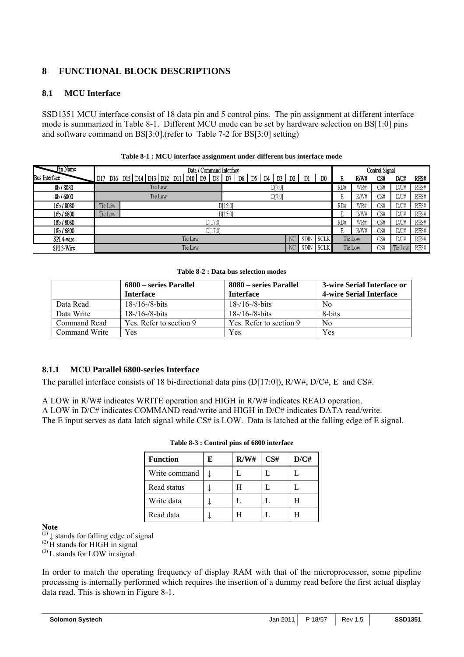## **8 FUNCTIONAL BLOCK DESCRIPTIONS**

## **8.1 MCU Interface**

SSD1351 MCU interface consist of 18 data pin and 5 control pins. The pin assignment at different interface mode is summarized in Table 8-1. Different MCU mode can be set by hardware selection on BS[1:0] pins and software command on BS[3:0].(refer to Table 7-2 for BS[3:0] setting)

| Pin Name             | Data / Command Interface  |                                               |         |             |             | Control Signal |         |      |         |      |      |
|----------------------|---------------------------|-----------------------------------------------|---------|-------------|-------------|----------------|---------|------|---------|------|------|
| <b>Bus Interface</b> | D <sub>17</sub>           | D16 D15 D14 D13 D12 D11 D10 D9 D8 D7 D6 D5 D4 | D3      | D2          | D1          | D0             | E       | R/W# | CS#     | D/C# | RES# |
| 8b / 8080            |                           | Tie Low                                       | D[7:0]  |             |             |                | RD#     | WR#  | CS#     | D/C# | RES# |
| 8b / 6800            | Tie Low                   |                                               |         |             |             |                | E       | R/W# | CS#     | D/C# | RES# |
| 16b / 8080           | Tie Low                   |                                               | D[15:0] |             |             |                | RD#     | WR#  | CS#     | D/C# | RES# |
| 16b / 6800           | Tie Low                   | D[15:0]                                       |         |             |             | E              | R/W#    | CS#  | D/C#    | RES# |      |
| 18b / 8080           |                           | DI17:01                                       |         |             |             |                | RD#     | WR#  | CS#     | D/C# | RES# |
| 18b / 6800           |                           | D[17:0]                                       |         |             |             |                | E       | R/W# | CS#     | D/C# | RES# |
| SPI 4-wire           | Tie Low<br>SDIN           |                                               |         | <b>SCLK</b> |             | Tie Low        | CS#     | D/C# | RES#    |      |      |
| SPI 3-Wire           | Tie Low<br>N <sub>C</sub> |                                               |         | SDIN        | <b>SCLK</b> |                | Tie Low | CS#  | Tie Low | RES# |      |

|  |  |  | Table 8-1 : MCU interface assignment under different bus interface mode |  |  |  |  |  |
|--|--|--|-------------------------------------------------------------------------|--|--|--|--|--|
|--|--|--|-------------------------------------------------------------------------|--|--|--|--|--|

**Table 8-2 : Data bus selection modes** 

|               | 6800 – series Parallel<br><b>Interface</b> | 8080 – series Parallel<br><b>Interface</b> | 3-wire Serial Interface or<br><b>4-wire Serial Interface</b> |
|---------------|--------------------------------------------|--------------------------------------------|--------------------------------------------------------------|
| Data Read     | $18 - 16 - 8 - bits$                       | $18 - 16 - 8 - bits$                       | N <sub>0</sub>                                               |
| Data Write    | $18 - 16 - 8 - bits$                       | $18 - 16 - 8 - bits$                       | 8-bits                                                       |
| Command Read  | Yes. Refer to section 9                    | Yes. Refer to section 9                    | N <sub>0</sub>                                               |
| Command Write | Yes                                        | Yes                                        | Yes                                                          |

## **8.1.1 MCU Parallel 6800-series Interface**

The parallel interface consists of 18 bi-directional data pins (D[17:0]),  $R/W#$ ,  $D/C#$ , E and CS#.

A LOW in R/W# indicates WRITE operation and HIGH in R/W# indicates READ operation. A LOW in D/C# indicates COMMAND read/write and HIGH in D/C# indicates DATA read/write. The E input serves as data latch signal while CS# is LOW. Data is latched at the falling edge of E signal.

| <b>Function</b> | Е | R/W# | CS# | D/CH |
|-----------------|---|------|-----|------|
| Write command   |   |      |     |      |
| Read status     |   |      |     |      |
| Write data      |   |      |     |      |
| Read data       |   |      |     |      |

**Note** 

 $(1)$   $\downarrow$  stands for falling edge of signal

 $^{(2)}$ H stands for HIGH in signal

 $^{(3)}$ L stands for LOW in signal

In order to match the operating frequency of display RAM with that of the microprocessor, some pipeline processing is internally performed which requires the insertion of a dummy read before the first actual display data read. This is shown in Figure 8-1.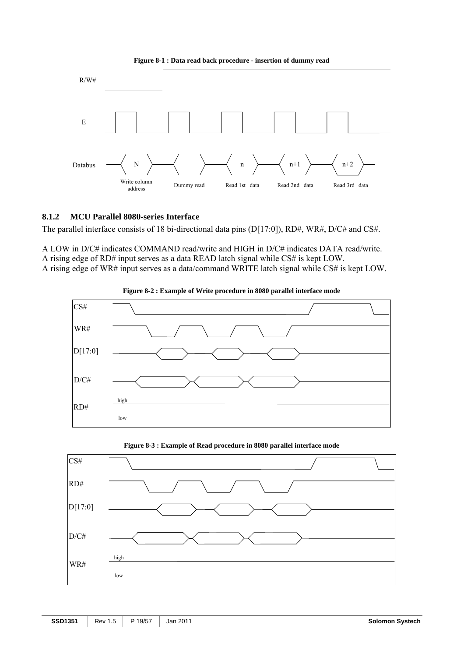



#### **8.1.2 MCU Parallel 8080-series Interface**

The parallel interface consists of 18 bi-directional data pins (D[17:0]), RD#, WR#, D/C# and CS#.

A LOW in D/C# indicates COMMAND read/write and HIGH in D/C# indicates DATA read/write. A rising edge of RD# input serves as a data READ latch signal while CS# is kept LOW. A rising edge of WR# input serves as a data/command WRITE latch signal while CS# is kept LOW.





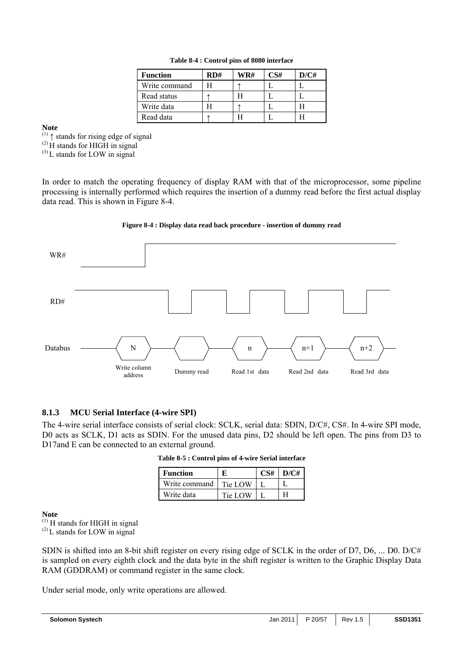| <b>Function</b> | RD# | WR# | CS# | D/CH |
|-----------------|-----|-----|-----|------|
| Write command   |     |     |     |      |
| Read status     |     |     |     |      |
| Write data      |     |     |     |      |
| Read data       |     |     |     |      |

**Note** 

 $(1)$   $\uparrow$  stands for rising edge of signal

 $^{(2)}$  H stands for HIGH in signal

 $^{(3)}$ L stands for LOW in signal

In order to match the operating frequency of display RAM with that of the microprocessor, some pipeline processing is internally performed which requires the insertion of a dummy read before the first actual display data read. This is shown in Figure 8-4.





## **8.1.3 MCU Serial Interface (4-wire SPI)**

The 4-wire serial interface consists of serial clock: SCLK, serial data: SDIN, D/C#, CS#. In 4-wire SPI mode, D0 acts as SCLK, D1 acts as SDIN. For the unused data pins, D2 should be left open. The pins from D3 to D17and E can be connected to an external ground.

| <b>Function</b> |         | D/C# |
|-----------------|---------|------|
| Write command   | Tie LOW |      |
| Write data      | Tie LOW |      |

**Note** 

 $(1)$  H stands for HIGH in signal

 $^{(2)}$ L stands for LOW in signal

SDIN is shifted into an 8-bit shift register on every rising edge of SCLK in the order of D7, D6, ... D0. D/C# is sampled on every eighth clock and the data byte in the shift register is written to the Graphic Display Data RAM (GDDRAM) or command register in the same clock.

Under serial mode, only write operations are allowed.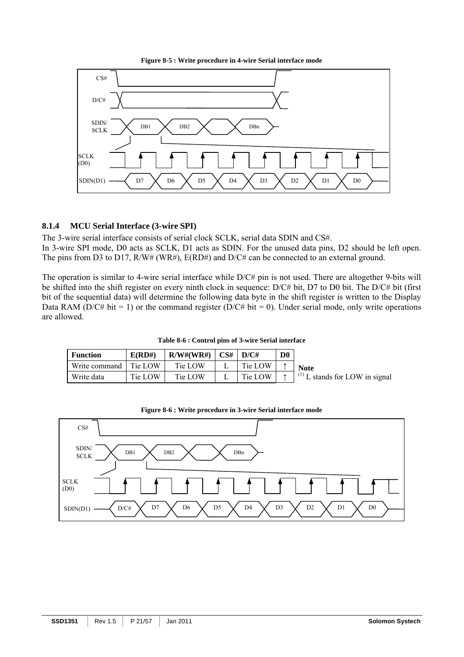



## **8.1.4 MCU Serial Interface (3-wire SPI)**

The 3-wire serial interface consists of serial clock SCLK, serial data SDIN and CS#.

In 3-wire SPI mode, D0 acts as SCLK, D1 acts as SDIN. For the unused data pins, D2 should be left open. The pins from D3 to D17, R/W# (WR#), E(RD#) and D/C# can be connected to an external ground.

The operation is similar to 4-wire serial interface while D/C# pin is not used. There are altogether 9-bits will be shifted into the shift register on every ninth clock in sequence: D/C# bit, D7 to D0 bit. The D/C# bit (first bit of the sequential data) will determine the following data byte in the shift register is written to the Display Data RAM (D/C# bit = 1) or the command register (D/C# bit = 0). Under serial mode, only write operations are allowed.

| <b>Function</b>         | E(RD#)  | R/W#(WR#) | CS# | D/C#    | D0 |                                                 |
|-------------------------|---------|-----------|-----|---------|----|-------------------------------------------------|
| Write command   Tie LOW |         | Tie LOW   |     | Tie LOW |    | <b>Note</b>                                     |
| Write data              | Tie LOW | Tie LOW   |     | Tie LOW |    | $(1)$ <sup>(1)</sup> L stands for LOW in signal |

**Table 8-6 : Control pins of 3-wire Serial interface** 



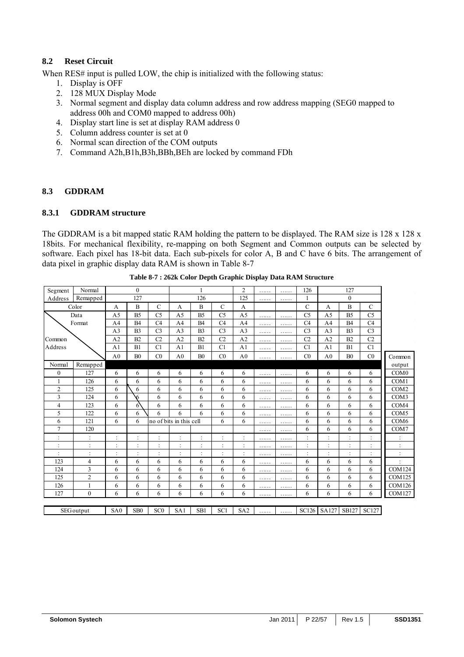## **8.2 Reset Circuit**

When RES# input is pulled LOW, the chip is initialized with the following status:

- 1. Display is OFF
- 2. 128 MUX Display Mode
- 3. Normal segment and display data column address and row address mapping (SEG0 mapped to address 00h and COM0 mapped to address 00h)
- 4. Display start line is set at display RAM address 0
- 5. Column address counter is set at 0
- 6. Normal scan direction of the COM outputs
- 7. Command A2h,B1h,B3h,BBh,BEh are locked by command FDh

## **8.3 GDDRAM**

## **8.3.1 GDDRAM structure**

The GDDRAM is a bit mapped static RAM holding the pattern to be displayed. The RAM size is 128 x 128 x 18bits. For mechanical flexibility, re-mapping on both Segment and Common outputs can be selected by software. Each pixel has 18-bit data. Each sub-pixels for color A, B and C have 6 bits. The arrangement of data pixel in graphic display data RAM is shown in Table 8-7

| Segment        | Normal            |                 | $\theta$        |                 |                         |                |                | $\overline{2}$            | . | . | 126                        |                | 127            |                |                  |
|----------------|-------------------|-----------------|-----------------|-----------------|-------------------------|----------------|----------------|---------------------------|---|---|----------------------------|----------------|----------------|----------------|------------------|
| Address        | Remapped          |                 | 127             |                 |                         | 126            |                | 125                       | . | . |                            |                | $\mathbf{0}$   |                |                  |
|                | Color             | A               | B               | $\mathcal{C}$   | A                       | B              | $\mathbf C$    | A                         |   |   | C                          | A              | B              | $\mathbf C$    |                  |
|                | Data              | A <sub>5</sub>  | B <sub>5</sub>  | C <sub>5</sub>  | A <sub>5</sub>          | B <sub>5</sub> | C <sub>5</sub> | A <sub>5</sub>            | . | . | C <sub>5</sub>             | A <sub>5</sub> | B <sub>5</sub> | C <sub>5</sub> |                  |
|                | Format            | A <sub>4</sub>  | <b>B4</b>       | C4              | A <sub>4</sub>          | <b>B4</b>      | C4             | A <sub>4</sub>            | . | . | C4                         | A <sub>4</sub> | <b>B4</b>      | C4             |                  |
|                |                   | A <sub>3</sub>  | B <sub>3</sub>  | C <sub>3</sub>  | A <sub>3</sub>          | B <sub>3</sub> | C <sub>3</sub> | A <sub>3</sub>            | . | . | C <sub>3</sub>             | A <sub>3</sub> | B <sub>3</sub> | C <sub>3</sub> |                  |
| Common         |                   | A <sub>2</sub>  | B2              | C <sub>2</sub>  | A <sub>2</sub>          | B2             | C <sub>2</sub> | A2                        | . | . | C <sub>2</sub>             | A <sub>2</sub> | B2             | C <sub>2</sub> |                  |
| Address        |                   | A <sub>1</sub>  | B1              | C1              | A <sub>1</sub>          | B1             | C1             | A <sub>1</sub>            | . | . | C1                         | A <sub>1</sub> | B1             | C1             |                  |
|                |                   | A <sub>0</sub>  | B <sub>0</sub>  | CO              | A <sub>0</sub>          | B <sub>0</sub> | CO             | A <sub>0</sub>            | . | . | CO                         | A <sub>0</sub> | B <sub>0</sub> | C <sub>0</sub> | Common           |
| Normal         | Remapped          |                 |                 |                 |                         |                |                |                           |   |   |                            |                |                |                | output           |
| $\mathbf{0}$   | 127               | 6               | 6               | 6               | 6                       | 6              | 6              | 6                         | . | . | 6                          | 6              | 6              | 6              | COM <sub>0</sub> |
|                | 126               | 6               | 6               | 6               | 6                       | 6              | 6              | 6                         | . | . | 6                          | 6              | 6              | 6              | COM1             |
| $\overline{c}$ | 125               | 6               | 6               | 6               | 6                       | 6              | 6              | 6                         | . | . | 6                          | 6              | 6              | 6              | COM <sub>2</sub> |
| 3              | 124               | 6               | 6               | 6               | 6                       | 6              | 6              | 6                         | . | . | 6                          | 6              | 6              | 6              | COM3             |
| 4              | 123               | 6               | 6               | 6               | 6                       | 6              | 6              | 6                         | . | . | 6                          | 6              | 6              | 6              | COM4             |
| 5              | 122               | 6               | 6               | 6               | 6                       | 6              | 6              | 6                         | . | . | 6                          | 6              | 6              | 6              | COM <sub>5</sub> |
| 6              | 121               | 6               | 6               |                 | no of bits in this cell |                | 6              | 6                         | . | . | 6                          | 6              | 6              | 6              | COM <sub>6</sub> |
| 7              | 120               |                 |                 |                 |                         |                |                |                           | . | . | 6                          | 6              | 6              | 6              | COM7             |
|                | $\ddot{\cdot}$    | $\cdot$         |                 | $\cdot$         | $\cdot$                 | ٠              | $\vdots$       | ٠<br>$\ddot{\phantom{0}}$ | . | . | ٠                          | ł,             |                | $\sim$         |                  |
|                | ×,<br>$\bullet$   |                 |                 |                 |                         |                | ٠              | ٠<br>$\ddot{\phantom{a}}$ | . | . | ٠                          |                |                |                |                  |
|                | ×,<br>$\bullet$   |                 |                 | $\cdot$         | $\cdot$                 |                |                | $\cdot$                   | . | . | ä,<br>$\ddot{\phantom{a}}$ | ł,             |                |                |                  |
| 123            | 4                 | 6               | 6               | 6               | 6                       | 6              | 6              | 6                         | . | . | 6                          | 6              | 6              | 6              |                  |
| 124            | 3                 | 6               | 6               | 6               | 6                       | 6              | 6              | 6                         | . | . | 6                          | 6              | 6              | 6              | <b>COM124</b>    |
| 125            | $\overline{2}$    | 6               | 6               | 6               | 6                       | 6              | 6              | 6                         | . | . | 6                          | 6              | 6              | 6              | <b>COM125</b>    |
| 126            | 1                 | 6               | 6               | 6               | 6                       | 6              | 6              | 6                         | . | . | 6                          | 6              | 6              | 6              | <b>COM126</b>    |
| 127            | $\mathbf{0}$      | 6               | 6               | 6               | 6                       | 6              | 6              | 6                         | . | . | 6                          | 6              | 6              | 6              | <b>COM127</b>    |
|                |                   |                 |                 |                 |                         |                |                |                           |   |   |                            |                |                |                |                  |
|                | <b>SEG</b> output | SA <sub>0</sub> | SB <sub>0</sub> | SC <sub>0</sub> | SA1                     | SB1            | SC1            | SA <sub>2</sub>           | . | . |                            | SC126 SA127    |                | SB127 SC127    |                  |

**Table 8-7 : 262k Color Depth Graphic Display Data RAM Structure**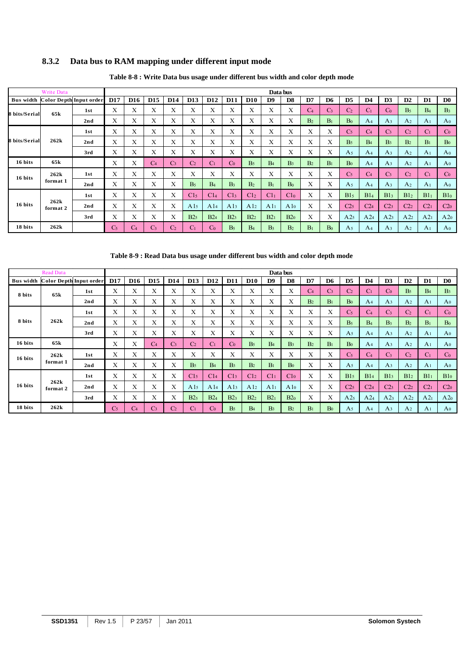## **8.3.2 Data bus to RAM mapping under different input mode**

|                  | Write Data              |     |                |            |                 |                |                 |                 |                 |                 |                 | Data bus        |                |                |                 |                 |                 |                 |                 |                 |
|------------------|-------------------------|-----|----------------|------------|-----------------|----------------|-----------------|-----------------|-----------------|-----------------|-----------------|-----------------|----------------|----------------|-----------------|-----------------|-----------------|-----------------|-----------------|-----------------|
| <b>Bus width</b> | Color Depth Input order |     | <b>D17</b>     | <b>D16</b> | D <sub>15</sub> | <b>D14</b>     | D <sub>13</sub> | D <sub>12</sub> | <b>D11</b>      | <b>D10</b>      | D <sub>9</sub>  | D <sub>8</sub>  | D7             | D <sub>6</sub> | D <sub>5</sub>  | D <sub>4</sub>  | D <sub>3</sub>  | D2              | D1              | D <sub>0</sub>  |
| 8 bits/Serial    | 65k                     | 1st | Х              | Х          | Х               | X              | Χ               | Χ               | Х               | X               | Х               | X               | $\overline{C}$ | C3             | C <sub>2</sub>  | Сı              | $\mathcal{C}^0$ | B <sub>5</sub>  | B <sub>4</sub>  | B <sub>3</sub>  |
|                  |                         | 2nd | Х              | X          | X               | X              | Х               | X               | X               | X               | Х               | X               | B <sub>2</sub> | B <sub>1</sub> | Bo              | A <sub>4</sub>  | A <sub>3</sub>  | A <sub>2</sub>  | A <sub>1</sub>  | A <sub>0</sub>  |
|                  |                         | 1st | X              | X          | X               | X              | Χ               | X               | X               | X               | Χ               | X               | X              | X              | C <sub>5</sub>  | C <sub>4</sub>  | C <sub>3</sub>  | C <sub>2</sub>  | C <sub>1</sub>  | Co              |
| 8 bits/Serial    | 262k                    | 2nd | X              | X          | X               | Х              | Χ               | X               | Х               | Х               | X               | Х               | Х              | Χ              | B <sub>5</sub>  | B <sub>4</sub>  | B <sub>3</sub>  | B <sub>2</sub>  | B <sub>1</sub>  | Bo              |
|                  |                         | 3rd | X              | X          | Х               | X              | Х               | X               | Х               | X               | Х               | X               | X              | Х              | A <sub>5</sub>  | A <sub>4</sub>  | A <sub>3</sub>  | A <sub>2</sub>  | A <sub>1</sub>  | A <sub>0</sub>  |
| 16 bits          | 65 <sub>k</sub>         |     | Х              | X          | C4              | C <sub>3</sub> | C <sub>2</sub>  | C <sub>1</sub>  | $\rm{C}_0$      | B <sub>5</sub>  | B <sub>4</sub>  | B <sub>3</sub>  | B <sub>2</sub> | B <sub>1</sub> | Bo              | A <sub>4</sub>  | $A_3$           | A <sub>2</sub>  | A <sub>1</sub>  | A <sub>0</sub>  |
| 16 bits          | 262k                    | 1st | Х              | X          | X               | Χ              | Χ               | X               | Х               | Χ               | Χ               | X               | X              | Х              | C <sub>5</sub>  | C <sub>4</sub>  | C <sub>3</sub>  | C <sub>2</sub>  | C <sub>1</sub>  | $\rm{Co}$       |
|                  | format 1                | 2nd | Х              | Х          | X               | Χ              | B <sub>5</sub>  | B <sub>4</sub>  | B <sub>3</sub>  | B <sub>2</sub>  | B <sub>1</sub>  | Bo              | X              | Х              | A <sub>5</sub>  | A <sub>4</sub>  | A <sub>3</sub>  | A <sub>2</sub>  | A <sub>1</sub>  | A <sub>0</sub>  |
|                  |                         | 1st | Х              | X          | X               | X              | C15             | C14             | C13             | C12             | C11             | C1 <sub>0</sub> | X              | X              | B15             | B14             | B13             | B12             | B1 <sub>1</sub> | B10             |
| 16 bits          | 262k<br>format 2        | 2nd | X              | X          | X               | X              | A1 <sub>5</sub> | A14             | A1 <sub>3</sub> | A1 <sub>2</sub> | A1 <sub>1</sub> | A1 <sub>0</sub> | X              | X              | C2 <sub>5</sub> | C2 <sub>4</sub> | C2 <sub>3</sub> | C2 <sub>2</sub> | C2 <sub>1</sub> | C2 <sub>0</sub> |
|                  |                         | 3rd | Х              | X          | Х               | X              | B2 <sub>5</sub> | B24             | B2 <sub>3</sub> | B2 <sub>2</sub> | B2 <sub>1</sub> | B2 <sub>0</sub> | X              | Х              | A2 <sub>5</sub> | A24             | A2 <sub>3</sub> | A2 <sub>2</sub> | A2 <sub>1</sub> | A2 <sub>0</sub> |
| 18 bits          | 262k                    |     | C <sub>5</sub> | $\rm{C}_4$ | C <sub>3</sub>  | C <sub>2</sub> | $\rm C_{1}$     | $\rm{Co}$       | B <sub>5</sub>  | B <sub>4</sub>  | B <sub>3</sub>  | B <sub>2</sub>  | B <sub>1</sub> | B <sub>0</sub> | A <sub>5</sub>  | A <sub>4</sub>  | A <sub>3</sub>  | A <sub>2</sub>  | A <sub>1</sub>  | A <sub>0</sub>  |

## **Table 8-8 : Write Data bus usage under different bus width and color depth mode**

**Table 8-9 : Read Data bus usage under different bus width and color depth mode** 

|                  | Read Data                      |     |                |                 |                |                 |                 |                 |                |                |                | Data bus        |                |                |                 |                |                 |                |                 |                 |
|------------------|--------------------------------|-----|----------------|-----------------|----------------|-----------------|-----------------|-----------------|----------------|----------------|----------------|-----------------|----------------|----------------|-----------------|----------------|-----------------|----------------|-----------------|-----------------|
| <b>Bus width</b> | <b>Color Depth Input order</b> |     | <b>D17</b>     | D <sub>16</sub> | <b>D15</b>     | D <sub>14</sub> | D <sub>13</sub> | D <sub>12</sub> | <b>D11</b>     | <b>D10</b>     | D <sub>9</sub> | D <sub>8</sub>  | D7             | D6             | D <sub>5</sub>  | D <sub>4</sub> | D <sub>3</sub>  | D2             | D <sub>1</sub>  | D <sub>0</sub>  |
| 8 bits           | 65k                            | 1st | X              | v<br>A          | Х              | Х               | Χ               | X               | X              | X              | X              | X               | C <sub>4</sub> | C <sub>3</sub> | C <sub>2</sub>  | $\rm C_{1}$    | Co              | B <sub>5</sub> | B <sub>4</sub>  | B <sub>3</sub>  |
|                  |                                | 2nd | Χ              | Χ               | Χ              | Х               | Х               | Х               | Χ              | Χ              | Х              | Χ               | B <sub>2</sub> | $B_1$          | Bo              | A4             | A3              | A <sub>2</sub> | A <sub>1</sub>  | A <sub>0</sub>  |
|                  |                                | 1st | X              | Χ               | X              | Х               | Χ               | X               | X              | Χ              | X              | X               | X              | X              | C <sub>5</sub>  | C4             | C <sub>3</sub>  | C <sub>2</sub> | C <sub>1</sub>  | Co              |
| 8 bits           | 262k                           | 2nd | Χ              | X               | X              | X               | X               | X               | X              | X              | X              | <b>T</b><br>A.  | X              | X              | B <sub>5</sub>  | B <sub>4</sub> | B <sub>3</sub>  | B <sub>2</sub> | $B_1$           | Bo              |
|                  |                                | 3rd | Χ              | Χ               | Χ              | Х               | Χ               | Χ               | Х              | Х              | Х              | Х               | X              | Х              | A <sub>5</sub>  | A4             | A <sub>3</sub>  | A <sub>2</sub> | A <sub>1</sub>  | A <sub>0</sub>  |
| 16 bits          | 65k                            |     | X              | Χ               | C <sub>4</sub> | C <sub>3</sub>  | C <sub>2</sub>  | Сı              | Co             | B <sub>5</sub> | B <sub>4</sub> | B <sub>3</sub>  | B <sub>2</sub> | B <sub>1</sub> | Bo              | A <sub>4</sub> | A <sub>3</sub>  | A <sub>2</sub> | A <sub>1</sub>  | A <sub>0</sub>  |
| 16 bits          | 262k                           | 1st | X              | X               | X              | X               | Χ               | X               | X              | X              | X              | X               | X              | X              | C <sub>5</sub>  | C4             | $\mathbb{C}^3$  | C <sub>2</sub> | C <sub>1</sub>  | Co              |
|                  | format 1                       | 2nd | X              | Χ               | Χ              | Х               | B <sub>5</sub>  | B <sub>4</sub>  | B <sub>3</sub> | B <sub>2</sub> | B <sub>1</sub> | Bo              | Х              | Χ              | A <sub>5</sub>  | A4             | A <sub>3</sub>  | A <sub>2</sub> | A <sub>1</sub>  | A <sub>0</sub>  |
|                  |                                | 1st | X              | Χ               | X              | Х               | C15             | C14             | C13            | C12            | C11            | C1 <sub>0</sub> | X              | X              | B15             | B14            | B13             | B12            | B11             | B10             |
| 16 bits          | 262k<br>format 2               | 2nd | X              | Χ               | Χ              | Х               | A15             | A <sub>14</sub> | A13            | A12            | A11            | A10             | X              | Χ              | C2 <sub>5</sub> | C24            | C <sub>23</sub> | C22            | C2 <sub>1</sub> | C2 <sub>0</sub> |
|                  |                                | 3rd | Χ              | X               | X              | X               | B25             | B24             | B23            | B22            | B21            | B2 <sub>0</sub> | X              | X              | A25             | A24            | A23             | A22            | A21             | A2 <sub>0</sub> |
| 18 bits          | 262k                           |     | C <sub>5</sub> | Ċ4              | C <sub>3</sub> | C <sub>2</sub>  | C               | Co              | B <sub>5</sub> | B <sub>4</sub> | B <sub>3</sub> | B <sub>2</sub>  | B <sub>1</sub> | Bo             | A5              | A4             | A <sub>3</sub>  | A <sub>2</sub> | A <sub>1</sub>  | A <sub>0</sub>  |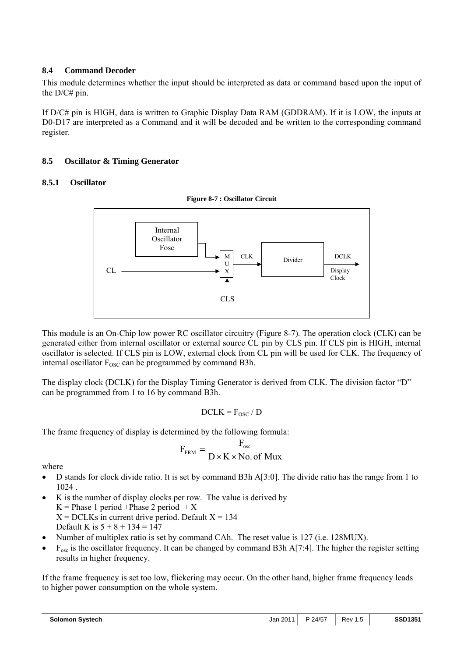## **8.4 Command Decoder**

This module determines whether the input should be interpreted as data or command based upon the input of the D/C# pin.

If D/C# pin is HIGH, data is written to Graphic Display Data RAM (GDDRAM). If it is LOW, the inputs at D0-D17 are interpreted as a Command and it will be decoded and be written to the corresponding command register.

## **8.5 Oscillator & Timing Generator**

## **8.5.1 Oscillator**



This module is an On-Chip low power RC oscillator circuitry (Figure 8-7). The operation clock (CLK) can be generated either from internal oscillator or external source CL pin by CLS pin. If CLS pin is HIGH, internal oscillator is selected. If CLS pin is LOW, external clock from CL pin will be used for CLK. The frequency of internal oscillator  $F_{\text{OSC}}$  can be programmed by command B3h.

The display clock (DCLK) for the Display Timing Generator is derived from CLK. The division factor "D" can be programmed from 1 to 16 by command B3h.

$$
DCLK = F_{OSC} / D
$$

The frame frequency of display is determined by the following formula:

$$
F_{\text{FRM}} = \frac{F_{\text{osc}}}{D \times K \times No.\text{ of Mux}}
$$

where

- D stands for clock divide ratio. It is set by command B3h A[3:0]. The divide ratio has the range from 1 to 1024 .
- K is the number of display clocks per row. The value is derived by  $K = Phase 1 period + Phase 2 period + X$  $X = DCLKs$  in current drive period. Default  $X = 134$ Default K is  $5 + 8 + 134 = 147$
- Number of multiplex ratio is set by command CAh. The reset value is 127 (i.e. 128MUX).
- $F_{osc}$  is the oscillator frequency. It can be changed by command B3h A[7:4]. The higher the register setting results in higher frequency.

If the frame frequency is set too low, flickering may occur. On the other hand, higher frame frequency leads to higher power consumption on the whole system.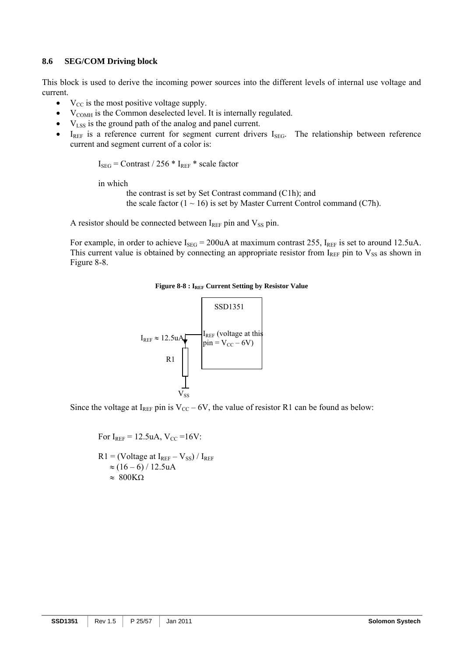#### **8.6 SEG/COM Driving block**

This block is used to derive the incoming power sources into the different levels of internal use voltage and current.

- $V_{CC}$  is the most positive voltage supply.
- $V_{COMH}$  is the Common deselected level. It is internally regulated.
- $\bullet$   $V_{LSS}$  is the ground path of the analog and panel current.
- $I_{REF}$  is a reference current for segment current drivers  $I_{SEG}$ . The relationship between reference current and segment current of a color is:

 $I_{\text{SEG}}$  = Contrast / 256  $*$  I<sub>REF</sub>  $*$  scale factor

in which

the contrast is set by Set Contrast command (C1h); and the scale factor  $(1 \sim 16)$  is set by Master Current Control command (C7h).

A resistor should be connected between  $I_{REF}$  pin and  $V_{SS}$  pin.

For example, in order to achieve  $I_{\text{SEG}} = 200 \text{uA}$  at maximum contrast 255,  $I_{\text{REF}}$  is set to around 12.5uA. This current value is obtained by connecting an appropriate resistor from  $I_{REF}$  pin to  $V_{SS}$  as shown in Figure 8-8.

#### Figure 8-8 : I<sub>REF</sub> Current Setting by Resistor Value



Since the voltage at I<sub>REF</sub> pin is  $V_{CC}$  – 6V, the value of resistor R1 can be found as below:

For  $I_{REF} = 12.5$ uA,  $V_{CC} = 16V$ :  $R1 = (Voltage at I<sub>REF</sub> - V<sub>SS</sub>) / I<sub>REF</sub>$  $\approx$  (16 – 6) / 12.5uA  $\approx 800K\Omega$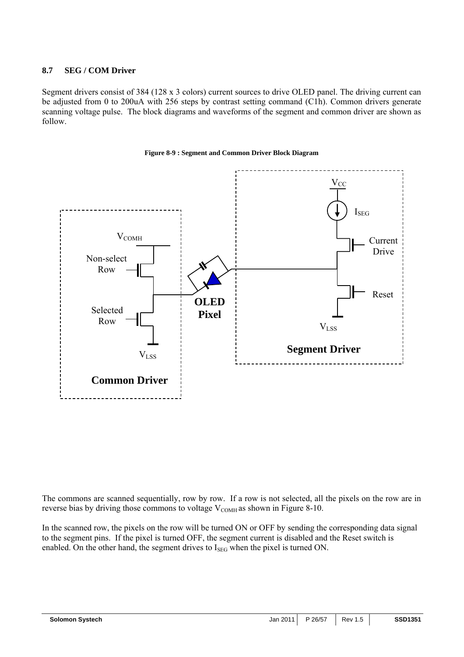## **8.7 SEG / COM Driver**

Segment drivers consist of 384 (128 x 3 colors) current sources to drive OLED panel. The driving current can be adjusted from 0 to 200uA with 256 steps by contrast setting command (C1h). Common drivers generate scanning voltage pulse. The block diagrams and waveforms of the segment and common driver are shown as follow.



#### **Figure 8-9 : Segment and Common Driver Block Diagram**

The commons are scanned sequentially, row by row. If a row is not selected, all the pixels on the row are in reverse bias by driving those commons to voltage  $V_{COMH}$  as shown in Figure 8-10.

In the scanned row, the pixels on the row will be turned ON or OFF by sending the corresponding data signal to the segment pins. If the pixel is turned OFF, the segment current is disabled and the Reset switch is enabled. On the other hand, the segment drives to  $I_{\text{SEG}}$  when the pixel is turned ON.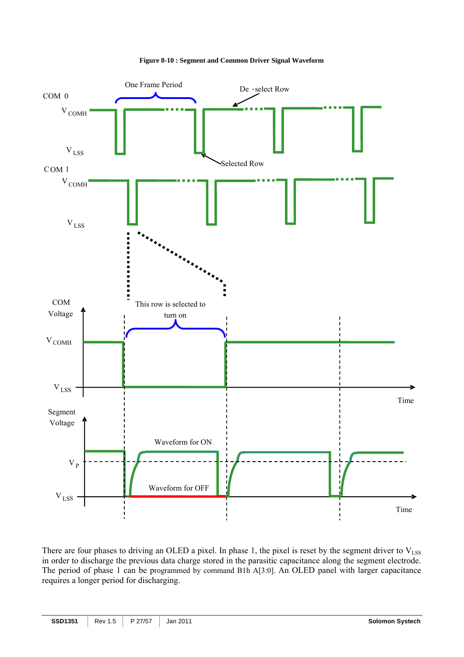



There are four phases to driving an OLED a pixel. In phase 1, the pixel is reset by the segment driver to  $V_{LSS}$ in order to discharge the previous data charge stored in the parasitic capacitance along the segment electrode. The period of phase 1 can be programmed by command B1h A[3:0]. An OLED panel with larger capacitance requires a longer period for discharging.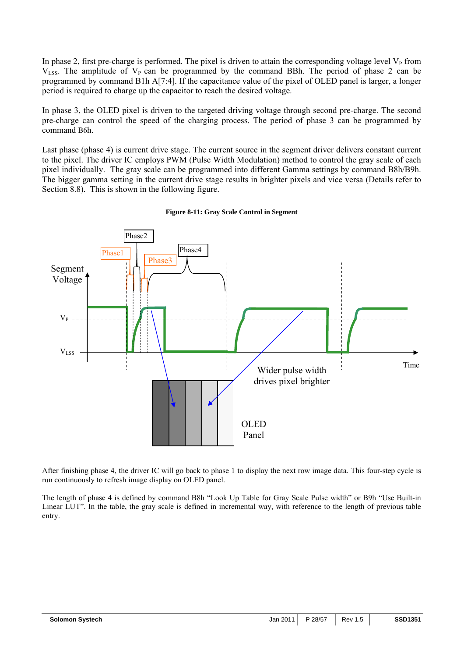In phase 2, first pre-charge is performed. The pixel is driven to attain the corresponding voltage level  $V<sub>P</sub>$  from  $V_{LSS}$ . The amplitude of  $V_{P}$  can be programmed by the command BBh. The period of phase 2 can be programmed by command B1h A[7:4]. If the capacitance value of the pixel of OLED panel is larger, a longer period is required to charge up the capacitor to reach the desired voltage.

In phase 3, the OLED pixel is driven to the targeted driving voltage through second pre-charge. The second pre-charge can control the speed of the charging process. The period of phase 3 can be programmed by command B6h.

Last phase (phase 4) is current drive stage. The current source in the segment driver delivers constant current to the pixel. The driver IC employs PWM (Pulse Width Modulation) method to control the gray scale of each pixel individually. The gray scale can be programmed into different Gamma settings by command B8h/B9h. The bigger gamma setting in the current drive stage results in brighter pixels and vice versa (Details refer to Section 8.8). This is shown in the following figure.



#### **Figure 8-11: Gray Scale Control in Segment**

After finishing phase 4, the driver IC will go back to phase 1 to display the next row image data. This four-step cycle is run continuously to refresh image display on OLED panel.

The length of phase 4 is defined by command B8h "Look Up Table for Gray Scale Pulse width" or B9h "Use Built-in Linear LUT". In the table, the gray scale is defined in incremental way, with reference to the length of previous table entry.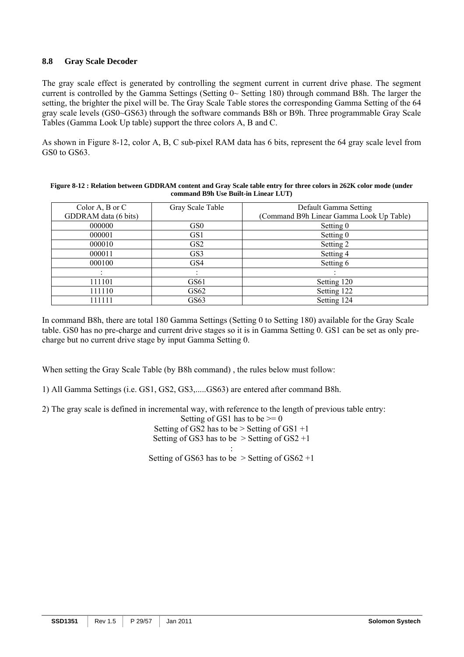## **8.8 Gray Scale Decoder**

The gray scale effect is generated by controlling the segment current in current drive phase. The segment current is controlled by the Gamma Settings (Setting 0~ Setting 180) through command B8h. The larger the setting, the brighter the pixel will be. The Gray Scale Table stores the corresponding Gamma Setting of the 64 gray scale levels (GS0~GS63) through the software commands B8h or B9h. Three programmable Gray Scale Tables (Gamma Look Up table) support the three colors A, B and C.

As shown in Figure 8-12, color A, B, C sub-pixel RAM data has 6 bits, represent the 64 gray scale level from GS0 to GS63.

| Color A, B or C      | Gray Scale Table | Default Gamma Setting                    |
|----------------------|------------------|------------------------------------------|
| GDDRAM data (6 bits) |                  | (Command B9h Linear Gamma Look Up Table) |
| 000000               | GS <sub>0</sub>  | Setting 0                                |
| 000001               | GS <sub>1</sub>  | Setting 0                                |
| 000010               | GS <sub>2</sub>  | Setting 2                                |
| 000011               | GS3              | Setting 4                                |
| 000100               | GS4              | Setting 6                                |
|                      |                  |                                          |
| 111101               | GS61             | Setting 120                              |
| 111110               | GS62             | Setting 122                              |
| 111111               | GS63             | Setting 124                              |

**Figure 8-12 : Relation between GDDRAM content and Gray Scale table entry for three colors in 262K color mode (under command B9h Use Built-in Linear LUT)** 

In command B8h, there are total 180 Gamma Settings (Setting 0 to Setting 180) available for the Gray Scale table. GS0 has no pre-charge and current drive stages so it is in Gamma Setting 0. GS1 can be set as only precharge but no current drive stage by input Gamma Setting 0.

When setting the Gray Scale Table (by B8h command) , the rules below must follow:

1) All Gamma Settings (i.e. GS1, GS2, GS3,.....GS63) are entered after command B8h.

2) The gray scale is defined in incremental way, with reference to the length of previous table entry:

Setting of GS1 has to be  $\geq 0$ 

Setting of GS2 has to be  $>$  Setting of GS1 +1 Setting of GS3 has to be  $>$  Setting of GS2 +1

: Setting of GS63 has to be  $>$  Setting of GS62 +1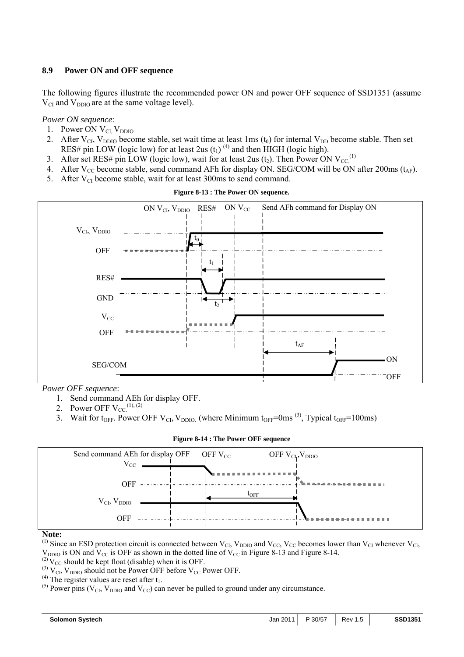## **8.9 Power ON and OFF sequence**

The following figures illustrate the recommended power ON and power OFF sequence of SSD1351 (assume  $V_{CI}$  and  $V_{DDIO}$  are at the same voltage level).

## *Power ON sequence*:

- 1. Power ON V<sub>CI</sub>, V<sub>DDIO.</sub>
- 2. After  $V_{\text{Cl}}$ ,  $V_{\text{DDIO}}$  become stable, set wait time at least 1ms (t<sub>0</sub>) for internal  $V_{\text{DD}}$  become stable. Then set RES# pin LOW (logic low) for at least 2us  $(t_1)^{(4)}$  and then HIGH (logic high).
- 3. After set RES# pin LOW (logic low), wait for at least 2us ( $t_2$ ). Then Power ON V<sub>CC</sub><sup>(1)</sup>
- 4. After  $V_{CC}$  become stable, send command AFh for display ON. SEG/COM will be ON after 200ms ( $t_{AF}$ ).
- 5. After  $V_{CI}$  become stable, wait for at least 300ms to send command.



**Figure 8-13 : The Power ON sequence.** 

*Power OFF sequence*:

- 1. Send command AEh for display OFF.
- 2. Power OFF  $V_{CC}^{(1), (2)}$
- 3. Wait for t<sub>OFF</sub>. Power OFF V<sub>CI</sub>, V<sub>DDIO.</sub> (where Minimum t<sub>OFF</sub>=0ms<sup>(3)</sup>, Typical t<sub>OFF</sub>=100ms)

| <b>Figure 8-14 : The Power OFF sequence</b> |
|---------------------------------------------|
|                                             |



#### **Note:**

<sup>(1)</sup> Since an ESD protection circuit is connected between  $V_{\text{Cl}}$ ,  $V_{\text{DDIO}}$  and  $V_{\text{CC}}$ ,  $V_{\text{CC}}$  becomes lower than  $V_{\text{Cl}}$  whenever  $V_{\text{Cl}}$ ,  $V_{DDIO}$  is ON and  $V_{CC}$  is OFF as shown in the dotted line of  $V_{CC}$  in Figure 8-13 and Figure 8-14.

 $^{(2)}V_{CC}$  should be kept float (disable) when it is OFF.

- <sup>(3)</sup>  $V_{\text{Cl}}$ ,  $V_{\text{DDIO}}$  should not be Power OFF before  $V_{\text{CC}}$  Power OFF.<br><sup>(4)</sup> The register values are reset after  $t_1$ .
- 

<sup>(5)</sup> Power pins ( $V_{CI}$ ,  $V_{DDIO}$  and  $V_{CC}$ ) can never be pulled to ground under any circumstance.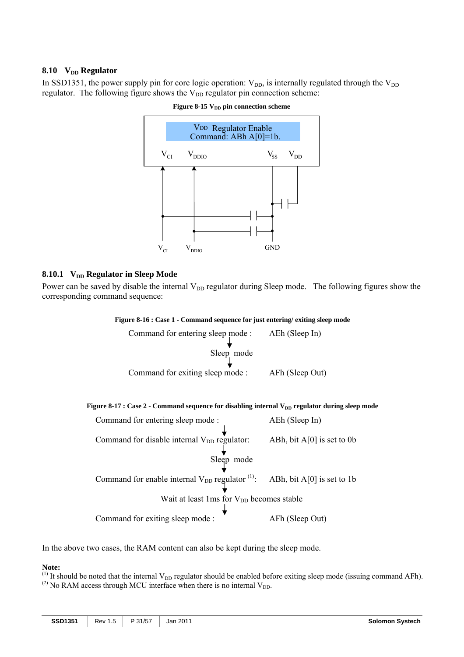## 8.10 **V<sub>DD</sub>** Regulator

In SSD1351, the power supply pin for core logic operation:  $V_{DD}$ , is internally regulated through the  $V_{DD}$ regulator. The following figure shows the  $V_{DD}$  regulator pin connection scheme:



Figure 8-15 V<sub>DD</sub> pin connection scheme

## 8.10.1 **V<sub>DD</sub> Regulator in Sleep Mode**

Power can be saved by disable the internal V<sub>DD</sub> regulator during Sleep mode. The following figures show the corresponding command sequence:

#### **Figure 8-16 : Case 1 - Command sequence for just entering/ exiting sleep mode**

| Command for entering sleep mode : AEh (Sleep In)<br>Sleep mode                                      |                 |
|-----------------------------------------------------------------------------------------------------|-----------------|
| Command for exiting sleep mode :                                                                    | AFh (Sleep Out) |
| Figure 8-17 : Case 2 - Command sequence for disabling internal $V_{DD}$ regulator during sleep mode |                 |
| Command for entering sleep mode:                                                                    | AEh (Sleep In)  |
| Command for disable internal $V_{DD}$ regulator: ABh, bit A[0] is set to 0b                         |                 |
| Sleep mode                                                                                          |                 |
| Command for enable internal $V_{DD}$ regulator $^{(1)}$ : ABh, bit A[0] is set to 1b                |                 |
| Wait at least 1ms for V <sub>DD</sub> becomes stable                                                |                 |
| Command for exiting sleep mode:                                                                     | AFh (Sleep Out) |

In the above two cases, the RAM content can also be kept during the sleep mode.

## **Note:**

<sup>(1)</sup> It should be noted that the internal  $V_{DD}$  regulator should be enabled before exiting sleep mode (issuing command AFh).

<sup>(2)</sup> No RAM access through MCU interface when there is no internal  $V_{DD}$ .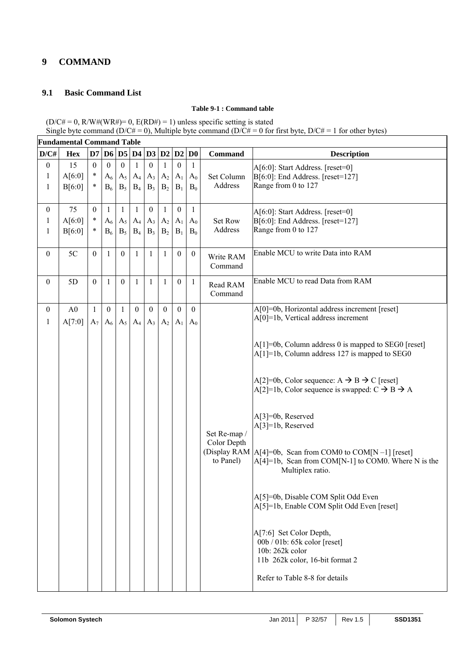## **9 COMMAND**

## **9.1 Basic Command List**

## **Table 9-1 : Command table**

 $(D/C# = 0, R/W#(WR#)= 0, E(RD#) = 1)$  unless specific setting is stated Single byte command (D/C# = 0), Multiple byte command (D/C# = 0 for first byte, D/C# = 1 for other bytes)

|                                                  | <b>Fundamental Command Table</b> |                                  |                                  |                                |                                |                                    |                                                  |                                    |                        |                             |                                                                                                                                           |
|--------------------------------------------------|----------------------------------|----------------------------------|----------------------------------|--------------------------------|--------------------------------|------------------------------------|--------------------------------------------------|------------------------------------|------------------------|-----------------------------|-------------------------------------------------------------------------------------------------------------------------------------------|
| D/CH                                             | <b>Hex</b>                       |                                  |                                  | D7 D6 D5 D4 D3 D2 D2           |                                |                                    |                                                  |                                    | $\mathbf{D}\mathbf{0}$ | <b>Command</b>              | <b>Description</b>                                                                                                                        |
| $\boldsymbol{0}$<br>$\mathbf{1}$<br>$\mathbf{1}$ | 15<br>A[6:0]<br>B[6:0]           | $\mathbf{0}$<br>$\ast$<br>$\ast$ | $\overline{0}$<br>$A_6$<br>$B_6$ | $\mathbf{0}$<br>$A_5$<br>$B_5$ | $\mathbf{1}$<br>$A_4$<br>$B_4$ | $\mathbf{0}$<br>$A_3$<br>$B_3$     | $\mathbf{1}$<br>$A_2$<br>B <sub>2</sub>          | $\boldsymbol{0}$<br>$A_1$<br>$B_1$ | 1<br>$A_0$<br>$B_0$    | Set Column<br>Address       | A[6:0]: Start Address. [reset=0]<br>B[6:0]: End Address. [reset=127]<br>Range from 0 to 127                                               |
| $\boldsymbol{0}$<br>$\mathbf{1}$<br>1            | 75<br>A[6:0]<br>B[6:0]           | $\boldsymbol{0}$<br>$\ast$<br>*  | 1<br>$A_6$<br>$B_6$              | 1<br>$A_5$<br>$B_5$            | 1<br>$A_4$<br>$B_4$            | $\boldsymbol{0}$<br>$A_3$<br>$B_3$ | $\mathbf{1}$<br>A <sub>2</sub><br>B <sub>2</sub> | $\boldsymbol{0}$<br>$A_1$<br>$B_1$ | 1<br>$A_0$<br>$B_0$    | Set Row<br>Address          | A[6:0]: Start Address. [reset=0]<br>B[6:0]: End Address. [reset=127]<br>Range from 0 to 127                                               |
| $\overline{0}$                                   | 5C                               | $\mathbf{0}$                     | $\mathbf{1}$                     | $\mathbf{0}$                   | $\mathbf{1}$                   | $\mathbf{1}$                       | $\mathbf{1}$                                     | $\boldsymbol{0}$                   | $\boldsymbol{0}$       | Write RAM<br>Command        | Enable MCU to write Data into RAM                                                                                                         |
| $\overline{0}$                                   | 5D                               | $\mathbf{0}$                     | 1                                | $\boldsymbol{0}$               | $\mathbf{1}$                   | $\mathbf{1}$                       | $\mathbf{1}$                                     | $\boldsymbol{0}$                   | $\mathbf{1}$           | Read RAM<br>Command         | Enable MCU to read Data from RAM                                                                                                          |
| $\overline{0}$<br>$\mathbf{1}$                   | A <sub>0</sub><br>A[7:0]         | $\mathbf{1}$<br>$A_7$            | $\mathbf{0}$<br>$A_6$            | $\mathbf{1}$<br>$A_5$          | $\mathbf{0}$<br>$A_4$          | $\boldsymbol{0}$<br>$A_3$          | $\boldsymbol{0}$<br>$A_2$                        | $\mathbf{0}$<br>$A_{1}$            | $\mathbf{0}$<br>$A_0$  |                             | A[0]=0b, Horizontal address increment [reset]<br>$A[0]=1b$ , Vertical address increment                                                   |
|                                                  |                                  |                                  |                                  |                                |                                |                                    |                                                  |                                    |                        |                             | $A[1] = 0b$ , Column address 0 is mapped to SEG0 [reset]<br>$A[1] = 1b$ , Column address 127 is mapped to SEG0                            |
|                                                  |                                  |                                  |                                  |                                |                                |                                    |                                                  |                                    |                        |                             | A[2]=0b, Color sequence: A $\rightarrow$ B $\rightarrow$ C [reset]<br>A[2]=1b, Color sequence is swapped: $C \rightarrow B \rightarrow A$ |
|                                                  |                                  |                                  |                                  |                                |                                |                                    |                                                  |                                    |                        | Set Re-map /<br>Color Depth | A[3]=0b, Reserved<br>A[3]=1b, Reserved                                                                                                    |
|                                                  |                                  |                                  |                                  |                                |                                |                                    |                                                  |                                    |                        | to Panel)                   | (Display RAM  A[4]=0b, Scan from COM0 to COM[N-1] [reset]<br>$A[4]=1b$ , Scan from COM[N-1] to COM0. Where N is the<br>Multiplex ratio.   |
|                                                  |                                  |                                  |                                  |                                |                                |                                    |                                                  |                                    |                        |                             | A[5]=0b, Disable COM Split Odd Even<br>A[5]=1b, Enable COM Split Odd Even [reset]                                                         |
|                                                  |                                  |                                  |                                  |                                |                                |                                    |                                                  |                                    |                        |                             | A[7:6] Set Color Depth,<br>$00b / 01b$ : 65k color [reset]<br>10b: 262k color<br>11b 262k color, 16-bit format 2                          |
|                                                  |                                  |                                  |                                  |                                |                                |                                    |                                                  |                                    |                        |                             | Refer to Table 8-8 for details                                                                                                            |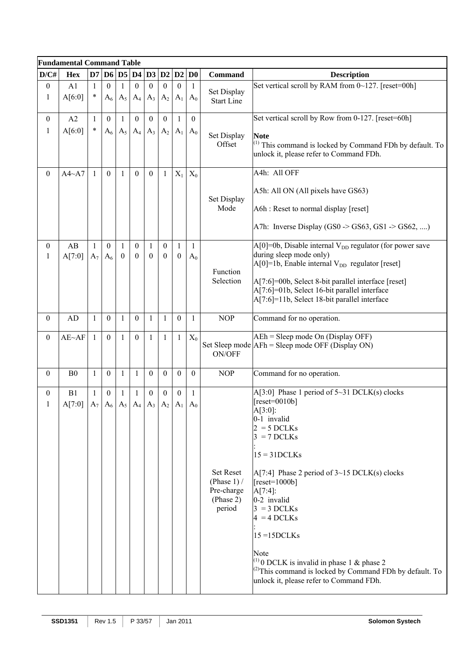|                                | <b>Fundamental Command Table</b>                         |                       |                                    |                   |                              |                          |                              |                   |                       |                         |                                                                                                                                                                         |  |  |
|--------------------------------|----------------------------------------------------------|-----------------------|------------------------------------|-------------------|------------------------------|--------------------------|------------------------------|-------------------|-----------------------|-------------------------|-------------------------------------------------------------------------------------------------------------------------------------------------------------------------|--|--|
| D/CH                           | <b>Hex</b>                                               | $\mathbf{D}7$         |                                    |                   | D6 D5 D4 D3                  |                          | D2                           | D2                | $\mathbf{D0}$         | <b>Command</b>          | <b>Description</b>                                                                                                                                                      |  |  |
| $\boldsymbol{0}$               | A1                                                       | $\mathbf{1}$          | $\mathbf{0}$                       |                   | $\boldsymbol{0}$             | $\theta$                 | $\mathbf{0}$                 | $\boldsymbol{0}$  | 1                     | Set Display             | Set vertical scroll by RAM from 0~127. [reset=00h]                                                                                                                      |  |  |
| $\mathbf{1}$                   | A[6:0]                                                   | $\ast$                | $A_6$                              | $A_5$             | $A_4$                        | $A_3$                    | A <sub>2</sub>               | A <sub>1</sub>    | $A_0$                 | <b>Start Line</b>       |                                                                                                                                                                         |  |  |
| $\overline{0}$                 | A2                                                       | $\mathbf{1}$          | $\theta$                           | 1                 | $\boldsymbol{0}$             | $\theta$                 | $\mathbf{0}$                 | 1                 | $\boldsymbol{0}$      |                         | Set vertical scroll by Row from 0-127. [reset=60h]                                                                                                                      |  |  |
| $\mathbf{1}$                   | A[6:0]                                                   | $\ast$                | $A_6$                              | $A_5$             | $A_4$                        | $A_3$                    | $A_2$                        | $A_1$             | $A_0$                 | Set Display             | <b>Note</b>                                                                                                                                                             |  |  |
|                                |                                                          |                       |                                    |                   |                              |                          |                              |                   |                       | Offset                  | $(1)$ This command is locked by Command FDh by default. To<br>unlock it, please refer to Command FDh.                                                                   |  |  |
| $\boldsymbol{0}$               | A4~A7                                                    | $\mathbf{1}$          | $\mathbf{0}$                       | 1                 | $\mathbf{0}$                 | $\overline{0}$           | $\mathbf{1}$                 | $X_1$             | $X_0$                 |                         | A4h: All OFF                                                                                                                                                            |  |  |
|                                |                                                          |                       |                                    |                   |                              |                          |                              |                   |                       | Set Display             | A5h: All ON (All pixels have GS63)                                                                                                                                      |  |  |
|                                |                                                          |                       |                                    |                   |                              |                          |                              |                   |                       | Mode                    | A6h : Reset to normal display [reset]                                                                                                                                   |  |  |
|                                |                                                          |                       |                                    |                   |                              |                          |                              |                   |                       |                         | A7h: Inverse Display (GS0 $\rightarrow$ GS63, GS1 $\rightarrow$ GS62, )                                                                                                 |  |  |
| $\overline{0}$<br>$\mathbf{1}$ | AB<br>A[7:0]                                             | $\mathbf{1}$<br>$A_7$ | $\boldsymbol{0}$<br>A <sub>6</sub> | 1<br>$\mathbf{0}$ | $\boldsymbol{0}$<br>$\theta$ | $\mathbf{1}$<br>$\theta$ | $\boldsymbol{0}$<br>$\theta$ | 1<br>$\mathbf{0}$ | $\mathbf{1}$<br>$A_0$ |                         | $A[0]=0$ , Disable internal $V_{DD}$ regulator (for power save<br>during sleep mode only)<br>$A[0] = 1b$ , Enable internal $V_{DD}$ regulator [reset]                   |  |  |
|                                |                                                          |                       |                                    |                   |                              |                          |                              |                   |                       | Function<br>Selection   | A[7:6]=00b, Select 8-bit parallel interface [reset]<br>A[7:6]=01b, Select 16-bit parallel interface<br>A[7:6]=11b, Select 18-bit parallel interface                     |  |  |
| $\overline{0}$                 | <b>AD</b>                                                | $\mathbf{1}$          | $\boldsymbol{0}$                   | 1                 | $\boldsymbol{0}$             | $\mathbf{1}$             | $\mathbf{1}$                 | $\boldsymbol{0}$  | $\mathbf{1}$          | <b>NOP</b>              | Command for no operation.                                                                                                                                               |  |  |
| $\boldsymbol{0}$               | $AE~\rightarrow AF$                                      | $\mathbf{1}$          | $\mathbf{0}$                       | 1                 | $\boldsymbol{0}$             | $\mathbf{1}$             | $\mathbf{1}$                 | 1                 | $X_0$                 | ON/OFF                  | $A E h = S leep mode On (Display OFF)$<br>Set Sleep mode AFh = Sleep mode OFF (Display ON)                                                                              |  |  |
| $\overline{0}$                 | B <sub>0</sub>                                           | $\mathbf{1}$          | $\boldsymbol{0}$                   | 1                 | 1                            | $\boldsymbol{0}$         | $\boldsymbol{0}$             | $\overline{0}$    | $\mathbf{0}$          | <b>NOP</b>              | Command for no operation.                                                                                                                                               |  |  |
| $\overline{0}$                 | B1                                                       | $\mathbf{1}$          | $\boldsymbol{0}$                   | 1                 | 1                            | $\mathbf{0}$             | $\boldsymbol{0}$             | $\overline{0}$    | 1                     |                         | A[3:0] Phase 1 period of $5 \sim 31$ DCLK(s) clocks                                                                                                                     |  |  |
| 1                              | $A[7:0]   A_7   A_6   A_5   A_4   A_3   A_2   A_1   A_0$ |                       |                                    |                   |                              |                          |                              |                   |                       |                         | $[reset=0010b]$<br>$A[3:0]$ :                                                                                                                                           |  |  |
|                                |                                                          |                       |                                    |                   |                              |                          |                              |                   |                       |                         | 0-1 invalid<br>$2 = 5$ DCLKs                                                                                                                                            |  |  |
|                                |                                                          |                       |                                    |                   |                              |                          |                              |                   |                       |                         | $3 = 7$ DCLKs                                                                                                                                                           |  |  |
|                                |                                                          |                       |                                    |                   |                              |                          |                              |                   |                       |                         | $15 = 31 DCLKs$                                                                                                                                                         |  |  |
|                                |                                                          |                       |                                    |                   |                              |                          |                              |                   |                       | <b>Set Reset</b>        | $A[7:4]$ Phase 2 period of $3~15$ DCLK(s) clocks                                                                                                                        |  |  |
|                                |                                                          |                       |                                    |                   |                              |                          |                              |                   |                       | (Phase $1$ ) /          | $[reset=1000b]$                                                                                                                                                         |  |  |
|                                |                                                          |                       |                                    |                   |                              |                          |                              |                   |                       | Pre-charge<br>(Phase 2) | $A[7:4]$ :<br>0-2 invalid                                                                                                                                               |  |  |
|                                |                                                          |                       |                                    |                   |                              |                          |                              |                   |                       | period                  | $3 = 3$ DCLKs<br>$4 = 4$ DCLKs                                                                                                                                          |  |  |
|                                |                                                          |                       |                                    |                   |                              |                          |                              |                   |                       |                         | $15 = 15DCLKs$                                                                                                                                                          |  |  |
|                                |                                                          |                       |                                    |                   |                              |                          |                              |                   |                       |                         | Note                                                                                                                                                                    |  |  |
|                                |                                                          |                       |                                    |                   |                              |                          |                              |                   |                       |                         | <sup>(1)</sup> 0 DCLK is invalid in phase 1 & phase 2<br><sup>(2)</sup> This command is locked by Command FDh by default. To<br>unlock it, please refer to Command FDh. |  |  |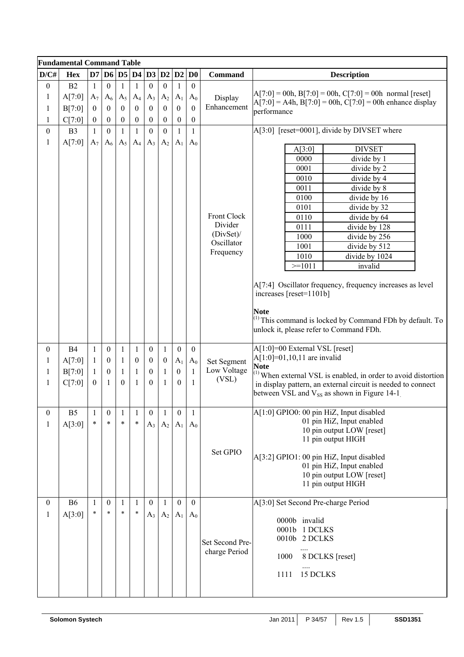|                  | <b>Fundamental Command Table</b> |                  |                  |                  |                  |                  |                  |                  |                        |                        |                                                                                                                                                                                      |
|------------------|----------------------------------|------------------|------------------|------------------|------------------|------------------|------------------|------------------|------------------------|------------------------|--------------------------------------------------------------------------------------------------------------------------------------------------------------------------------------|
| D/CH             | <b>Hex</b>                       | D7               |                  |                  | D6 D5 D4         | D3               | D2               | D2               | $\mathbf{D}\mathbf{0}$ | <b>Command</b>         | <b>Description</b>                                                                                                                                                                   |
| $\boldsymbol{0}$ | B2                               | 1                | $\mathbf{0}$     | 1                | $\mathbf{1}$     | $\mathbf{0}$     | $\mathbf{0}$     | 1                | $\mathbf{0}$           |                        |                                                                                                                                                                                      |
| 1                | A[7:0]                           | $A_7$            | $A_6$            | $A_5$            | $A_4$            | $A_3$            | A <sub>2</sub>   | $A_1$            | $A_0$                  | Display                | $A[7:0] = 00h, B[7:0] = 00h, C[7:0] = 00h$ normal [reset]                                                                                                                            |
| 1                | B[7:0]                           | $\mathbf{0}$     | $\theta$         | $\mathbf{0}$     | $\boldsymbol{0}$ | $\boldsymbol{0}$ | $\boldsymbol{0}$ | $\boldsymbol{0}$ | $\mathbf{0}$           | Enhancement            | $A[7:0] = A4h, B[7:0] = 00h, C[7:0] = 00h$ enhance display<br>performance                                                                                                            |
| 1                | C[7:0]                           | $\boldsymbol{0}$ | $\boldsymbol{0}$ | $\boldsymbol{0}$ | $\boldsymbol{0}$ | $\boldsymbol{0}$ | $\boldsymbol{0}$ | $\boldsymbol{0}$ | $\boldsymbol{0}$       |                        |                                                                                                                                                                                      |
| $\boldsymbol{0}$ | B <sub>3</sub>                   | $\mathbf{1}$     | $\mathbf{0}$     | $\mathbf{1}$     | $\mathbf{1}$     | $\boldsymbol{0}$ | $\theta$         | $\mathbf{1}$     | $\mathbf{1}$           |                        | A[3:0] [reset=0001], divide by DIVSET where                                                                                                                                          |
| 1                | A[7:0]                           | $A_7$            | $A_6$            | $A_5$            | $A_4$            |                  | A <sub>2</sub>   | $A_1$            | $A_0$                  |                        |                                                                                                                                                                                      |
|                  |                                  |                  |                  |                  |                  | $A_3$            |                  |                  |                        |                        | <b>DIVSET</b><br>A[3:0]                                                                                                                                                              |
|                  |                                  |                  |                  |                  |                  |                  |                  |                  |                        |                        | 0000<br>divide by 1                                                                                                                                                                  |
|                  |                                  |                  |                  |                  |                  |                  |                  |                  |                        |                        | 0001<br>divide by 2                                                                                                                                                                  |
|                  |                                  |                  |                  |                  |                  |                  |                  |                  |                        |                        | 0010<br>divide by 4                                                                                                                                                                  |
|                  |                                  |                  |                  |                  |                  |                  |                  |                  |                        |                        | divide by 8<br>0011                                                                                                                                                                  |
|                  |                                  |                  |                  |                  |                  |                  |                  |                  |                        |                        | 0100<br>divide by 16                                                                                                                                                                 |
|                  |                                  |                  |                  |                  |                  |                  |                  |                  |                        |                        | 0101<br>divide by 32                                                                                                                                                                 |
|                  |                                  |                  |                  |                  |                  |                  |                  |                  |                        | Front Clock<br>Divider | 0110<br>divide by 64                                                                                                                                                                 |
|                  |                                  |                  |                  |                  |                  |                  |                  |                  |                        | $(DivSet)$ /           | 0111<br>divide by 128                                                                                                                                                                |
|                  |                                  |                  |                  |                  |                  |                  |                  |                  |                        | Oscillator             | 1000<br>divide by 256                                                                                                                                                                |
|                  |                                  |                  |                  |                  |                  |                  |                  |                  |                        | Frequency              | 1001<br>divide by 512<br>1010                                                                                                                                                        |
|                  |                                  |                  |                  |                  |                  |                  |                  |                  |                        |                        | divide by 1024<br>$>=1011$<br>invalid                                                                                                                                                |
|                  |                                  |                  |                  |                  |                  |                  |                  |                  |                        |                        |                                                                                                                                                                                      |
|                  |                                  |                  |                  |                  |                  |                  |                  |                  |                        |                        | A[7:4] Oscillator frequency, frequency increases as level<br>increases [reset=1101b]                                                                                                 |
|                  |                                  |                  |                  |                  |                  |                  |                  |                  |                        |                        | <b>Note</b><br>$(1)$ This command is locked by Command FDh by default. To<br>unlock it, please refer to Command FDh.                                                                 |
| $\mathbf{0}$     | <b>B4</b>                        | 1                | $\boldsymbol{0}$ | 1                | 1                | $\boldsymbol{0}$ | 1                | $\boldsymbol{0}$ | $\mathbf{0}$           |                        | A[1:0]=00 External VSL [reset]                                                                                                                                                       |
| 1                | A[7:0]                           | -1               | $\mathbf{0}$     | 1                | $\mathbf{0}$     | $\mathbf{0}$     | $\mathbf{0}$     | $A_1$            | $A_0$                  | Set Segment            | $A[1:0] = 01, 10, 11$ are invalid                                                                                                                                                    |
| 1                | B[7:0]                           | $\mathbf{1}$     | $\mathbf{0}$     | 1                | $\mathbf{1}$     | $\theta$         | 1                | $\boldsymbol{0}$ | 1                      | Low Voltage            | <b>Note</b>                                                                                                                                                                          |
| 1                | C[7:0]                           | $\mathbf{0}$     | 1                | $\mathbf{0}$     | $\mathbf{1}$     | $\mathbf{0}$     | $\mathbf{1}$     | $\mathbf{0}$     | 1                      | (VSL)                  | $(1)$ When external VSL is enabled, in order to avoid distortion<br>in display pattern, an external circuit is needed to connect<br>between VSL and $V_{SS}$ as shown in Figure 14-1 |
| $\boldsymbol{0}$ | B <sub>5</sub>                   | 1                | $\mathbf{0}$     | 1                | $\mathbf{1}$     | $\mathbf{0}$     |                  | 0                | 1                      |                        | A[1:0] GPIO0: 00 pin HiZ, Input disabled                                                                                                                                             |
| 1                | A[3:0]                           | $\ast$           | $\ast$           | *                | $\ast$           | $A_3$            | $A_2$            | $A_1$            | $A_0$                  |                        | 01 pin HiZ, Input enabled                                                                                                                                                            |
|                  |                                  |                  |                  |                  |                  |                  |                  |                  |                        |                        | 10 pin output LOW [reset]                                                                                                                                                            |
|                  |                                  |                  |                  |                  |                  |                  |                  |                  |                        |                        | 11 pin output HIGH                                                                                                                                                                   |
|                  |                                  |                  |                  |                  |                  |                  |                  |                  |                        | Set GPIO               | A[3:2] GPIO1: 00 pin HiZ, Input disabled                                                                                                                                             |
|                  |                                  |                  |                  |                  |                  |                  |                  |                  |                        |                        | 01 pin HiZ, Input enabled                                                                                                                                                            |
|                  |                                  |                  |                  |                  |                  |                  |                  |                  |                        |                        | 10 pin output LOW [reset]                                                                                                                                                            |
|                  |                                  |                  |                  |                  |                  |                  |                  |                  |                        |                        | 11 pin output HIGH                                                                                                                                                                   |
|                  |                                  |                  |                  |                  |                  |                  |                  |                  |                        |                        |                                                                                                                                                                                      |
| $\mathbf{0}$     | <b>B6</b>                        | 1                | $\mathbf{0}$     | 1                | 1                | $\mathbf{0}$     | 1                | $\mathbf{0}$     | $\mathbf{0}$           |                        | A[3:0] Set Second Pre-charge Period                                                                                                                                                  |
| 1                | A[3:0]                           | $\ast$           | $\ast$           | $\ast$           | $\ast$           | $A_3$            | A <sub>2</sub>   | A <sub>1</sub>   | $A_0$                  |                        | 0000b invalid                                                                                                                                                                        |
|                  |                                  |                  |                  |                  |                  |                  |                  |                  |                        |                        | 0001b 1 DCLKS                                                                                                                                                                        |
|                  |                                  |                  |                  |                  |                  |                  |                  |                  |                        | Set Second Pre-        | 0010b 2 DCLKS                                                                                                                                                                        |
|                  |                                  |                  |                  |                  |                  |                  |                  |                  |                        | charge Period          |                                                                                                                                                                                      |
|                  |                                  |                  |                  |                  |                  |                  |                  |                  |                        |                        | 1000<br>8 DCLKS [reset]                                                                                                                                                              |
|                  |                                  |                  |                  |                  |                  |                  |                  |                  |                        |                        | .                                                                                                                                                                                    |
|                  |                                  |                  |                  |                  |                  |                  |                  |                  |                        |                        | 15 DCLKS<br>1111                                                                                                                                                                     |
|                  |                                  |                  |                  |                  |                  |                  |                  |                  |                        |                        |                                                                                                                                                                                      |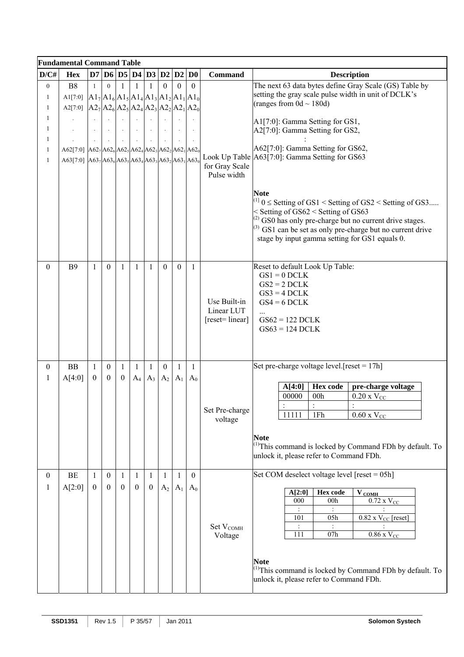|                  | <b>Fundamental Command Table</b>                    |                  |                  |                  |                      |                |                  |                |                  |                                  |                                                                                                                |
|------------------|-----------------------------------------------------|------------------|------------------|------------------|----------------------|----------------|------------------|----------------|------------------|----------------------------------|----------------------------------------------------------------------------------------------------------------|
| D/C#             | <b>Hex</b>                                          |                  |                  |                  | D7 D6 D5 D4 D3 D2 D2 |                |                  |                | D <sub>0</sub>   | <b>Command</b>                   | <b>Description</b>                                                                                             |
| $\boldsymbol{0}$ | ${\bf B8}$                                          | $\mathbf{1}$     | $\Omega$         |                  |                      |                | $\theta$         | $\Omega$       | $\boldsymbol{0}$ |                                  | The next 63 data bytes define Gray Scale (GS) Table by                                                         |
| 1                | A1[7:0] $A1_7A1_6A1_5A1_4A1_3A1_2A1_1A1_0$          |                  |                  |                  |                      |                |                  |                |                  |                                  | setting the gray scale pulse width in unit of DCLK's                                                           |
| 1                | A2[7:0] $A2_7A2_6A2_5A2_4A2_3A2_2A2_1A2_0$          |                  |                  |                  |                      |                |                  |                |                  |                                  | (ranges from $0d \sim 180d$ )                                                                                  |
| 1                |                                                     |                  |                  |                  |                      |                |                  |                |                  |                                  | A1[7:0]: Gamma Setting for GS1,                                                                                |
| 1                |                                                     |                  |                  |                  |                      |                |                  |                |                  |                                  | A2[7:0]: Gamma Setting for GS2,                                                                                |
| 1                |                                                     |                  |                  |                  |                      |                |                  |                |                  |                                  |                                                                                                                |
| 1                | A62[7:0] $A62_7A62_6A62_5A62_4A62_3A62_2A62_1A62_0$ |                  |                  |                  |                      |                |                  |                |                  |                                  | A62[7:0]: Gamma Setting for GS62,                                                                              |
| 1                | A63[7:0] $A63_7A63_6A63_5A63_4A63_3A63_2A63_1A63_0$ |                  |                  |                  |                      |                |                  |                |                  | for Gray Scale                   | Look Up Table A63[7:0]: Gamma Setting for GS63                                                                 |
|                  |                                                     |                  |                  |                  |                      |                |                  |                |                  | Pulse width                      |                                                                                                                |
|                  |                                                     |                  |                  |                  |                      |                |                  |                |                  |                                  |                                                                                                                |
|                  |                                                     |                  |                  |                  |                      |                |                  |                |                  |                                  | <b>Note</b>                                                                                                    |
|                  |                                                     |                  |                  |                  |                      |                |                  |                |                  |                                  | $^{(1)}$ 0 $\le$ Setting of GS1 $\le$ Setting of GS2 $\le$ Setting of GS3                                      |
|                  |                                                     |                  |                  |                  |                      |                |                  |                |                  |                                  | < Setting of GS62 < Setting of GS63<br>$^{(2)}$ GS0 has only pre-charge but no current drive stages.           |
|                  |                                                     |                  |                  |                  |                      |                |                  |                |                  |                                  | $^{(3)}$ GS1 can be set as only pre-charge but no current drive                                                |
|                  |                                                     |                  |                  |                  |                      |                |                  |                |                  |                                  | stage by input gamma setting for GS1 equals 0.                                                                 |
|                  |                                                     |                  |                  |                  |                      |                |                  |                |                  |                                  |                                                                                                                |
| $\theta$         | <b>B9</b>                                           | $\mathbf{1}$     | $\mathbf{0}$     | $\mathbf{1}$     | $\mathbf{1}$         | $\mathbf{1}$   | $\mathbf{0}$     | $\mathbf{0}$   | $\mathbf{1}$     |                                  | Reset to default Look Up Table:                                                                                |
|                  |                                                     |                  |                  |                  |                      |                |                  |                |                  |                                  | $GS1 = 0$ DCLK                                                                                                 |
|                  |                                                     |                  |                  |                  |                      |                |                  |                |                  |                                  | $GS2 = 2 DCLK$                                                                                                 |
|                  |                                                     |                  |                  |                  |                      |                |                  |                |                  |                                  | $GS3 = 4 DCLK$                                                                                                 |
|                  |                                                     |                  |                  |                  |                      |                |                  |                |                  | Use Built-in<br>Linear LUT       | $GS4 = 6$ DCLK                                                                                                 |
|                  |                                                     |                  |                  |                  |                      |                |                  |                |                  | [reset= linear]                  | $\cdots$<br>$GS62 = 122$ DCLK                                                                                  |
|                  |                                                     |                  |                  |                  |                      |                |                  |                |                  |                                  | $GS63 = 124 DCLK$                                                                                              |
|                  |                                                     |                  |                  |                  |                      |                |                  |                |                  |                                  |                                                                                                                |
|                  |                                                     |                  |                  |                  |                      |                |                  |                |                  |                                  |                                                                                                                |
| $\overline{0}$   | <b>BB</b>                                           | $\mathbf{1}$     | $\boldsymbol{0}$ | 1                | $\mathbf{1}$         | 1              | $\boldsymbol{0}$ | 1              | $\mathbf{1}$     |                                  | Set pre-charge voltage level. [reset = $17h$ ]                                                                 |
| 1                | A[4:0]                                              | $\mathbf{0}$     | $\boldsymbol{0}$ | $\bf{0}$         | $A_4$                | $A_3$          | A <sub>2</sub>   | A <sub>1</sub> | $A_0$            |                                  |                                                                                                                |
|                  |                                                     |                  |                  |                  |                      |                |                  |                |                  |                                  | <b>Hex</b> code<br>pre-charge voltage<br>A[4:0]                                                                |
|                  |                                                     |                  |                  |                  |                      |                |                  |                |                  |                                  | 00000<br>00h<br>$0.20 \times V_{CC}$                                                                           |
|                  |                                                     |                  |                  |                  |                      |                |                  |                |                  | Set Pre-charge                   | $\ddot{\phantom{a}}$                                                                                           |
|                  |                                                     |                  |                  |                  |                      |                |                  |                |                  | voltage                          | 11111<br>1Fh<br>$0.60$ x $V_{CC}$                                                                              |
|                  |                                                     |                  |                  |                  |                      |                |                  |                |                  |                                  |                                                                                                                |
|                  |                                                     |                  |                  |                  |                      |                |                  |                |                  |                                  | <b>Note</b><br><sup>(1)</sup> This command is locked by Command FDh by default. To                             |
|                  |                                                     |                  |                  |                  |                      |                |                  |                |                  |                                  | unlock it, please refer to Command FDh.                                                                        |
|                  |                                                     |                  |                  |                  |                      |                |                  |                |                  |                                  |                                                                                                                |
| $\Omega$         | <b>BE</b>                                           | $\mathbf{1}$     | $\boldsymbol{0}$ | 1                | $\mathbf{1}$         | $\mathbf{1}$   | $\mathbf{1}$     | 1              | $\mathbf{0}$     |                                  | Set COM deselect voltage level $[reset = 05h]$                                                                 |
| 1                | A[2:0]                                              | $\boldsymbol{0}$ | $\boldsymbol{0}$ | $\boldsymbol{0}$ | $\mathbf{0}$         | $\overline{0}$ | A <sub>2</sub>   | A <sub>1</sub> | $A_0$            |                                  |                                                                                                                |
|                  |                                                     |                  |                  |                  |                      |                |                  |                |                  |                                  | Hex code<br>A[2:0]<br>$V_{\text{COMH}}$<br>$0.72$ x $V_{CC}$<br>000<br>00h                                     |
|                  |                                                     |                  |                  |                  |                      |                |                  |                |                  |                                  |                                                                                                                |
|                  |                                                     |                  |                  |                  |                      |                |                  |                |                  |                                  | 101<br>05h<br>$0.82$ x $V_{CC}$ [reset]                                                                        |
|                  |                                                     |                  |                  |                  |                      |                |                  |                |                  | Set V <sub>COMH</sub><br>Voltage | $\ddot{\cdot}$<br>111<br>07h<br>$0.86$ x $\rm V_{\rm CC}$                                                      |
|                  |                                                     |                  |                  |                  |                      |                |                  |                |                  |                                  |                                                                                                                |
|                  |                                                     |                  |                  |                  |                      |                |                  |                |                  |                                  |                                                                                                                |
|                  |                                                     |                  |                  |                  |                      |                |                  |                |                  |                                  | <b>Note</b>                                                                                                    |
|                  |                                                     |                  |                  |                  |                      |                |                  |                |                  |                                  | <sup>(1)</sup> This command is locked by Command FDh by default. To<br>unlock it, please refer to Command FDh. |
|                  |                                                     |                  |                  |                  |                      |                |                  |                |                  |                                  |                                                                                                                |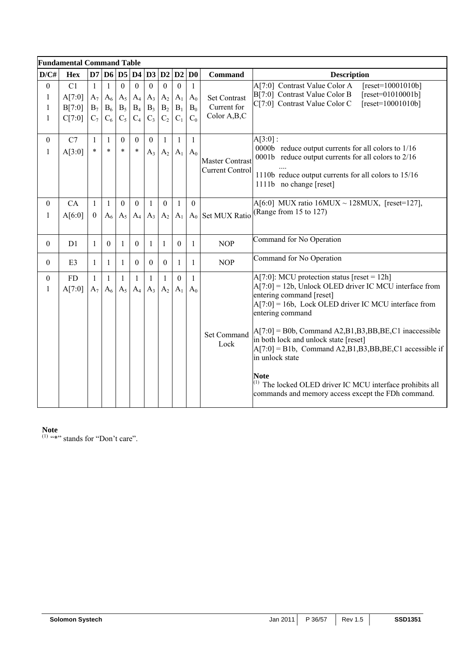|                                  | <b>Fundamental Command Table</b> |                                |                                                |                                         |                                             |                                           |                                                           |                                             |                                         |                                                     |                                                                                                                                                                                                                                                                                                                                                                                                                                                                                                                                                       |
|----------------------------------|----------------------------------|--------------------------------|------------------------------------------------|-----------------------------------------|---------------------------------------------|-------------------------------------------|-----------------------------------------------------------|---------------------------------------------|-----------------------------------------|-----------------------------------------------------|-------------------------------------------------------------------------------------------------------------------------------------------------------------------------------------------------------------------------------------------------------------------------------------------------------------------------------------------------------------------------------------------------------------------------------------------------------------------------------------------------------------------------------------------------------|
| D/C#                             | <b>Hex</b>                       | $\mathbf{D}7$                  |                                                |                                         | D6 D5 D4 D3                                 |                                           | D2                                                        | D2                                          | D <sub>0</sub>                          | <b>Command</b>                                      | <b>Description</b>                                                                                                                                                                                                                                                                                                                                                                                                                                                                                                                                    |
| $\boldsymbol{0}$<br>1<br>1<br>1  | C1<br>A[7:0]<br>B[7:0]<br>C[7:0] | $\mathbf{1}$<br>$B_7$<br>$C_7$ | $\mathbf{1}$<br>$A_7 \, A_6$<br>$B_6$<br>$C_6$ | $\mathbf{0}$<br>$A_5$<br>$B_5$<br>$C_5$ | $\boldsymbol{0}$<br>$A_4$<br>$B_4$<br>$C_4$ | $\overline{0}$<br>$A_3$<br>$B_3$<br>$C_3$ | $\mathbf{0}$<br>$A_2$<br>$\mathbf{B}_2$<br>C <sub>2</sub> | $\boldsymbol{0}$<br>$A_1$<br>$B_1$<br>$C_1$ | $\mathbf{1}$<br>$A_0$<br>$B_0$<br>$C_0$ | <b>Set Contrast</b><br>Current for<br>Color A, B, C | A[7:0] Contrast Value Color A<br>$[reset=10001010b]$<br>B[7:0] Contrast Value Color B<br>$[reset=01010001b]$<br>C[7:0] Contrast Value Color C<br>$[reset=10001010b]$                                                                                                                                                                                                                                                                                                                                                                                  |
| $\mathbf{0}$<br>$\mathbf{1}$     | C7<br>A[3:0]                     | $\mathbf{1}$<br>$\ast$         | $\mathbf{1}$<br>$\ast$                         | $\theta$<br>$\ast$                      | $\theta$<br>$\ast$                          | $\overline{0}$<br>$A_3$                   | $\mathbf{1}$<br>$A_2$                                     | $\mathbf{1}$<br>$A_1$                       | $\mathbf{1}$<br>$A_0$                   | <b>Master Contrast</b><br><b>Current Control</b>    | $A[3:0]$ :<br>0000b reduce output currents for all colors to 1/16<br>0001b reduce output currents for all colors to 2/16<br>1110b reduce output currents for all colors to 15/16<br>1111b no change [reset]                                                                                                                                                                                                                                                                                                                                           |
| $\theta$<br>$\mathbf{1}$         | CA<br>A[6:0]                     | $\mathbf{1}$<br>$\mathbf{0}$   | $\mathbf{1}$<br>$A_6$                          | $\mathbf{0}$<br>$A_5$                   | $\mathbf{0}$<br>$A_4$                       | $\mathbf{1}$<br>$A_3$                     | $\mathbf{0}$<br>$A_2$                                     | 1<br>$A_1$                                  | $\mathbf{0}$                            | A <sub>0</sub> Set MUX Ratio                        | A[6:0] MUX ratio $16MUX \sim 128MUX$ , [reset=127],<br>(Range from 15 to 127)                                                                                                                                                                                                                                                                                                                                                                                                                                                                         |
| $\theta$                         | D <sub>1</sub>                   | $\mathbf{1}$                   | $\overline{0}$                                 | 1                                       | $\mathbf{0}$                                | $\mathbf{1}$                              | $\mathbf{1}$                                              | $\Omega$                                    | $\mathbf{1}$                            | <b>NOP</b>                                          | Command for No Operation                                                                                                                                                                                                                                                                                                                                                                                                                                                                                                                              |
| $\mathbf{0}$                     | E3                               | $\mathbf{1}$                   | $\mathbf{1}$                                   | 1                                       | $\boldsymbol{0}$                            | $\mathbf{0}$                              | $\boldsymbol{0}$                                          | 1                                           | 1                                       | <b>NOP</b>                                          | Command for No Operation                                                                                                                                                                                                                                                                                                                                                                                                                                                                                                                              |
| $\boldsymbol{0}$<br>$\mathbf{1}$ | FD<br>A[7:0]                     | $\mathbf{1}$<br>$A_7$          | $\mathbf{1}$<br>$A_6$                          | 1<br>$A_5$                              | 1<br>$A_4$                                  | $\mathbf{1}$<br>$A_3$                     | $\mathbf{1}$<br>$A_2$                                     | $\mathbf{0}$<br>$A_1$                       | $\mathbf{1}$<br>$A_0$                   | <b>Set Command</b><br>Lock                          | $A[7:0]$ : MCU protection status [reset = 12h]<br>$A[7:0] = 12b$ , Unlock OLED driver IC MCU interface from<br>entering command [reset]<br>$A[7:0] = 16b$ , Lock OLED driver IC MCU interface from<br>entering command<br>$A[7:0] = B0b$ , Command A2,B1,B3,BB,BE,C1 inaccessible<br>in both lock and unlock state [reset]<br>$A[7:0] = B1b$ , Command A2, B1, B3, BB, BE, C1 accessible if<br>in unlock state<br><b>Note</b><br>$^{(1)}$ The locked OLED driver IC MCU interface prohibits all<br>commands and memory access except the FDh command. |

#### **Note**

 $(1)$  "\*" stands for "Don't care".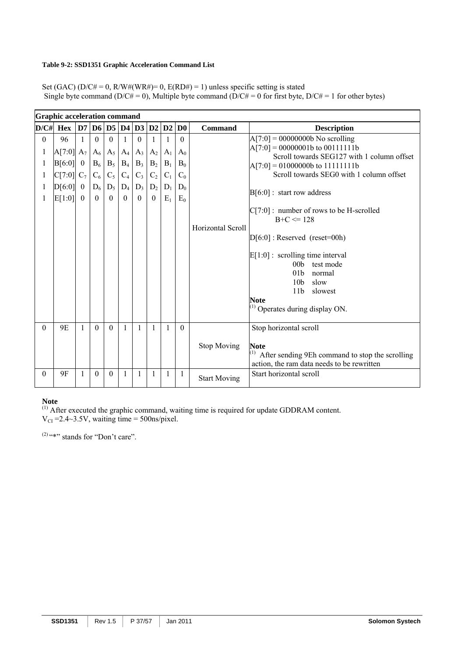#### **Table 9-2: SSD1351 Graphic Acceleration Command List**

Set (GAC) (D/C# = 0, R/W#(WR#)= 0, E(RD#) = 1) unless specific setting is stated Single byte command (D/C# = 0), Multiple byte command (D/C# = 0 for first byte, D/C# = 1 for other bytes)

|                  | <b>Graphic acceleration command</b> |                            |                   |                   |                   |                   |                       |              |                |                     |                                                                                                                                                                                                                                                                                                                |
|------------------|-------------------------------------|----------------------------|-------------------|-------------------|-------------------|-------------------|-----------------------|--------------|----------------|---------------------|----------------------------------------------------------------------------------------------------------------------------------------------------------------------------------------------------------------------------------------------------------------------------------------------------------------|
|                  | $D/C\#$ Hex                         | D7 D6                      |                   |                   | DS D4             |                   | D3 D2                 | D2           | D <sub>0</sub> | <b>Command</b>      | <b>Description</b>                                                                                                                                                                                                                                                                                             |
| $\mathbf{0}$     | 96                                  |                            | $\theta$          | $\Omega$          | 1                 | $\theta$          | $\mathbf{1}$          |              | $\theta$       |                     | $A[7:0] = 00000000b$ No scrolling<br>$A[7:0] = 00000001b$ to 00111111b                                                                                                                                                                                                                                         |
| 1                | $A[7:0]$ $A_7$                      |                            | $A_6$             | $A_5$             | $A_4$             | $A_3$             | $A_2$                 | $A_1$        | $A_0$          |                     | Scroll towards SEG127 with 1 column offset                                                                                                                                                                                                                                                                     |
| 1                | B[6:0]                              | $\overline{0}$             | $B_6$             | $B_5$             | $B_4$             | $B_3$             | $B_2$                 | $B_1$        | $B_0$          |                     | $A[7:0] = 01000000b$ to 11111111b<br>Scroll towards SEG0 with 1 column offset                                                                                                                                                                                                                                  |
| 1                | C[7:0]                              | $C_7$                      | $C_6$             | $C_5$             | $C_4$             | $C_3$             | $C_2$                 | $C_1$        | $C_0$          |                     |                                                                                                                                                                                                                                                                                                                |
| 1                | D[6:0]                              | $\overline{0}$<br>$\theta$ | $D_6$<br>$\theta$ | $D_5$<br>$\theta$ | $D_4$<br>$\theta$ | $D_3$<br>$\theta$ | $D_2$<br>$\mathbf{0}$ | $D_1$        | $D_0$          |                     | $B[6:0]$ : start row address                                                                                                                                                                                                                                                                                   |
| 1                | E[1:0]                              |                            |                   |                   |                   |                   |                       | $E_1$        | $E_0$          | Horizontal Scroll   | $C[7:0]$ : number of rows to be H-scrolled<br>$B+C \le 128$<br>$D[6:0]$ : Reserved (reset=00h)<br>$E[1:0]$ : scrolling time interval<br>00 <sub>b</sub> test mode<br>01 <sub>b</sub><br>normal<br>10 <sub>b</sub><br>slow<br>11 <sub>b</sub><br>slowest<br><b>Note</b><br>$^{(1)}$ Operates during display ON. |
| $\theta$         | 9E                                  |                            | $\Omega$          | $\Omega$          |                   | 1                 | $\mathbf{1}$          | $\mathbf{1}$ | $\Omega$       | <b>Stop Moving</b>  | Stop horizontal scroll<br><b>Note</b><br>After sending 9Eh command to stop the scrolling<br>action, the ram data needs to be rewritten                                                                                                                                                                         |
| $\boldsymbol{0}$ | 9F                                  |                            | $\theta$          | $\theta$          |                   |                   |                       | 1            | $\mathbf{1}$   | <b>Start Moving</b> | Start horizontal scroll                                                                                                                                                                                                                                                                                        |

#### **Note**

 $<sup>(1)</sup>$  After executed the graphic command, waiting time is required for update GDDRAM content.</sup>  $V_{CI}$  =2.4~3.5V, waiting time = 500ns/pixel.

 $(2)$  "\*" stands for "Don't care".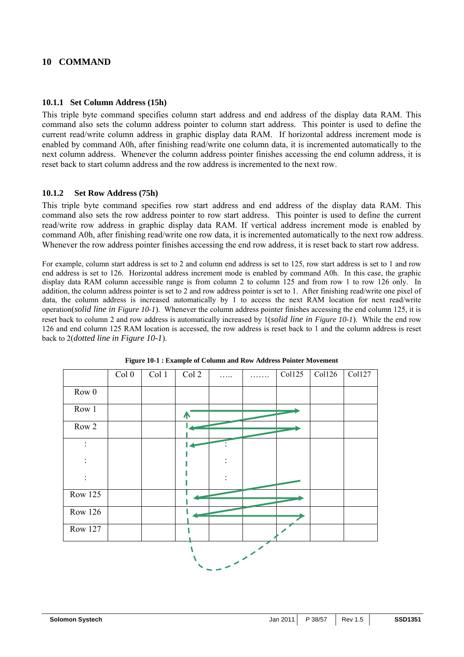## **10 COMMAND**

#### **10.1.1 Set Column Address (15h)**

This triple byte command specifies column start address and end address of the display data RAM. This command also sets the column address pointer to column start address. This pointer is used to define the current read/write column address in graphic display data RAM. If horizontal address increment mode is enabled by command A0h, after finishing read/write one column data, it is incremented automatically to the next column address. Whenever the column address pointer finishes accessing the end column address, it is reset back to start column address and the row address is incremented to the next row.

#### **10.1.2 Set Row Address (75h)**

This triple byte command specifies row start address and end address of the display data RAM. This command also sets the row address pointer to row start address. This pointer is used to define the current read/write row address in graphic display data RAM. If vertical address increment mode is enabled by command A0h, after finishing read/write one row data, it is incremented automatically to the next row address. Whenever the row address pointer finishes accessing the end row address, it is reset back to start row address.

For example, column start address is set to 2 and column end address is set to 125, row start address is set to 1 and row end address is set to 126. Horizontal address increment mode is enabled by command A0h. In this case, the graphic display data RAM column accessible range is from column 2 to column 125 and from row 1 to row 126 only. In addition, the column address pointer is set to 2 and row address pointer is set to 1. After finishing read/write one pixel of data, the column address is increased automatically by 1 to access the next RAM location for next read/write operation(*solid line in Figure 10-1*). Whenever the column address pointer finishes accessing the end column 125, it is reset back to column 2 and row address is automatically increased by 1(*solid line in Figure 10-1*). While the end row 126 and end column 125 RAM location is accessed, the row address is reset back to 1 and the column address is reset back to 2(*dotted line in Figure 10-1*).

|                   | Col <sub>0</sub> | Col 1 | Col 2            | . | Coll25 | Col126 | Col127 |
|-------------------|------------------|-------|------------------|---|--------|--------|--------|
| ${\rm Row} \ 0$   |                  |       |                  |   |        |        |        |
| Row 1             |                  |       | $\blacktriangle$ |   |        |        |        |
| $Row\overline{2}$ |                  |       |                  |   |        |        |        |
| $\ddot{\cdot}$    |                  |       |                  |   |        |        |        |
|                   |                  |       |                  |   |        |        |        |
|                   |                  |       |                  |   |        |        |        |
| <b>Row 125</b>    |                  |       |                  |   |        |        |        |
| <b>Row 126</b>    |                  |       |                  |   |        |        |        |
| <b>Row 127</b>    |                  |       |                  |   |        |        |        |
|                   |                  |       |                  |   |        |        |        |

**Figure 10-1 : Example of Column and Row Address Pointer Movement**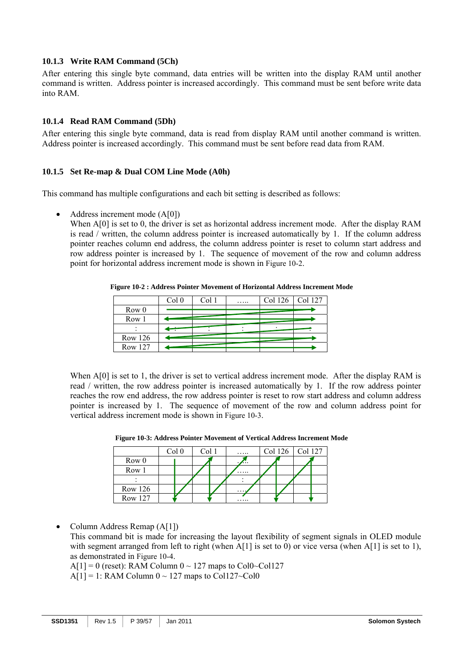## **10.1.3 Write RAM Command (5Ch)**

After entering this single byte command, data entries will be written into the display RAM until another command is written. Address pointer is increased accordingly. This command must be sent before write data into RAM.

## **10.1.4 Read RAM Command (5Dh)**

After entering this single byte command, data is read from display RAM until another command is written. Address pointer is increased accordingly. This command must be sent before read data from RAM.

## **10.1.5 Set Re-map & Dual COM Line Mode (A0h)**

This command has multiple configurations and each bit setting is described as follows:

• Address increment mode (A[0])

When A[0] is set to 0, the driver is set as horizontal address increment mode. After the display RAM is read / written, the column address pointer is increased automatically by 1. If the column address pointer reaches column end address, the column address pointer is reset to column start address and row address pointer is increased by 1. The sequence of movement of the row and column address point for horizontal address increment mode is shown in Figure 10-2.

**Figure 10-2 : Address Pointer Movement of Horizontal Address Increment Mode** 

|                  | Col 0 | Col 1 | . | Col 126   Col 127 |  |
|------------------|-------|-------|---|-------------------|--|
| Row <sub>0</sub> |       |       |   |                   |  |
| Row 1            |       |       |   |                   |  |
|                  |       |       |   |                   |  |
| <b>Row 126</b>   |       |       |   |                   |  |
| <b>Row 127</b>   |       |       |   |                   |  |

When A[0] is set to 1, the driver is set to vertical address increment mode. After the display RAM is read / written, the row address pointer is increased automatically by 1. If the row address pointer reaches the row end address, the row address pointer is reset to row start address and column address pointer is increased by 1. The sequence of movement of the row and column address point for vertical address increment mode is shown in Figure 10-3.

|                  | Col 0 | ∵ ا∩ | .        | Col 126   Col 127 |  |
|------------------|-------|------|----------|-------------------|--|
| Row <sub>0</sub> |       |      | .        |                   |  |
| Row 1            |       |      | $\cdots$ |                   |  |
|                  |       |      |          |                   |  |
| Row 126          |       |      | .        |                   |  |
| Row 127          |       |      |          |                   |  |

**Figure 10-3: Address Pointer Movement of Vertical Address Increment Mode** 

• Column Address Remap (A[1])

This command bit is made for increasing the layout flexibility of segment signals in OLED module with segment arranged from left to right (when A[1] is set to 0) or vice versa (when A[1] is set to 1), as demonstrated in Figure 10-4.

 $A[1] = 0$  (reset): RAM Column  $0 \sim 127$  maps to Col0~Col127

 $A[1] = 1$ : RAM Column  $0 \sim 127$  maps to Col127~Col0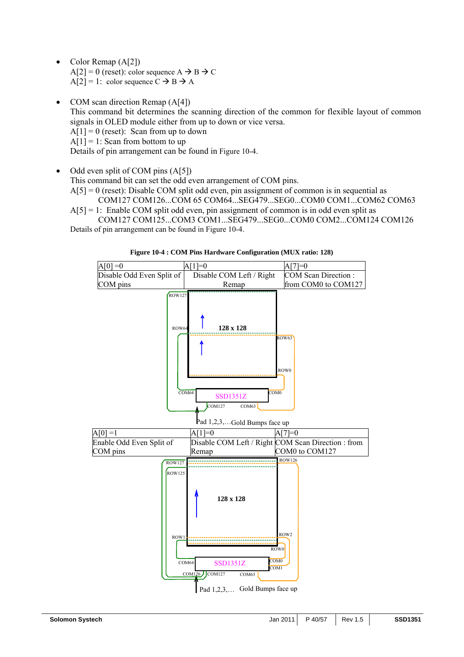- Color Remap (A[2])  $A[2] = 0$  (reset): color sequence  $A \rightarrow B \rightarrow C$  $A[2] = 1$ : color sequence  $C \rightarrow B \rightarrow A$
- COM scan direction Remap (A[4]) This command bit determines the scanning direction of the common for flexible layout of common signals in OLED module either from up to down or vice versa.  $A[1] = 0$  (reset): Scan from up to down  $A[1] = 1$ : Scan from bottom to up Details of pin arrangement can be found in Figure 10-4.
- Odd even split of COM pins (A[5])

This command bit can set the odd even arrangement of COM pins.

 $A[5] = 0$  (reset): Disable COM split odd even, pin assignment of common is in sequential as COM127 COM126...COM 65 COM64...SEG479...SEG0...COM0 COM1...COM62 COM63

 $A[5] = 1$ : Enable COM split odd even, pin assignment of common is in odd even split as COM127 COM125...COM3 COM1...SEG479...SEG0...COM0 COM2...COM124 COM126 Details of pin arrangement can be found in Figure 10-4.



**Figure 10-4 : COM Pins Hardware Configuration (MUX ratio: 128)**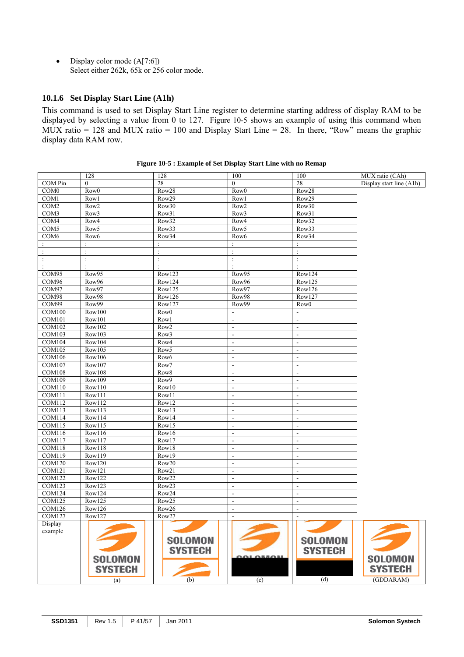• Display color mode  $(A[7:6])$ Select either 262k, 65k or 256 color mode.

## **10.1.6 Set Display Start Line (A1h)**

This command is used to set Display Start Line register to determine starting address of display RAM to be displayed by selecting a value from 0 to 127. Figure 10-5 shows an example of using this command when MUX ratio = 128 and MUX ratio = 100 and Display Start Line = 28. In there, "Row" means the graphic display data RAM row.

|                         | 128                  | 128               | 100                                | 100                                        | MUX ratio (CAh)          |
|-------------------------|----------------------|-------------------|------------------------------------|--------------------------------------------|--------------------------|
| COM Pin                 | $\mathbf{0}$         | 28                | $\theta$                           | 28                                         | Display start line (A1h) |
| COM <sub>0</sub>        | Row <sub>0</sub>     | Row28             | Row <sub>0</sub>                   | Row28                                      |                          |
| $\overline{COM1}$       | Row1                 | Row29             | Row1                               | Row29                                      |                          |
| COM <sub>2</sub>        | Row <sub>2</sub>     | Row30             | Row <sub>2</sub>                   | Row30                                      |                          |
| COM3                    | Row <sub>3</sub>     | Row31             | Row3                               | Row31                                      |                          |
| COM <sub>4</sub>        | Row4                 | Row32             | Row4                               | Row32                                      |                          |
| COM <sub>5</sub>        | Row5                 | Row33             | Row <sub>5</sub>                   | Row33                                      |                          |
| COM <sub>6</sub>        | Row6                 | Row34             | Row6                               | Row34                                      |                          |
|                         | $\ddot{\phantom{a}}$ | $\cdot$           | $\ddot{\cdot}$                     | $\ddot{\phantom{a}}$                       |                          |
| $\ddot{\cdot}$          | $\ddot{\cdot}$       | $\ddot{\cdot}$    | $\ddot{\cdot}$                     | $\ddot{\cdot}$                             |                          |
| $\ddot{\cdot}$          | ċ                    | $\ddot{\cdot}$    | $\cdot$                            | $\ddot{\cdot}$                             |                          |
| $\ddot{\phantom{a}}$    | ÷                    | ÷                 | $\pm$                              | $\ddot{\cdot}$                             |                          |
| COM95                   | Row95                | Row123            | Row95                              | Row124                                     |                          |
| COM96                   | Row96                | Row124            | Row96                              | Row125                                     |                          |
| COM97                   | Row97                | Row125            | Row97                              | Row126                                     |                          |
| COM98                   | Row98                | Row126            | Row98                              | Row127                                     |                          |
| COM99                   | Row99                | Row127            | Row99                              | Row <sub>0</sub>                           |                          |
| <b>COM100</b>           | Row100               | Row <sub>0</sub>  | $\sim$                             | $\blacksquare$                             |                          |
| <b>COM101</b>           | Row101               | Row1              | $\Box$                             | $\Box$                                     |                          |
| <b>COM102</b>           | Row102               | Row <sub>2</sub>  | $\overline{\phantom{a}}$           | $\overline{a}$                             |                          |
| <b>COM103</b>           | Row103               | Row <sub>3</sub>  | $\omega$                           | $\blacksquare$                             |                          |
| <b>COM104</b>           | Row104               | Row4              | $\blacksquare$                     | $\overline{\phantom{a}}$                   |                          |
| <b>COM105</b>           | Row105               | Row <sub>5</sub>  | $\sim$                             | $\blacksquare$                             |                          |
| <b>COM106</b>           | Row106               | Row6              | $\overline{\phantom{a}}$           | $\blacksquare$                             |                          |
| <b>COM107</b>           | Row107               | Row7              | $\overline{\phantom{a}}$           | $\blacksquare$                             |                          |
| COM108                  | Row108               | Row <sub>8</sub>  | $\mathbf{r}$                       | $\overline{\phantom{a}}$                   |                          |
| <b>COM109</b>           | Row109               | Row9              | $\overline{\phantom{a}}$           | $\overline{a}$                             |                          |
| <b>COM110</b>           | Row110               | Row10             | $\Box$                             | $\overline{\phantom{a}}$                   |                          |
| <b>COM111</b>           | Row111               | Row11             | $\overline{\phantom{a}}$           | $\Box$                                     |                          |
| <b>COM112</b>           | Row112               | Row12             | $\omega$                           | $\overline{a}$                             |                          |
| COM113                  | Row113               | Row13             | $\sim$                             | $\sim$                                     |                          |
| <b>COM114</b>           | Row114               | Row14             | $\overline{\phantom{a}}$           | $\Box$                                     |                          |
| <b>COM115</b>           | Row115               | Row15             | $\overline{\phantom{a}}$           | $\overline{\phantom{a}}$                   |                          |
| COM116                  | Row116               | Row16             | $\overline{\phantom{a}}$           | $\overline{\phantom{a}}$                   |                          |
| <b>COM117</b>           | Row117               | Row17             | $\overline{\phantom{a}}$<br>$\sim$ | $\sim$<br>$\overline{\phantom{a}}$         |                          |
| COM118<br><b>COM119</b> | Row118               | Row18             |                                    |                                            |                          |
| <b>COM120</b>           | Row119               | Row19             | $\Box$                             | $\Box$                                     |                          |
| COM121                  | Row120<br>Row121     | Row20<br>Row21    | $\blacksquare$<br>$\mathbf{r}$     | $\blacksquare$<br>$\overline{\phantom{a}}$ |                          |
| <b>COM122</b>           | Row122               | Row22             | $\overline{\phantom{a}}$           | $\overline{\phantom{a}}$                   |                          |
| <b>COM123</b>           | Row123               | Row <sub>23</sub> | $\overline{\phantom{a}}$           | $\overline{\phantom{a}}$                   |                          |
| <b>COM124</b>           | Row124               | Row24             | $\blacksquare$                     | $\Box$                                     |                          |
| <b>COM125</b>           | Row125               | Row25             | $\omega$                           | $\frac{1}{2}$                              |                          |
| <b>COM126</b>           | Row126               | Row26             | $\sim$                             | $\sim$                                     |                          |
| <b>COM127</b>           | Row127               | Row27             | $\blacksquare$                     | $\Box$                                     |                          |
| Display                 |                      |                   |                                    |                                            |                          |
| example                 |                      |                   |                                    |                                            |                          |
|                         |                      |                   |                                    |                                            |                          |
|                         |                      | <b>SOLOMON</b>    |                                    | <b>SOLOMON</b>                             |                          |
|                         |                      | <b>SYSTECH</b>    |                                    | <b>SYSTECH</b>                             |                          |
|                         | <b>SOLOMON</b>       |                   | <b>DOL OBSORE</b>                  |                                            | <b>SOLOMON</b>           |
|                         | <b>SYSTECH</b>       |                   |                                    |                                            | <b>SYSTECH</b>           |
|                         |                      |                   |                                    | (d)                                        |                          |
|                         | (a)                  | (b)               | (c)                                |                                            | (GDDARAM)                |

**Figure 10-5 : Example of Set Display Start Line with no Remap**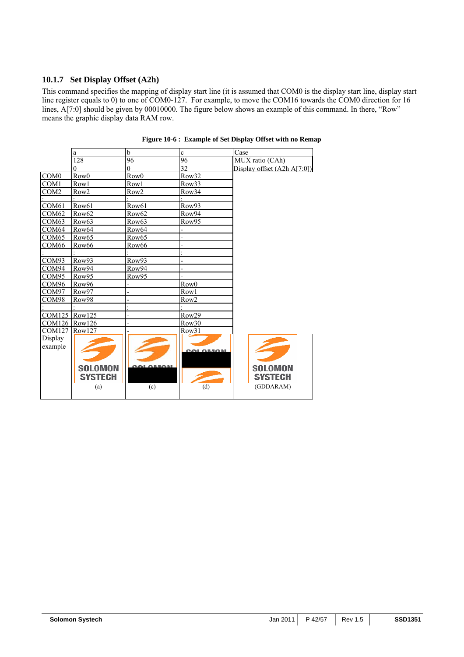## **10.1.7 Set Display Offset (A2h)**

This command specifies the mapping of display start line (it is assumed that COM0 is the display start line, display start line register equals to 0) to one of COM0-127. For example, to move the COM16 towards the COM0 direction for 16 lines, A[7:0] should be given by 00010000. The figure below shows an example of this command. In there, "Row" means the graphic display data RAM row.

|                   | a                 | b                 | $\mathbf c$              | Case                          |
|-------------------|-------------------|-------------------|--------------------------|-------------------------------|
|                   | 128               | $\overline{96}$   | 96                       | MUX ratio (CAh)               |
|                   |                   | $\Omega$          | 32                       | Display offset $(A2h A[7:0])$ |
| COM <sub>0</sub>  | Row <sub>0</sub>  | Row <sub>0</sub>  | Row32                    |                               |
| COM1              | Row1              | Row1              | Row33                    |                               |
| COM <sub>2</sub>  | Row <sub>2</sub>  | Row <sub>2</sub>  | Row34                    |                               |
|                   |                   |                   |                          |                               |
| COM61             | Row61             | Row <sub>61</sub> | Row93                    |                               |
| COM <sub>62</sub> | Row62             | Row <sub>62</sub> | Row94                    |                               |
| COM <sub>63</sub> | Row <sub>63</sub> | Row <sub>63</sub> | Row95                    |                               |
| COM64             | Row <sub>64</sub> | Row64             | $\overline{\phantom{0}}$ |                               |
| COM <sub>65</sub> | Row <sub>65</sub> | Row <sub>65</sub> |                          |                               |
| COM <sub>66</sub> | Row <sub>66</sub> | Row <sub>66</sub> |                          |                               |
|                   |                   |                   |                          |                               |
| COM93             | Row93             | Row93             |                          |                               |
| COM94             | Row94             | Row94             |                          |                               |
| COM <sub>95</sub> | Row95             | Row95             |                          |                               |
| COM <sub>96</sub> | Row96             |                   | Row <sub>0</sub>         |                               |
| COM97             | Row97             |                   | Row1                     |                               |
| COM98             | Row98             |                   | Row <sub>2</sub>         |                               |
|                   |                   |                   |                          |                               |
| <b>COM125</b>     | Row125            |                   | Row29                    |                               |
| <b>COM126</b>     | Row126            |                   | Row30                    |                               |
| <b>COM127</b>     | Row127            |                   | Row31                    |                               |
| Display           |                   |                   |                          |                               |
| example           |                   |                   |                          |                               |
|                   |                   |                   | <b>OOL OBROA</b>         |                               |
|                   |                   |                   |                          |                               |
|                   | <b>SOLOMON</b>    |                   |                          | <b>SOLOMON</b>                |
|                   | <b>SYSTECH</b>    |                   |                          | <b>SYSTECH</b>                |
|                   |                   |                   |                          |                               |
|                   | (a)               | (c)               | (d)                      | (GDDARAM)                     |

#### **Figure 10-6 : Example of Set Display Offset with no Remap**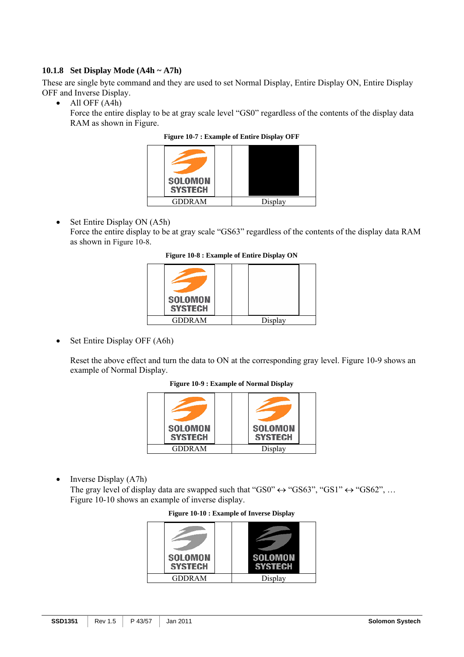## **10.1.8 Set Display Mode (A4h ~ A7h)**

These are single byte command and they are used to set Normal Display, Entire Display ON, Entire Display OFF and Inverse Display.

• All OFF (A4h)

Force the entire display to be at gray scale level "GS0" regardless of the contents of the display data RAM as shown in Figure.

**Figure 10-7 : Example of Entire Display OFF**

| <b>SOLOMON</b><br><b>SYSTECH</b> |         |
|----------------------------------|---------|
| <b>GDDRAM</b>                    | Display |

• Set Entire Display ON (A5h) Force the entire display to be at gray scale "GS63" regardless of the contents of the display data RAM as shown in Figure 10-8.

**Figure 10-8 : Example of Entire Display ON**

| <b>SOLOMON</b><br><b>SYSTECH</b> |         |
|----------------------------------|---------|
| <b>GDDRAM</b>                    | Display |

• Set Entire Display OFF (A6h)

Reset the above effect and turn the data to ON at the corresponding gray level. Figure 10-9 shows an example of Normal Display.

**Figure 10-9 : Example of Normal Display**

| <b>SOLOMON</b> | <b>SOLOMON</b> |
|----------------|----------------|
| <b>SYSTECH</b> | <b>SYSTECH</b> |
| GDDRAM         | Display        |

• Inverse Display (A7h)

The gray level of display data are swapped such that "GS0"  $\leftrightarrow$  "GS63", "GS1"  $\leftrightarrow$  "GS62", ... Figure 10-10 shows an example of inverse display.

|  |  |  | <b>Figure 10-10 : Example of Inverse Display</b> |  |
|--|--|--|--------------------------------------------------|--|
|--|--|--|--------------------------------------------------|--|

| <b>SOLOMON</b><br><b>SYSTECH</b> | <b>SOLOMON</b><br><b>SYSTECH</b> |
|----------------------------------|----------------------------------|
| <b>GDDRAM</b>                    | Display                          |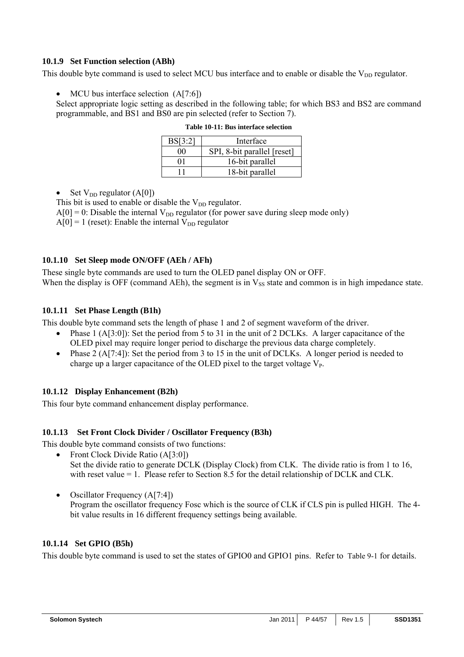## **10.1.9 Set Function selection (ABh)**

This double byte command is used to select MCU bus interface and to enable or disable the  $V_{DD}$  regulator.

## MCU bus interface selection (A[7:6])

Select appropriate logic setting as described in the following table; for which BS3 and BS2 are command programmable, and BS1 and BS0 are pin selected (refer to Section 7).

| BS[3:2]  | Interface                   |
|----------|-----------------------------|
| $\Omega$ | SPI, 8-bit parallel [reset] |
| 01       | 16-bit parallel             |
|          | 18-bit parallel             |

|  | Table 10-11: Bus interface selection |  |
|--|--------------------------------------|--|
|  |                                      |  |

• Set  $V_{DD}$  regulator (A[0])

This bit is used to enable or disable the  $V_{DD}$  regulator.

 $A[0] = 0$ : Disable the internal  $V_{DD}$  regulator (for power save during sleep mode only)

 $A[0] = 1$  (reset): Enable the internal  $V_{DD}$  regulator

## **10.1.10 Set Sleep mode ON/OFF (AEh / AFh)**

These single byte commands are used to turn the OLED panel display ON or OFF. When the display is OFF (command AEh), the segment is in  $V_{SS}$  state and common is in high impedance state.

## **10.1.11 Set Phase Length (B1h)**

This double byte command sets the length of phase 1 and 2 of segment waveform of the driver.

- Phase 1 (A[3:0]): Set the period from 5 to 31 in the unit of 2 DCLKs. A larger capacitance of the OLED pixel may require longer period to discharge the previous data charge completely.
- Phase 2 (A[7:4]): Set the period from 3 to 15 in the unit of DCLKs. A longer period is needed to charge up a larger capacitance of the OLED pixel to the target voltage  $V_{P}$ .

## **10.1.12 Display Enhancement (B2h)**

This four byte command enhancement display performance.

## **10.1.13 Set Front Clock Divider / Oscillator Frequency (B3h)**

This double byte command consists of two functions:

- Front Clock Divide Ratio (A[3:0]) Set the divide ratio to generate DCLK (Display Clock) from CLK. The divide ratio is from 1 to 16, with reset value = 1. Please refer to Section 8.5 for the detail relationship of DCLK and CLK.
- Oscillator Frequency (A[7:4]) Program the oscillator frequency Fosc which is the source of CLK if CLS pin is pulled HIGH. The 4 bit value results in 16 different frequency settings being available.

## **10.1.14 Set GPIO (B5h)**

This double byte command is used to set the states of GPIO0 and GPIO1 pins. Refer to Table 9-1 for details.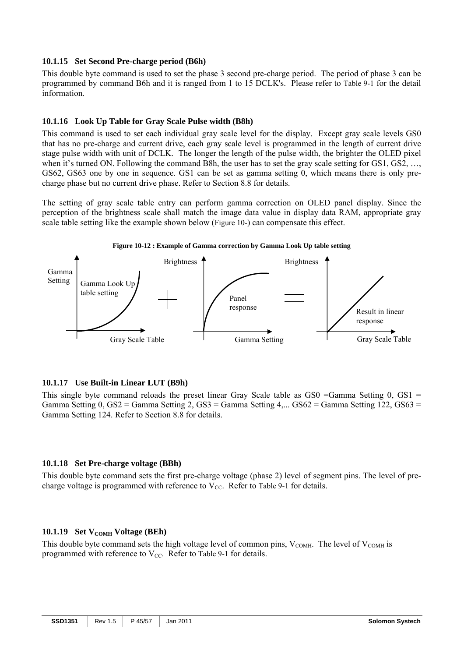## **10.1.15 Set Second Pre-charge period (B6h)**

This double byte command is used to set the phase 3 second pre-charge period. The period of phase 3 can be programmed by command B6h and it is ranged from 1 to 15 DCLK's. Please refer to Table 9-1 for the detail information.

## **10.1.16 Look Up Table for Gray Scale Pulse width (B8h)**

This command is used to set each individual gray scale level for the display. Except gray scale levels GS0 that has no pre-charge and current drive, each gray scale level is programmed in the length of current drive stage pulse width with unit of DCLK. The longer the length of the pulse width, the brighter the OLED pixel when it's turned ON. Following the command B8h, the user has to set the gray scale setting for GS1, GS2, ..., GS62, GS63 one by one in sequence. GS1 can be set as gamma setting 0, which means there is only precharge phase but no current drive phase. Refer to Section 8.8 for details.

The setting of gray scale table entry can perform gamma correction on OLED panel display. Since the perception of the brightness scale shall match the image data value in display data RAM, appropriate gray scale table setting like the example shown below (Figure 10-) can compensate this effect.



## **Figure 10-12 : Example of Gamma correction by Gamma Look Up table setting**

## **10.1.17 Use Built-in Linear LUT (B9h)**

This single byte command reloads the preset linear Gray Scale table as  $GSO = \text{Gamma}$  Setting 0,  $GS1 =$ Gamma Setting  $0.$  GS2 = Gamma Setting  $2.$  GS3 = Gamma Setting  $4...$  GS62 = Gamma Setting 122, GS63 = Gamma Setting 124. Refer to Section 8.8 for details.

## **10.1.18 Set Pre-charge voltage (BBh)**

This double byte command sets the first pre-charge voltage (phase 2) level of segment pins. The level of precharge voltage is programmed with reference to  $V_{CC}$ . Refer to Table 9-1 for details.

## **10.1.19 Set V<sub>COMH</sub> Voltage (BEh)**

This double byte command sets the high voltage level of common pins,  $V_{COMH}$ . The level of  $V_{COMH}$  is programmed with reference to  $V_{CC}$ . Refer to Table 9-1 for details.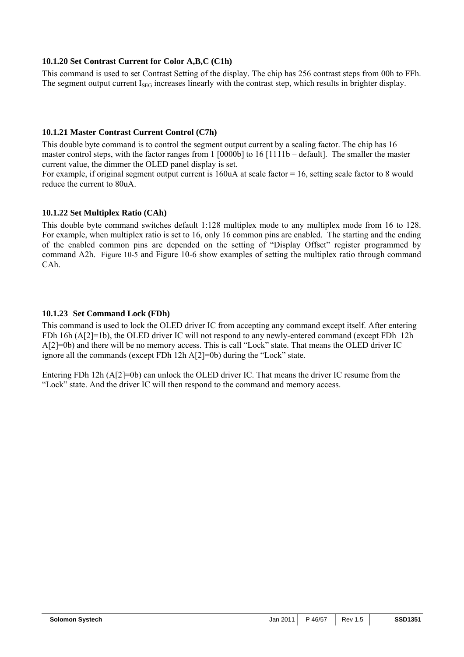## **10.1.20 Set Contrast Current for Color A,B,C (C1h)**

This command is used to set Contrast Setting of the display. The chip has 256 contrast steps from 00h to FFh. The segment output current  $I_{SEG}$  increases linearly with the contrast step, which results in brighter display.

## **10.1.21 Master Contrast Current Control (C7h)**

This double byte command is to control the segment output current by a scaling factor. The chip has 16 master control steps, with the factor ranges from 1 [0000b] to 16 [1111b – default]. The smaller the master current value, the dimmer the OLED panel display is set.

For example, if original segment output current is 160uA at scale factor = 16, setting scale factor to 8 would reduce the current to 80uA.

## **10.1.22 Set Multiplex Ratio (CAh)**

This double byte command switches default 1:128 multiplex mode to any multiplex mode from 16 to 128. For example, when multiplex ratio is set to 16, only 16 common pins are enabled. The starting and the ending of the enabled common pins are depended on the setting of "Display Offset" register programmed by command A2h. Figure 10-5 and Figure 10-6 show examples of setting the multiplex ratio through command CAh.

## **10.1.23 Set Command Lock (FDh)**

This command is used to lock the OLED driver IC from accepting any command except itself. After entering FDh 16h (A[2]=1b), the OLED driver IC will not respond to any newly-entered command (except FDh 12h A[2]=0b) and there will be no memory access. This is call "Lock" state. That means the OLED driver IC ignore all the commands (except FDh 12h A[2]=0b) during the "Lock" state.

Entering FDh 12h (A[2]=0b) can unlock the OLED driver IC. That means the driver IC resume from the "Lock" state. And the driver IC will then respond to the command and memory access.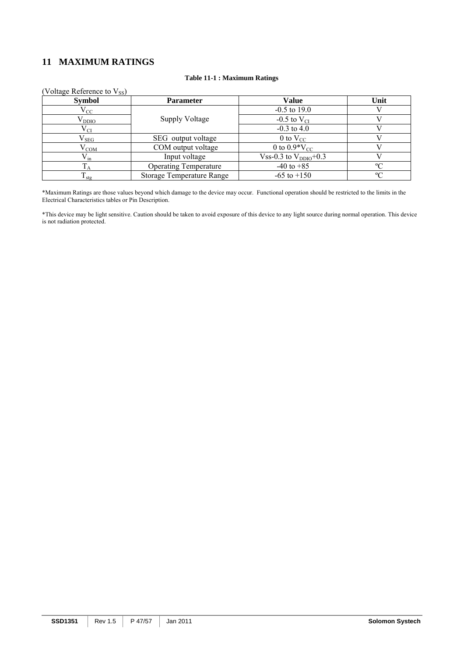## **11 MAXIMUM RATINGS**

#### **Table 11-1 : Maximum Ratings**

| (Voltage Reference to $V_{SS}$ ) |                                  |                        |             |
|----------------------------------|----------------------------------|------------------------|-------------|
| <b>Symbol</b>                    | <b>Parameter</b>                 | Value                  | Unit        |
| $\rm V_{CC}$                     |                                  | $-0.5$ to 19.0         |             |
| $\rm V_{DDIO}$                   | <b>Supply Voltage</b>            | -0.5 to $V_{CI}$       |             |
| $\rm V_{CI}$                     |                                  | $-0.3$ to 4.0          |             |
| $\rm V_{SEG}$                    | SEG output voltage               | 0 to $V_{CC}$          |             |
| $\rm V_{COM}$                    | COM output voltage               | 0 to $0.9*V_{CC}$      |             |
| $V_{in}$                         | Input voltage                    | Vss-0.3 to $VDDIO+0.3$ |             |
|                                  | <b>Operating Temperature</b>     | $-40$ to $+85$         | $\rm ^{o}C$ |
| $\mathbf{I}_{\text{stg}}$        | <b>Storage Temperature Range</b> | $-65$ to $+150$        | $\rm ^{o}C$ |

\*Maximum Ratings are those values beyond which damage to the device may occur. Functional operation should be restricted to the limits in the Electrical Characteristics tables or Pin Description.

\*This device may be light sensitive. Caution should be taken to avoid exposure of this device to any light source during normal operation. This device is not radiation protected.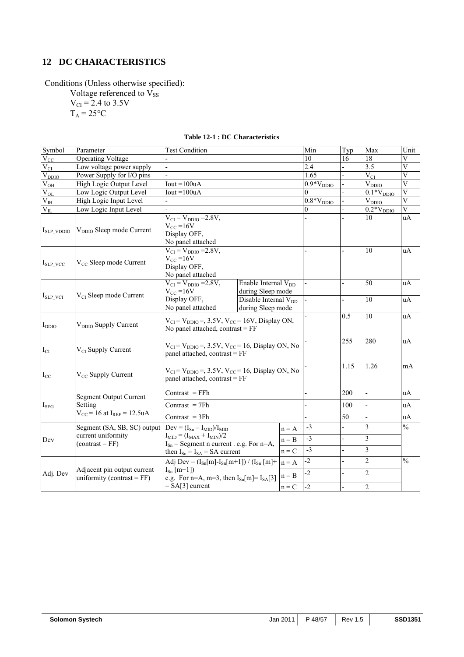## **12 DC CHARACTERISTICS**

Conditions (Unless otherwise specified):

Voltage referenced to V<sub>SS</sub>  $V_{CI}$  = 2.4 to 3.5V

 $T_A = 25$ °C

| Symbol                      | Parameter                                                    | <b>Test Condition</b>                                                                            |                                 |         | Min            | Typ                      | Max                     | Unit                    |
|-----------------------------|--------------------------------------------------------------|--------------------------------------------------------------------------------------------------|---------------------------------|---------|----------------|--------------------------|-------------------------|-------------------------|
| $\overline{V}_{CC}$         | <b>Operating Voltage</b>                                     |                                                                                                  |                                 |         | 10             | 16                       | 18                      | V                       |
| $V_{CI}$                    | Low voltage power supply                                     |                                                                                                  |                                 |         | 2.4            |                          | 3.5                     | $\overline{V}$          |
| $V_{DDIO}$                  | Power Supply for I/O pins                                    |                                                                                                  |                                 |         | 1.65           |                          | $V_{CI}$                | $\overline{\mathbf{V}}$ |
| $\rm V_{OH}$                | High Logic Output Level                                      | $Iout = 100uA$                                                                                   |                                 |         | $0.9*VDDIO$    |                          | $V_{DDIO}$              | $\overline{\mathbf{V}}$ |
| $V_{OL}$                    | Low Logic Output Level                                       | Iout = $100uA$                                                                                   |                                 |         | $\Omega$       |                          | $0.1*V_{DDIO}$          | $\overline{\mathbf{V}}$ |
| $\rm \overline{V}_{\rm IH}$ | High Logic Input Level                                       |                                                                                                  |                                 |         | $0.8*V_{DDIO}$ |                          | $V_{DDIO}$              | $\overline{V}$          |
| $V_{IL}$                    | Low Logic Input Level                                        |                                                                                                  |                                 |         | $\theta$       |                          | $0.2*VDDIO$             | $\overline{\mathbf{V}}$ |
| $I_{SLP}$ vDDIO             | V <sub>DDIO</sub> Sleep mode Current                         | $V_{CI} = V_{DDIO} = 2.8V,$<br>$V_{CC}$ =16V<br>Display OFF,<br>No panel attached                |                                 |         |                |                          | 10                      | uA                      |
| $I_{SLP\_VCC}$              | V <sub>CC</sub> Sleep mode Current                           | $V_{CI} = V_{DDIO} = 2.8V,$<br>$V_{CC} = 16V$<br>Display OFF,<br>No panel attached               |                                 |         |                |                          | 10                      | uA                      |
|                             |                                                              | $\overline{V_{CI}}$ = $V_{DDIO}$ = 2.8V,                                                         | Enable Internal V <sub>DD</sub> |         |                |                          | 50                      | uA                      |
| $I_{SLP}$ vci               | V <sub>CI</sub> Sleep mode Current                           | $V_{CC} = 16V$                                                                                   | during Sleep mode               |         |                |                          |                         |                         |
|                             |                                                              | Display OFF,                                                                                     | Disable Internal $V_{DD}$       |         |                |                          | 10                      | uA                      |
|                             |                                                              | No panel attached                                                                                | during Sleep mode               |         |                |                          |                         |                         |
| $I_{DDIO}$                  | V <sub>DDIO</sub> Supply Current                             | $V_{CI} = V_{DDIO} =$ , 3.5V, $V_{CC} = 16V$ , Display ON,<br>No panel attached, contrast $= FF$ |                                 |         |                | 0.5                      | 10                      | uA                      |
| $I_{CI}$                    | $V_{CI}$ Supply Current                                      | $V_{CI} = V_{DDIO} =$ , 3.5V, $V_{CC} = 16$ , Display ON, No<br>panel attached, contrast = FF    |                                 |         |                | 255                      | 280                     | uA                      |
| $I_{CC}$                    | V <sub>CC</sub> Supply Current                               | $V_{CI} = V_{DDIO} =$ , 3.5V, $V_{CC} = 16$ , Display ON, No<br>panel attached, contrast = FF    |                                 |         |                | 1.15                     | 1.26                    | mA                      |
|                             | <b>Segment Output Current</b>                                | $Contrast = FFh$                                                                                 |                                 |         |                | 200                      | $\overline{a}$          | uA                      |
| $I_{SEG}$                   | Setting                                                      | $Contrast = 7Fh$                                                                                 |                                 |         |                | 100                      | $\overline{a}$          | uA                      |
|                             | $V_{CC}$ = 16 at I <sub>REF</sub> = 12.5uA                   | Contrast $=$ 3Fh                                                                                 |                                 |         |                | 50                       | $\overline{a}$          | uA                      |
|                             | Segment (SA, SB, SC) output                                  | $Dev = (ISn - IMID)/IMID$                                                                        |                                 | $n = A$ | $-3$           |                          | $\mathfrak{Z}$          | $\frac{0}{0}$           |
| Dev                         | current uniformity                                           | $I_{\text{MID}} = (I_{\text{MAX}} + I_{\text{MIN}})/2$                                           |                                 | $n = B$ | $-3$           | $\overline{a}$           | 3                       |                         |
|                             | $(contrast = FF)$                                            | $I_{\text{Sn}}$ = Segment n current . e.g. For n=A,                                              |                                 |         | $-3$           | $\overline{a}$           | $\overline{\mathbf{3}}$ |                         |
|                             |                                                              | then $I_{Sn} = I_{SA} = SA$ current                                                              |                                 | $n = C$ |                |                          |                         |                         |
|                             |                                                              | Adj Dev = $(I_{Sn}[m]-I_{Sn}[m+1])$ / $(I_{Sn}[m]+$                                              |                                 | $n = A$ | $-2$           | $\overline{a}$           | $\sqrt{2}$              | $\frac{0}{0}$           |
| Adj. Dev                    | Adjacent pin output current<br>uniformity (contrast = $FF$ ) | $I_{Sn}$ [m+1])<br>e.g. For n=A, m=3, then $I_{Sn}[m] = I_{SA}[3]$                               |                                 | $n = B$ | $-2$           | $\overline{\phantom{a}}$ | $\sqrt{2}$              |                         |
|                             |                                                              | $= SA[3]$ current                                                                                |                                 | $n = C$ | $-2$           | $\overline{a}$           | $\overline{2}$          |                         |

## **Table 12-1 : DC Characteristics**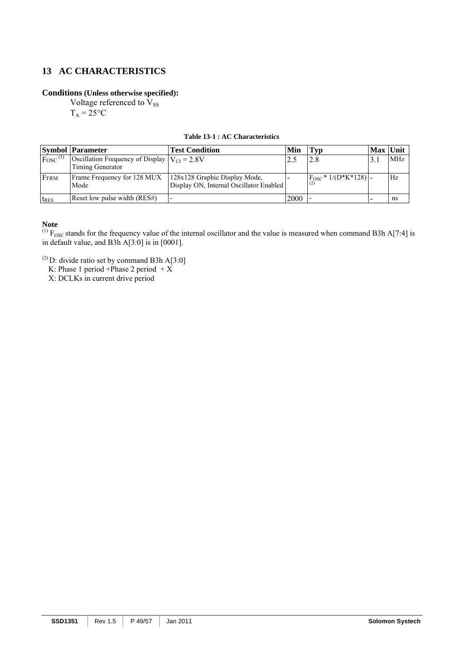## **13 AC CHARACTERISTICS**

## **Conditions (Unless otherwise specified):**

Voltage referenced to  $V_{SS}$ 

 $T_A = 25$ °C

## **Table 13-1 : AC Characteristics**

|                        | <b>Symbol Parameter</b>                                                      | <b>Test Condition</b>                                                    | Min  | Typ                           | Max Unit |     |
|------------------------|------------------------------------------------------------------------------|--------------------------------------------------------------------------|------|-------------------------------|----------|-----|
| $F$ osc <sup>(1)</sup> | Oscillation Frequency of Display $ V_{\text{CI}} = 2.8V$<br>Timing Generator |                                                                          |      |                               |          | MHz |
| FFRM                   | Frame Frequency for 128 MUX<br>Mode                                          | 128x128 Graphic Display Mode,<br>Display ON, Internal Oscillator Enabled |      | $F_{\rm OSC}$ * 1/(D*K*128) - |          | Hz  |
| $t_{RES}$              | Reset low pulse width (RES#)                                                 |                                                                          | 2000 |                               |          | ns  |

## **Note**

 $^{(1)}$  F<sub>OSC</sub> stands for the frequency value of the internal oscillator and the value is measured when command B3h A[7:4] is in default value, and B3h A[3:0] is in [0001].

(2) D: divide ratio set by command B3h A[3:0]<br>K: Phase 1 period +Phase 2 period + X<br>X: DCLKs in current drive period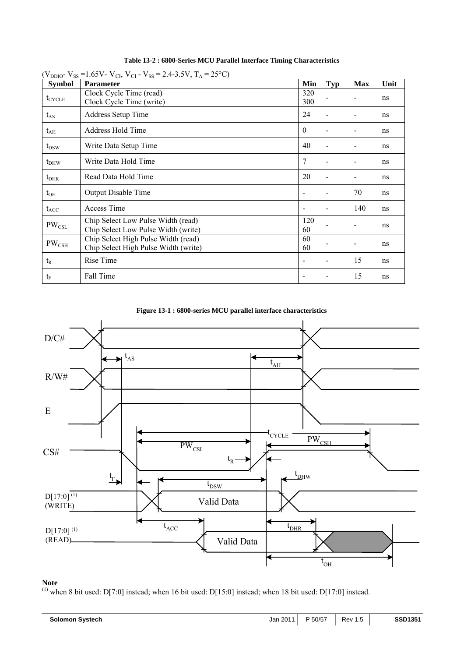| $(V_{DDIO}$ - V <sub>SS</sub> = 1.65V- V <sub>CI</sub> , V <sub>CI</sub> - V <sub>SS</sub> = 2.4-3.5V, T <sub>A</sub> = 25 <sup>o</sup> C) |                                                                             |                          |                          |                          |               |  |  |  |
|--------------------------------------------------------------------------------------------------------------------------------------------|-----------------------------------------------------------------------------|--------------------------|--------------------------|--------------------------|---------------|--|--|--|
| <b>Symbol</b>                                                                                                                              | <b>Parameter</b>                                                            | Min                      | <b>Typ</b>               | <b>Max</b>               | Unit          |  |  |  |
| $t_{CYCLE}$                                                                                                                                | Clock Cycle Time (read)<br>Clock Cycle Time (write)                         | 320<br>300               |                          | $\overline{\phantom{a}}$ | ns            |  |  |  |
| $t_{AS}$                                                                                                                                   | <b>Address Setup Time</b>                                                   | 24                       | $\blacksquare$           | $\overline{\phantom{a}}$ | ns            |  |  |  |
| $t_{\rm AH}$                                                                                                                               | Address Hold Time                                                           | $\theta$                 | $\overline{\phantom{a}}$ | $\overline{\phantom{a}}$ | ns            |  |  |  |
| $t_{DSW}$                                                                                                                                  | Write Data Setup Time                                                       | 40                       | $\overline{\phantom{a}}$ | $\blacksquare$           | ns            |  |  |  |
| $t_{DHW}$                                                                                                                                  | Write Data Hold Time                                                        | 7                        |                          | $\blacksquare$           | ns            |  |  |  |
| $t_{\rm DHR}$                                                                                                                              | Read Data Hold Time                                                         | 20                       | $\overline{\phantom{a}}$ | $\overline{\phantom{a}}$ | ns            |  |  |  |
| $t_{OH}$                                                                                                                                   | Output Disable Time                                                         |                          | $\overline{\phantom{a}}$ | 70                       | ns            |  |  |  |
| $t_{ACC}$                                                                                                                                  | Access Time                                                                 | $\overline{\phantom{a}}$ | $\blacksquare$           | 140                      | ns            |  |  |  |
| $PW_{CSL}$                                                                                                                                 | Chip Select Low Pulse Width (read)<br>Chip Select Low Pulse Width (write)   | 120<br>60                |                          | $\overline{\phantom{a}}$ | ns            |  |  |  |
| $PW_{\rm CSH}$                                                                                                                             | Chip Select High Pulse Width (read)<br>Chip Select High Pulse Width (write) | 60<br>60                 |                          | $\overline{\phantom{a}}$ | ns            |  |  |  |
| $t_{R}$                                                                                                                                    | Rise Time                                                                   | $\overline{\phantom{a}}$ | $\blacksquare$           | 15                       | <sub>ns</sub> |  |  |  |
| $t_F$                                                                                                                                      | Fall Time                                                                   |                          |                          | 15                       | ns            |  |  |  |

**Table 13-2 : 6800-Series MCU Parallel Interface Timing Characteristics** 





## **Note**

<sup>(1)</sup> when 8 bit used: D[7:0] instead; when 16 bit used: D[15:0] instead; when 18 bit used: D[17:0] instead.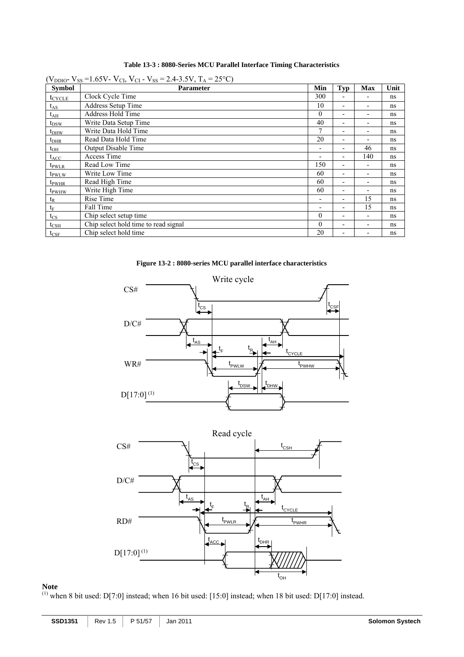| Table 13-3 : 8080-Series MCU Parallel Interface Timing Characteristics |  |
|------------------------------------------------------------------------|--|
|------------------------------------------------------------------------|--|

|                    | $(V_{DDIO}$ - V <sub>SS</sub> = 1.65V- V <sub>CI</sub> , V <sub>CI</sub> - V <sub>SS</sub> = 2.4-3.5V, T <sub>A</sub> = 25 <sup>o</sup> C) |                          |                          |                          |      |  |  |
|--------------------|--------------------------------------------------------------------------------------------------------------------------------------------|--------------------------|--------------------------|--------------------------|------|--|--|
| <b>Symbol</b>      | <b>Parameter</b>                                                                                                                           | Min                      | Typ                      | <b>Max</b>               | Unit |  |  |
| $t_{\text{CYCLE}}$ | Clock Cycle Time                                                                                                                           | 300                      |                          |                          | ns   |  |  |
| $t_{AS}$           | Address Setup Time                                                                                                                         | 10                       | $\blacksquare$           | $\blacksquare$           | ns   |  |  |
| $t_{\rm AH}$       | Address Hold Time                                                                                                                          | $\theta$                 | ۰                        | $\overline{\phantom{a}}$ | ns   |  |  |
| $t_{DSW}$          | Write Data Setup Time                                                                                                                      | 40                       | $\blacksquare$           | -                        | ns   |  |  |
| $t_{DHW}$          | Write Data Hold Time                                                                                                                       | 7                        | $\overline{\phantom{0}}$ | $\overline{\phantom{a}}$ | ns   |  |  |
| $t_{\rm DHR}$      | Read Data Hold Time                                                                                                                        | 20                       | ۰                        | $\overline{\phantom{a}}$ | ns   |  |  |
| $t_{OH}$           | <b>Output Disable Time</b>                                                                                                                 | $\overline{a}$           | $\overline{\phantom{a}}$ | 46                       | ns   |  |  |
| $t_{ACC}$          | Access Time                                                                                                                                | $\overline{a}$           | $\blacksquare$           | 140                      | ns   |  |  |
| t <sub>pwlr</sub>  | Read Low Time                                                                                                                              | 150                      | $\overline{\phantom{0}}$ | $\overline{\phantom{0}}$ | ns   |  |  |
| t <sub>pwLW</sub>  | Write Low Time                                                                                                                             | 60                       | $\overline{\phantom{0}}$ | $\overline{\phantom{a}}$ | ns   |  |  |
| t <sub>pwhr</sub>  | Read High Time                                                                                                                             | 60                       | $\overline{\phantom{0}}$ | ۰                        | ns   |  |  |
| t <sub>pwhw</sub>  | Write High Time                                                                                                                            | 60                       | ۰                        | ۰                        | ns   |  |  |
| $t_{R}$            | Rise Time                                                                                                                                  | $\blacksquare$           | $\overline{\phantom{0}}$ | 15                       | ns   |  |  |
| $t_F$              | Fall Time                                                                                                                                  | $\overline{\phantom{0}}$ | $\overline{\phantom{0}}$ | 15                       | ns   |  |  |
| $t_{\rm CS}$       | Chip select setup time                                                                                                                     | $\theta$                 | $\blacksquare$           | $\blacksquare$           | ns   |  |  |
| $t_{\rm CSH}$      | Chip select hold time to read signal                                                                                                       | $\theta$                 | $\overline{\phantom{0}}$ | $\overline{\phantom{a}}$ | ns   |  |  |
| $t_{\rm CSF}$      | Chip select hold time                                                                                                                      | 20                       | $\overline{\phantom{0}}$ | $\overline{\phantom{0}}$ | ns   |  |  |

**Figure 13-2 : 8080-series MCU parallel interface characteristics** 





#### **Note**

<sup>(1)</sup> when 8 bit used: D[7:0] instead; when 16 bit used: [15:0] instead; when 18 bit used: D[17:0] instead.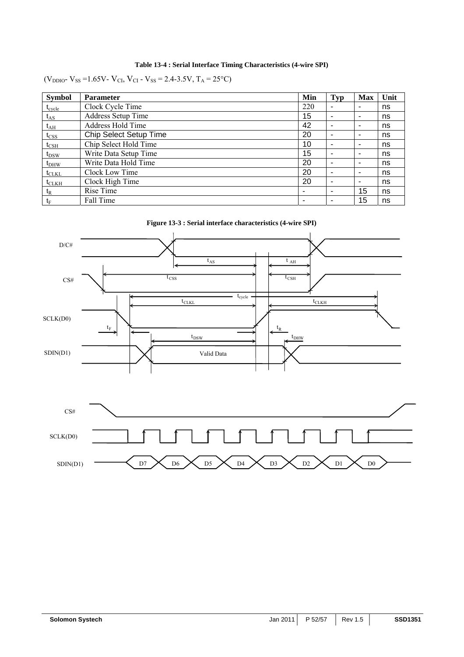## **Table 13-4 : Serial Interface Timing Characteristics (4-wire SPI)**

(V<sub>DDIO</sub>- V<sub>SS</sub> = 1.65V- V<sub>CI</sub>, V<sub>CI</sub> - V<sub>SS</sub> = 2.4-3.5V, T<sub>A</sub> = 25<sup>o</sup>C)

| <b>Symbol</b>    | <b>Parameter</b>              | Min | <b>Typ</b>               | <b>Max</b> | Unit |
|------------------|-------------------------------|-----|--------------------------|------------|------|
| $t_{cycle}$      | Clock Cycle Time              | 220 | -                        | ۰          | ns   |
| $t_{AS}$         | <b>Address Setup Time</b>     | 15  | -                        | ۰          | ns   |
| $t_{\rm AH}$     | Address Hold Time             | 42  | $\overline{\phantom{0}}$ | ٠          | ns   |
| $t_{\text{CSS}}$ | <b>Chip Select Setup Time</b> | 20  | $\overline{\phantom{0}}$ | ٠          | ns   |
| $t_{\rm CSH}$    | Chip Select Hold Time         | 10  |                          | ۰          | ns   |
| $t_{DSW}$        | Write Data Setup Time         | 15  | ٠                        | ۰          | ns   |
| $t_{DHW}$        | Write Data Hold Time          | 20  | $\blacksquare$           | ۰          | ns   |
| $t_{CLKL}$       | Clock Low Time                | 20  | $\overline{\phantom{0}}$ | ۰          | ns   |
| $t_{CLKH}$       | Clock High Time               | 20  |                          | ۰          | ns   |
| $t_{R}$          | Rise Time                     |     | ٠                        | 15         | ns   |
| $t_F$            | Fall Time                     |     | $\overline{\phantom{0}}$ | 15         | ns   |

**Figure 13-3 : Serial interface characteristics (4-wire SPI)** 

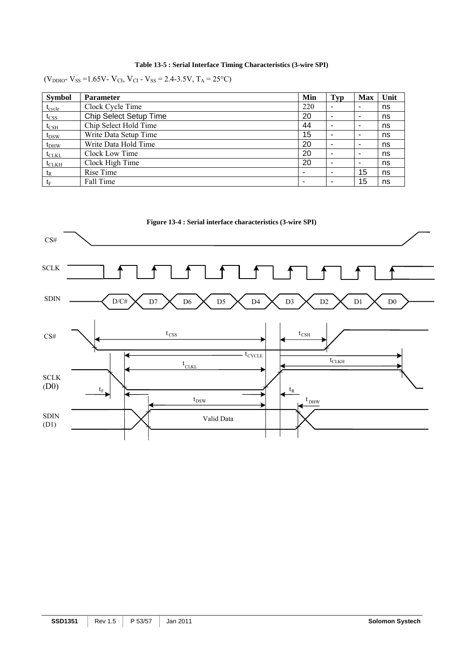## **Table 13-5 : Serial Interface Timing Characteristics (3-wire SPI)**

(V<sub>DDIO</sub>- V<sub>SS</sub> = 1.65V- V<sub>CI</sub>, V<sub>CI</sub> - V<sub>SS</sub> = 2.4-3.5V, T<sub>A</sub> = 25<sup>o</sup>C)

| <b>Symbol</b>   | <b>Parameter</b>       | Min | <b>Typ</b>     | <b>Max</b>               | Unit |
|-----------------|------------------------|-----|----------------|--------------------------|------|
| $t_{\rm cycle}$ | Clock Cycle Time       | 220 |                | -                        | ns   |
| $t_{\rm CSS}$   | Chip Select Setup Time | 20  | $\blacksquare$ | ۰                        | ns   |
| $t_{\rm CSH}$   | Chip Select Hold Time  | 44  | $\blacksquare$ | ۰                        | ns   |
| $t_{DSW}$       | Write Data Setup Time  | 15  |                | ۰                        | ns   |
| $t_{DHW}$       | Write Data Hold Time   | 20  |                | $\overline{\phantom{a}}$ | ns   |
| $t_{CLKL}$      | Clock Low Time         | 20  |                | ۰                        | ns   |
| $t_{CLKH}$      | Clock High Time        | 20  |                | ۰                        | ns   |
| $t_{R}$         | Rise Time              |     | $\blacksquare$ | 15                       | ns   |
| $t_{\rm F}$     | Fall Time              | ۰   | ۰              | 15                       | ns   |

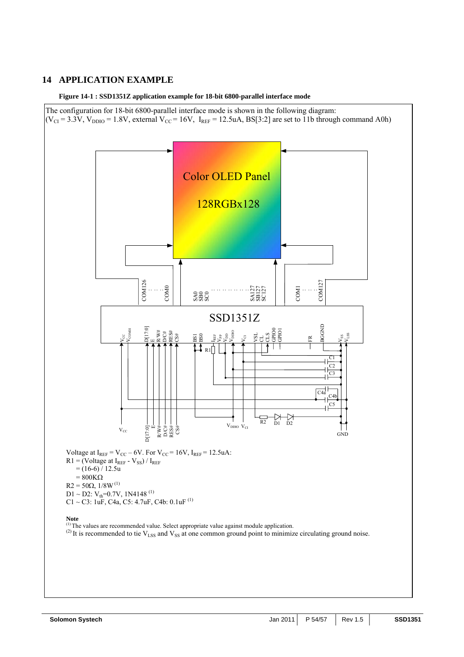## **14 APPLICATION EXAMPLE**

**Figure 14-1 : SSD1351Z application example for 18-bit 6800-parallel interface mode** 

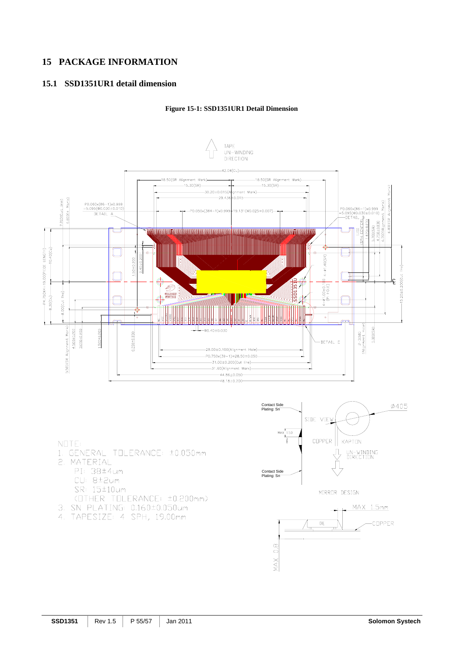## **15 PACKAGE INFORMATION**

## **15.1 SSD1351UR1 detail dimension**

#### **Figure 15-1: SSD1351UR1 Detail Dimension**



#### NOTE:

- 1. GENERAL TOLERANCE: ±0.050mm 2. MATERIAL
	- PI: 38±4um
		- CU: 8±2um
		- SR: 15±10um
	- (OTHER TOLERANCE: ±0.200mm)
- 3. SN PLATING: 0.160±0.050um
- 4. TAPESIZE: 4 SPH, 19.00mm





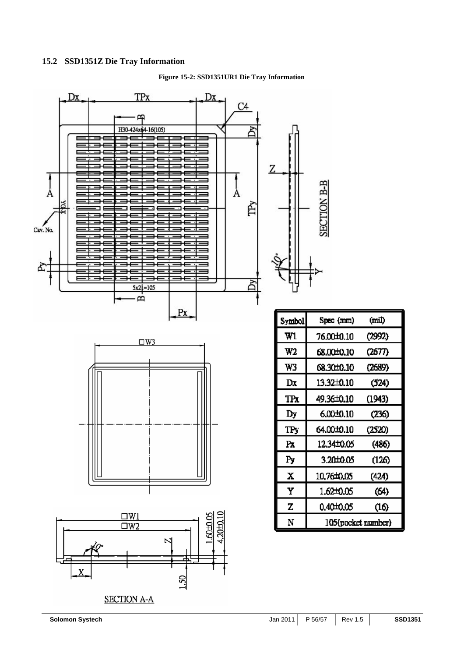#### **15.2 SSD1351Z Die Tray Information**

**Figure 15-2: SSD1351UR1 Die Tray Information**